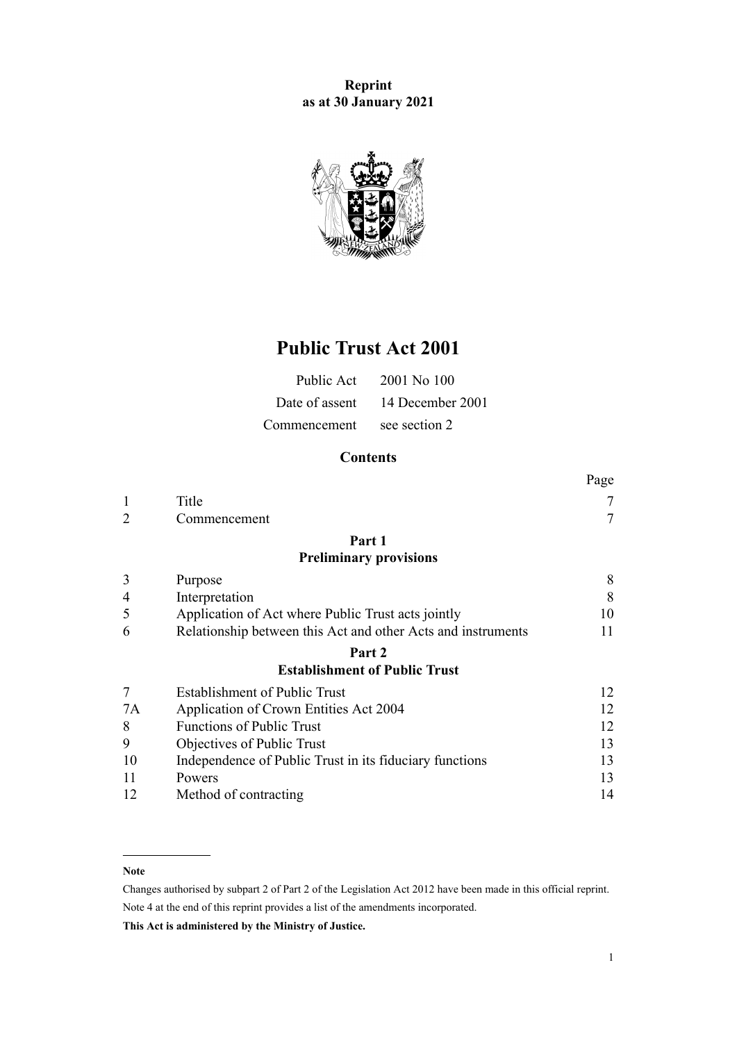**Reprint as at 30 January 2021**



# **Public Trust Act 2001**

| Public Act     | 2001 No 100      |
|----------------|------------------|
| Date of assent | 14 December 2001 |
| Commencement   | see section 2    |

# **Contents**

|                |                                                              | Page |
|----------------|--------------------------------------------------------------|------|
| 1              | Title                                                        | 7    |
| $\overline{2}$ | Commencement                                                 | 7    |
|                | Part 1                                                       |      |
|                | <b>Preliminary provisions</b>                                |      |
| 3              | Purpose                                                      | 8    |
| $\overline{4}$ | Interpretation                                               | 8    |
| 5              | Application of Act where Public Trust acts jointly           | 10   |
| 6              | Relationship between this Act and other Acts and instruments | 11   |
|                | Part 2                                                       |      |
|                | <b>Establishment of Public Trust</b>                         |      |
| 7              | <b>Establishment of Public Trust</b>                         | 12   |
| 7A             | Application of Crown Entities Act 2004                       | 12   |
| 8              | <b>Functions of Public Trust</b>                             | 12   |
| 9              | Objectives of Public Trust                                   | 13   |
| 10             | Independence of Public Trust in its fiduciary functions      | 13   |
| 11             | Powers                                                       | 13   |
| 12             | Method of contracting                                        | 14   |

### **Note**

Changes authorised by [subpart 2](http://legislation.govt.nz/pdflink.aspx?id=DLM2998524) of Part 2 of the Legislation Act 2012 have been made in this official reprint. Note 4 at the end of this reprint provides a list of the amendments incorporated.

**This Act is administered by the Ministry of Justice.**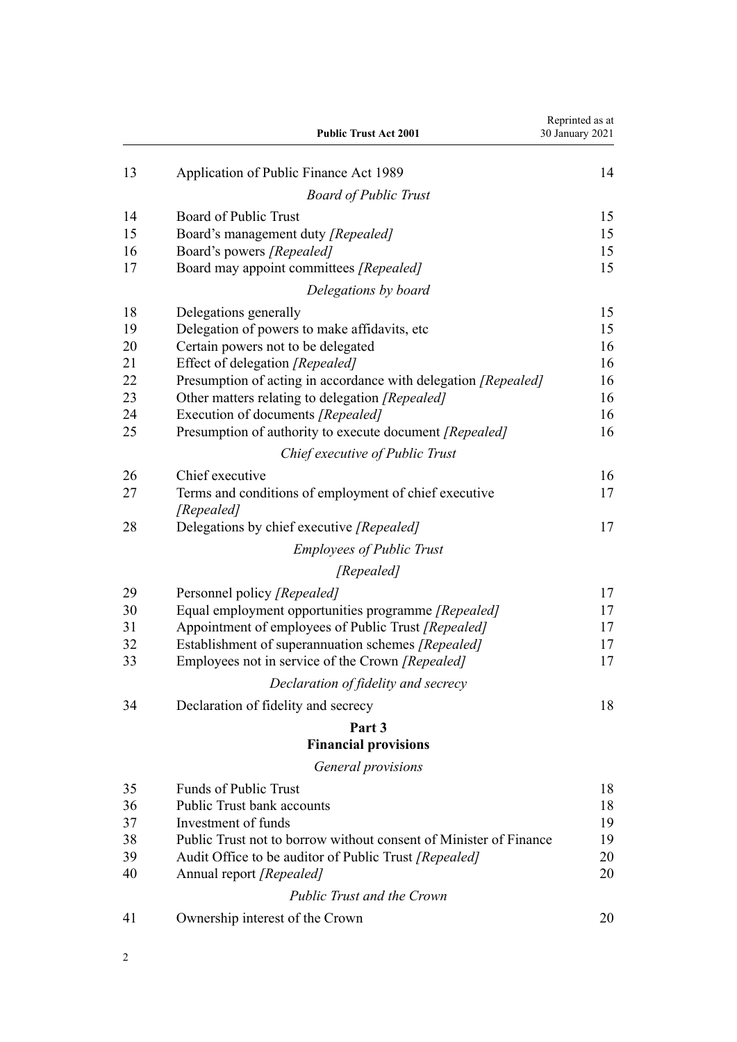|    | <b>Public Trust Act 2001</b>                                        | Reprinted as at<br>30 January 2021 |
|----|---------------------------------------------------------------------|------------------------------------|
| 13 | Application of Public Finance Act 1989                              | 14                                 |
|    | <b>Board of Public Trust</b>                                        |                                    |
| 14 | Board of Public Trust                                               | 15                                 |
| 15 | Board's management duty [Repealed]                                  | 15                                 |
| 16 | Board's powers [Repealed]                                           | 15                                 |
| 17 | Board may appoint committees [Repealed]                             | 15                                 |
|    | Delegations by board                                                |                                    |
| 18 | Delegations generally                                               | 15                                 |
| 19 | Delegation of powers to make affidavits, etc.                       | 15                                 |
| 20 | Certain powers not to be delegated                                  | 16                                 |
| 21 | Effect of delegation [Repealed]                                     | 16                                 |
| 22 | Presumption of acting in accordance with delegation [Repealed]      | 16                                 |
| 23 | Other matters relating to delegation [Repealed]                     | 16                                 |
| 24 | Execution of documents [Repealed]                                   | 16                                 |
| 25 | Presumption of authority to execute document [Repealed]             | 16                                 |
|    | Chief executive of Public Trust                                     |                                    |
| 26 | Chief executive                                                     | 16                                 |
| 27 | Terms and conditions of employment of chief executive<br>[Repealed] | 17                                 |
| 28 | Delegations by chief executive [Repealed]                           | 17                                 |
|    | <b>Employees of Public Trust</b>                                    |                                    |
|    | [Repealed]                                                          |                                    |
| 29 | Personnel policy [Repealed]                                         | 17                                 |
| 30 | Equal employment opportunities programme [Repealed]                 | 17                                 |
| 31 | Appointment of employees of Public Trust [Repealed]                 | 17                                 |
| 32 | Establishment of superannuation schemes [Repealed]                  | 17                                 |
| 33 | Employees not in service of the Crown [Repealed]                    | 17                                 |
|    | Declaration of fidelity and secrecy                                 |                                    |
| 34 | Declaration of fidelity and secrecy                                 | 18                                 |
|    | Part 3                                                              |                                    |
|    | <b>Financial provisions</b>                                         |                                    |
|    | General provisions                                                  |                                    |
| 35 | <b>Funds of Public Trust</b>                                        | 18                                 |
| 36 | <b>Public Trust bank accounts</b>                                   | 18                                 |
| 37 | Investment of funds                                                 | 19                                 |
| 38 | Public Trust not to borrow without consent of Minister of Finance   | 19                                 |
| 39 | Audit Office to be auditor of Public Trust [Repealed]               | 20                                 |
| 40 | Annual report [Repealed]                                            | 20                                 |
|    | <b>Public Trust and the Crown</b>                                   |                                    |
| 41 | Ownership interest of the Crown                                     | 20                                 |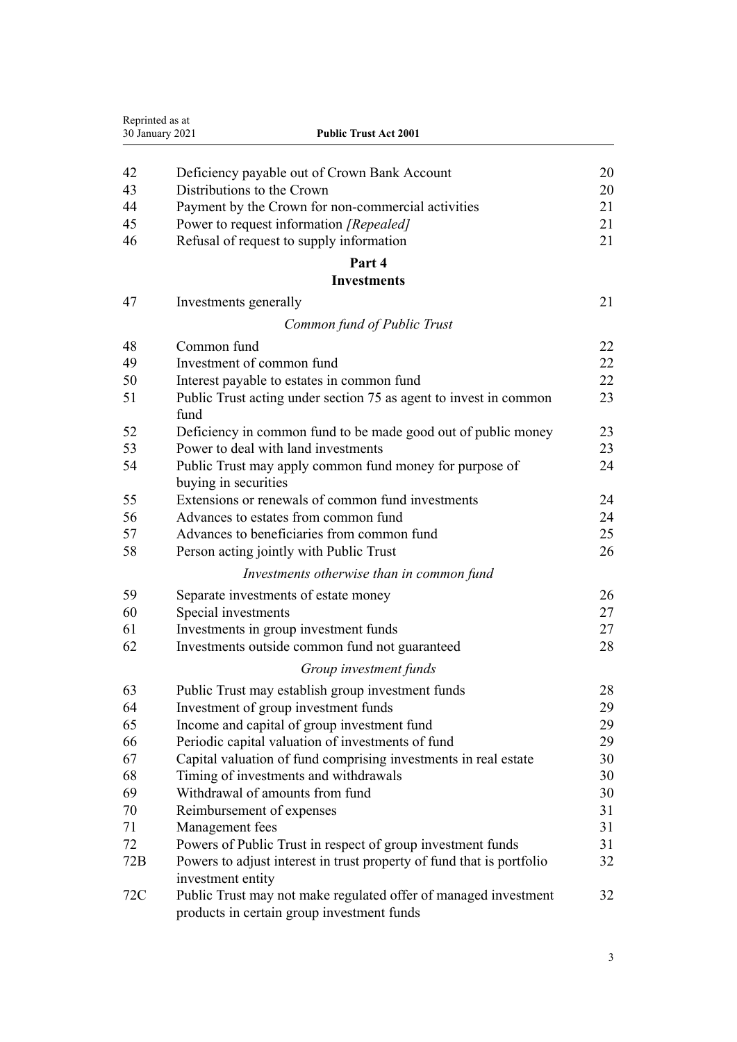| Reprinted as at<br>30 January 2021 | <b>Public Trust Act 2001</b>                                                                                  |    |
|------------------------------------|---------------------------------------------------------------------------------------------------------------|----|
|                                    |                                                                                                               |    |
| 42                                 | Deficiency payable out of Crown Bank Account                                                                  | 20 |
| 43                                 | Distributions to the Crown                                                                                    | 20 |
| 44                                 | Payment by the Crown for non-commercial activities                                                            | 21 |
| 45                                 | Power to request information [Repealed]                                                                       | 21 |
| 46                                 | Refusal of request to supply information                                                                      | 21 |
|                                    | Part 4                                                                                                        |    |
|                                    | <b>Investments</b>                                                                                            |    |
| 47                                 | Investments generally                                                                                         | 21 |
|                                    | Common fund of Public Trust                                                                                   |    |
| 48                                 | Common fund                                                                                                   | 22 |
| 49                                 | Investment of common fund                                                                                     | 22 |
| 50                                 | Interest payable to estates in common fund                                                                    | 22 |
| 51                                 | Public Trust acting under section 75 as agent to invest in common                                             | 23 |
|                                    | fund                                                                                                          |    |
| 52                                 | Deficiency in common fund to be made good out of public money                                                 | 23 |
| 53                                 | Power to deal with land investments                                                                           | 23 |
| 54                                 | Public Trust may apply common fund money for purpose of                                                       | 24 |
|                                    | buying in securities                                                                                          |    |
| 55                                 | Extensions or renewals of common fund investments                                                             | 24 |
| 56                                 | Advances to estates from common fund                                                                          | 24 |
| 57                                 | Advances to beneficiaries from common fund                                                                    | 25 |
| 58                                 | Person acting jointly with Public Trust                                                                       | 26 |
|                                    | Investments otherwise than in common fund                                                                     |    |
| 59                                 | Separate investments of estate money                                                                          | 26 |
| 60                                 | Special investments                                                                                           | 27 |
| 61                                 | Investments in group investment funds                                                                         | 27 |
| 62                                 | Investments outside common fund not guaranteed                                                                | 28 |
|                                    | Group investment funds                                                                                        |    |
| 63                                 | Public Trust may establish group investment funds                                                             | 28 |
| 64                                 | Investment of group investment funds                                                                          | 29 |
| 65                                 | Income and capital of group investment fund                                                                   | 29 |
| 66                                 | Periodic capital valuation of investments of fund                                                             | 29 |
| 67                                 | Capital valuation of fund comprising investments in real estate                                               | 30 |
| 68                                 | Timing of investments and withdrawals                                                                         | 30 |
| 69                                 | Withdrawal of amounts from fund                                                                               | 30 |
| 70                                 | Reimbursement of expenses                                                                                     | 31 |
| 71                                 | Management fees                                                                                               | 31 |
| 72                                 | Powers of Public Trust in respect of group investment funds                                                   | 31 |
| 72B                                | Powers to adjust interest in trust property of fund that is portfolio                                         | 32 |
|                                    | investment entity                                                                                             |    |
| 72C                                | Public Trust may not make regulated offer of managed investment<br>products in certain group investment funds | 32 |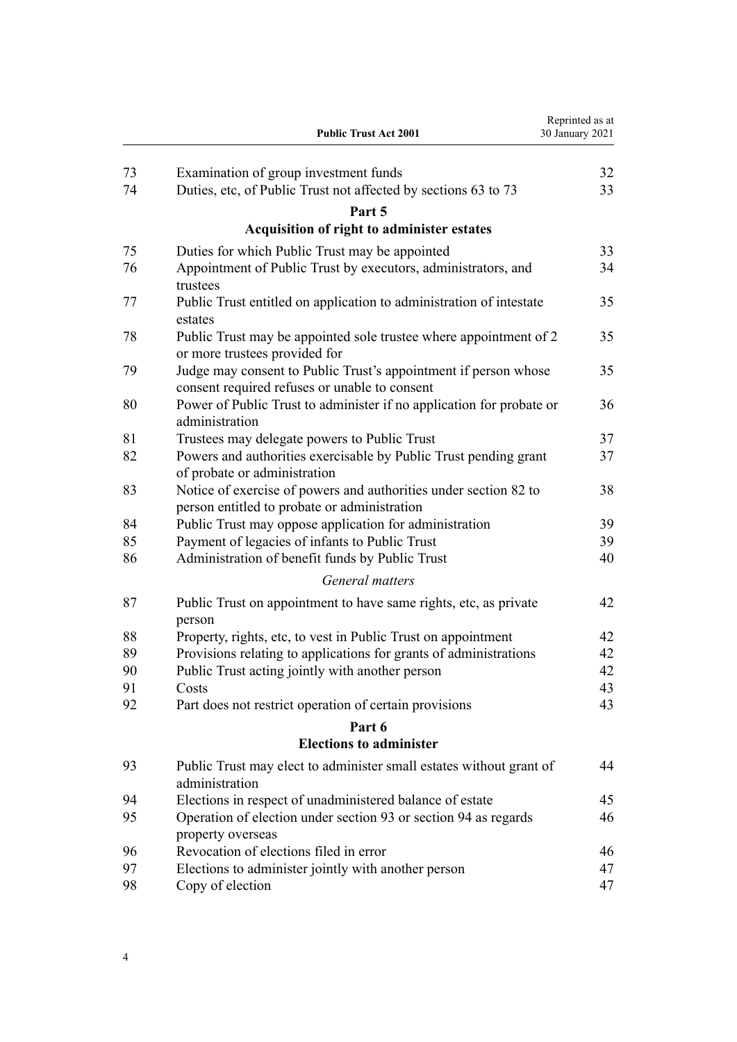|    | <b>Public Trust Act 2001</b>                                                                                     | Reprinted as at<br>30 January 2021 |
|----|------------------------------------------------------------------------------------------------------------------|------------------------------------|
| 73 | Examination of group investment funds                                                                            | 32                                 |
| 74 | Duties, etc, of Public Trust not affected by sections 63 to 73                                                   | 33                                 |
|    | Part 5                                                                                                           |                                    |
|    | Acquisition of right to administer estates                                                                       |                                    |
| 75 | Duties for which Public Trust may be appointed                                                                   | 33                                 |
| 76 | Appointment of Public Trust by executors, administrators, and<br>trustees                                        | 34                                 |
| 77 | Public Trust entitled on application to administration of intestate<br>estates                                   | 35                                 |
| 78 | Public Trust may be appointed sole trustee where appointment of 2<br>or more trustees provided for               | 35                                 |
| 79 | Judge may consent to Public Trust's appointment if person whose<br>consent required refuses or unable to consent | 35                                 |
| 80 | Power of Public Trust to administer if no application for probate or<br>administration                           | 36                                 |
| 81 | Trustees may delegate powers to Public Trust                                                                     | 37                                 |
| 82 | Powers and authorities exercisable by Public Trust pending grant<br>of probate or administration                 | 37                                 |
| 83 | Notice of exercise of powers and authorities under section 82 to<br>person entitled to probate or administration | 38                                 |
| 84 | Public Trust may oppose application for administration                                                           | 39                                 |
| 85 | Payment of legacies of infants to Public Trust                                                                   | 39                                 |
| 86 | Administration of benefit funds by Public Trust                                                                  | 40                                 |
|    | General matters                                                                                                  |                                    |
| 87 | Public Trust on appointment to have same rights, etc, as private<br>person                                       | 42                                 |
| 88 | Property, rights, etc, to vest in Public Trust on appointment                                                    | 42                                 |
| 89 | Provisions relating to applications for grants of administrations                                                | 42                                 |
| 90 | Public Trust acting jointly with another person                                                                  | 42                                 |
| 91 | Costs                                                                                                            | 43                                 |
| 92 | Part does not restrict operation of certain provisions                                                           | 43                                 |
|    | Part 6                                                                                                           |                                    |
|    | <b>Elections to administer</b>                                                                                   |                                    |
| 93 | Public Trust may elect to administer small estates without grant of<br>administration                            | 44                                 |
| 94 | Elections in respect of unadministered balance of estate                                                         | 45                                 |
| 95 | Operation of election under section 93 or section 94 as regards<br>property overseas                             | 46                                 |
| 96 | Revocation of elections filed in error                                                                           | 46                                 |
| 97 | Elections to administer jointly with another person                                                              | 47                                 |
| 98 | Copy of election                                                                                                 | 47                                 |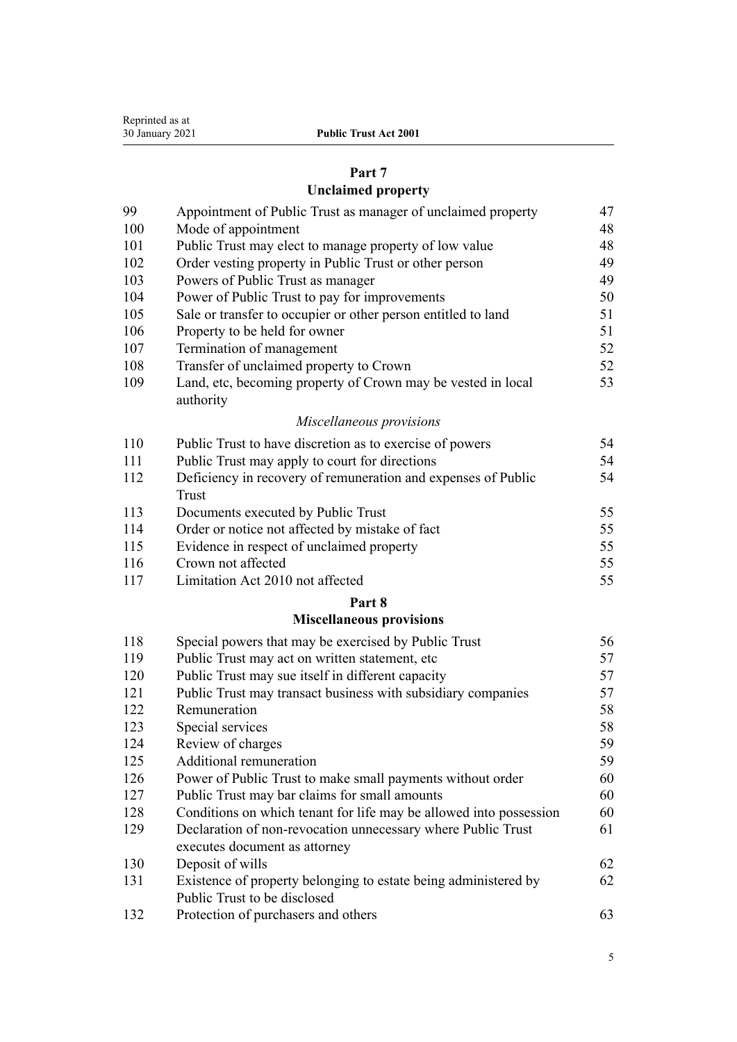| Reprinted as at |
|-----------------|
| 30 January 2021 |

# **[Part 7](#page-46-0)**

# **[Unclaimed property](#page-46-0)**

| 99  | Appointment of Public Trust as manager of unclaimed property              | 47 |
|-----|---------------------------------------------------------------------------|----|
| 100 | Mode of appointment                                                       | 48 |
| 101 | Public Trust may elect to manage property of low value                    | 48 |
| 102 | Order vesting property in Public Trust or other person                    | 49 |
| 103 | Powers of Public Trust as manager                                         | 49 |
| 104 | Power of Public Trust to pay for improvements                             | 50 |
| 105 | Sale or transfer to occupier or other person entitled to land             | 51 |
| 106 | Property to be held for owner                                             | 51 |
| 107 | Termination of management                                                 | 52 |
| 108 | Transfer of unclaimed property to Crown                                   | 52 |
| 109 | Land, etc, becoming property of Crown may be vested in local<br>authority | 53 |
|     | Miscellaneous provisions                                                  |    |
| 110 | Public Trust to have discretion as to exercise of powers                  | 54 |
| 111 | Public Trust may apply to court for directions                            | 54 |
| 112 | Deficiency in recovery of remuneration and expenses of Public             | 54 |
|     | Trust                                                                     |    |
| 113 | Documents executed by Public Trust                                        | 55 |
| 114 | Order or notice not affected by mistake of fact                           | 55 |
| 115 | Evidence in respect of unclaimed property                                 | 55 |
| 116 | Crown not affected                                                        | 55 |
| 117 | Limitation Act 2010 not affected                                          | 55 |
|     | Part 8                                                                    |    |
|     | <b>Miscellaneous provisions</b>                                           |    |
| 118 | Special powers that may be exercised by Public Trust                      | 56 |
| 119 | Public Trust may act on written statement, etc                            | 57 |
| 120 | Public Trust may sue itself in different capacity                         | 57 |
| 121 | Public Trust may transact business with subsidiary companies              | 57 |
| 122 | Remuneration                                                              | 58 |
| 123 | Special services                                                          | 58 |
| 124 | Review of charges                                                         | 59 |
| 125 | Additional remuneration                                                   | 59 |
| 126 | Power of Public Trust to make small payments without order                | 60 |
| 127 | Public Trust may bar claims for small amounts                             | 60 |
| 128 | Conditions on which tenant for life may be allowed into possession        | 60 |
| 129 | Declaration of non-revocation unnecessary where Public Trust              | 61 |

| 130  | Deposit of wills                                                                           | 62 |
|------|--------------------------------------------------------------------------------------------|----|
| 131  | Existence of property belonging to estate being administered by                            | 62 |
|      | Public Trust to be disclosed                                                               |    |
| 1.22 | $\mathbf{D}$ $\mathbf{C}$ $\mathbf{A}$ $\mathbf{C}$ $\mathbf{A}$ $\mathbf{A}$ $\mathbf{A}$ |    |

[Protection of purchasers and others](#page-62-0) [63](#page-62-0)

[executes document as attorney](#page-60-0)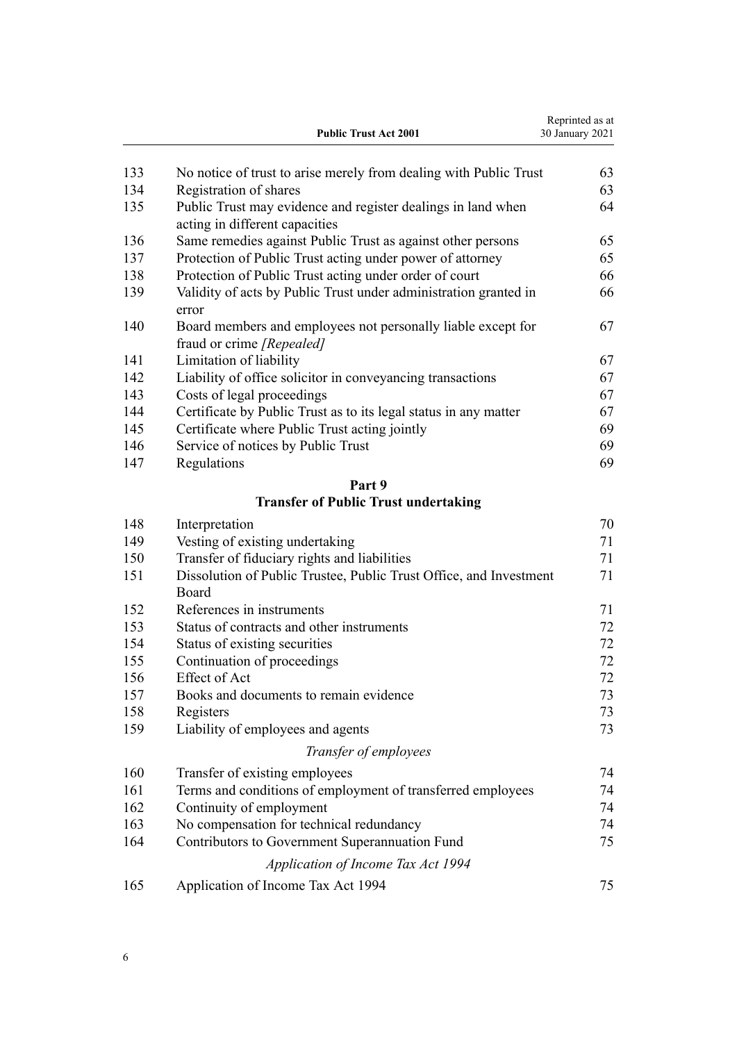|     | <b>Public Trust Act 2001</b>                                                                   | Reprinted as at<br>30 January 2021 |
|-----|------------------------------------------------------------------------------------------------|------------------------------------|
| 133 | No notice of trust to arise merely from dealing with Public Trust                              | 63                                 |
| 134 | Registration of shares                                                                         | 63                                 |
| 135 | Public Trust may evidence and register dealings in land when<br>acting in different capacities | 64                                 |
| 136 | Same remedies against Public Trust as against other persons                                    | 65                                 |
| 137 | Protection of Public Trust acting under power of attorney                                      | 65                                 |
| 138 | Protection of Public Trust acting under order of court                                         | 66                                 |
| 139 | Validity of acts by Public Trust under administration granted in<br>error                      | 66                                 |
| 140 | Board members and employees not personally liable except for<br>fraud or crime [Repealed]      | 67                                 |
| 141 | Limitation of liability                                                                        | 67                                 |
| 142 | Liability of office solicitor in conveyancing transactions                                     | 67                                 |
| 143 | Costs of legal proceedings                                                                     | 67                                 |
| 144 | Certificate by Public Trust as to its legal status in any matter                               | 67                                 |
| 145 | Certificate where Public Trust acting jointly                                                  | 69                                 |
| 146 | Service of notices by Public Trust                                                             | 69                                 |
| 147 | Regulations                                                                                    | 69                                 |
|     | Part 9                                                                                         |                                    |
|     | <b>Transfer of Public Trust undertaking</b>                                                    |                                    |
| 148 | Interpretation                                                                                 | 70                                 |
| 149 | Vesting of existing undertaking                                                                | 71                                 |
| 150 | Transfer of fiduciary rights and liabilities                                                   | 71                                 |
| 151 | Dissolution of Public Trustee, Public Trust Office, and Investment<br>Board                    | 71                                 |
| 152 | References in instruments                                                                      | 71                                 |
| 153 | Status of contracts and other instruments                                                      | 72                                 |
| 154 | Status of existing securities                                                                  | 72                                 |
| 155 | Continuation of proceedings                                                                    | 72                                 |
| 156 | <b>Effect of Act</b>                                                                           | 72                                 |
| 157 | Books and documents to remain evidence                                                         | 73                                 |
| 158 | Registers                                                                                      | 73                                 |
| 159 | Liability of employees and agents                                                              | 73                                 |
|     | Transfer of employees                                                                          |                                    |
| 160 | Transfer of existing employees                                                                 | 74                                 |
| 161 | Terms and conditions of employment of transferred employees                                    | 74                                 |
| 162 | Continuity of employment                                                                       | 74                                 |
| 163 | No compensation for technical redundancy                                                       | 74                                 |
| 164 | Contributors to Government Superannuation Fund                                                 | 75                                 |
|     | Application of Income Tax Act 1994                                                             |                                    |
| 165 | Application of Income Tax Act 1994                                                             | 75                                 |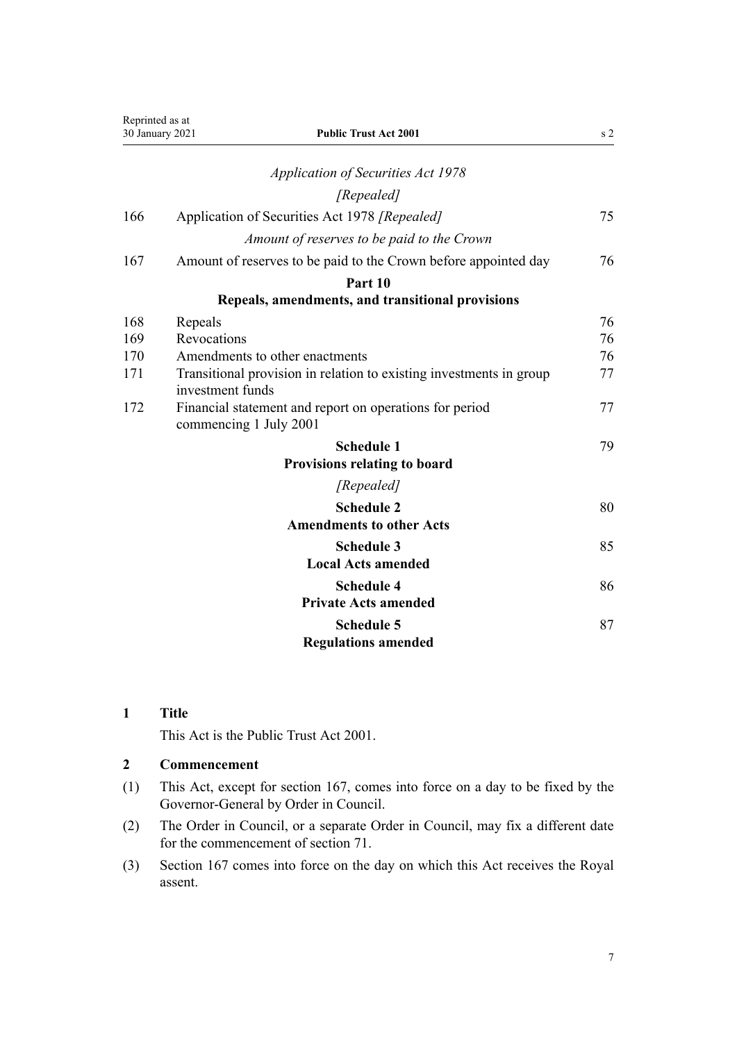<span id="page-6-0"></span>

| Reprinted as at | <b>Public Trust Act 2001</b><br>30 January 2021                                         | s <sub>2</sub> |
|-----------------|-----------------------------------------------------------------------------------------|----------------|
|                 | <b>Application of Securities Act 1978</b>                                               |                |
|                 | [Repealed]                                                                              |                |
|                 |                                                                                         |                |
| 166             | Application of Securities Act 1978 [Repealed]                                           | 75             |
|                 | Amount of reserves to be paid to the Crown                                              |                |
| 167             | Amount of reserves to be paid to the Crown before appointed day                         | 76             |
|                 | Part 10                                                                                 |                |
|                 | Repeals, amendments, and transitional provisions                                        |                |
| 168             | Repeals                                                                                 | 76             |
| 169             | Revocations                                                                             | 76             |
| 170             | Amendments to other enactments                                                          | 76             |
| 171             | Transitional provision in relation to existing investments in group<br>investment funds | 77             |
| 172             | Financial statement and report on operations for period<br>commencing 1 July 2001       | 77             |
|                 | <b>Schedule 1</b>                                                                       | 79             |
|                 | <b>Provisions relating to board</b>                                                     |                |
|                 | [Repealed]                                                                              |                |
|                 | <b>Schedule 2</b>                                                                       | 80             |
|                 | <b>Amendments to other Acts</b>                                                         |                |
|                 | <b>Schedule 3</b>                                                                       | 85             |
|                 | <b>Local Acts amended</b>                                                               |                |
|                 | <b>Schedule 4</b>                                                                       | 86             |
|                 | <b>Private Acts amended</b>                                                             |                |
|                 | <b>Schedule 5</b>                                                                       | 87             |
|                 | <b>Regulations amended</b>                                                              |                |

# **1 Title**

This Act is the Public Trust Act 2001.

# **2 Commencement**

- (1) This Act, except for [section 167](#page-75-0), comes into force on a day to be fixed by the Governor-General by Order in Council.
- (2) The Order in Council, or a separate Order in Council, may fix a different date for the commencement of [section 71.](#page-30-0)
- (3) [Section 167](#page-75-0) comes into force on the day on which this Act receives the Royal assent.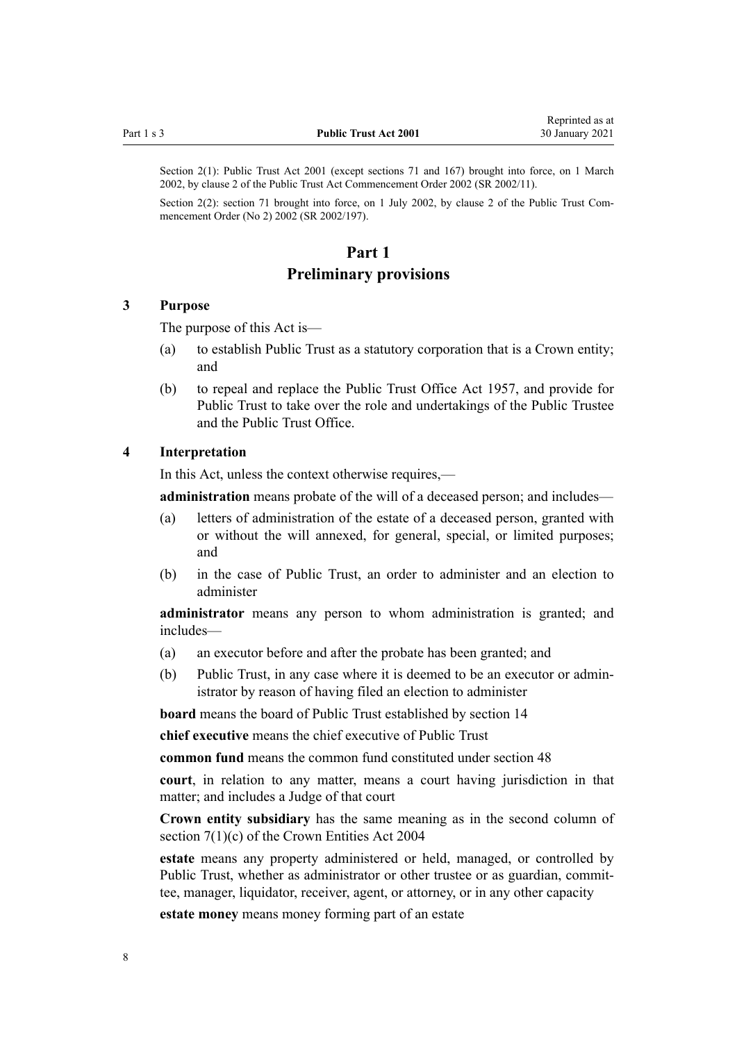<span id="page-7-0"></span>Section 2(1): Public Trust Act 2001 (except sections 71 and 167) brought into force, on 1 March 2002, by [clause 2](http://legislation.govt.nz/pdflink.aspx?id=DLM109325) of the Public Trust Act Commencement Order 2002 (SR 2002/11).

Section 2(2): section 71 brought into force, on 1 July 2002, by [clause 2](http://legislation.govt.nz/pdflink.aspx?id=DLM135710) of the Public Trust Commencement Order (No 2) 2002 (SR 2002/197).

# **Part 1 Preliminary provisions**

#### **3 Purpose**

The purpose of this Act is—

- (a) to establish Public Trust as a statutory corporation that is a Crown entity; and
- (b) to repeal and replace the Public Trust Office Act 1957, and provide for Public Trust to take over the role and undertakings of the Public Trustee and the Public Trust Office.

#### **4 Interpretation**

In this Act, unless the context otherwise requires,—

**administration** means probate of the will of a deceased person; and includes—

- (a) letters of administration of the estate of a deceased person, granted with or without the will annexed, for general, special, or limited purposes; and
- (b) in the case of Public Trust, an order to administer and an election to administer

**administrator** means any person to whom administration is granted; and includes—

- (a) an executor before and after the probate has been granted; and
- (b) Public Trust, in any case where it is deemed to be an executor or administrator by reason of having filed an election to administer

**board** means the board of Public Trust established by [section 14](#page-14-0)

**chief executive** means the chief executive of Public Trust

**common fund** means the common fund constituted under [section 48](#page-21-0)

**court**, in relation to any matter, means a court having jurisdiction in that matter; and includes a Judge of that court

**Crown entity subsidiary** has the same meaning as in the second column of [section 7\(1\)\(c\)](http://legislation.govt.nz/pdflink.aspx?id=DLM329641) of the Crown Entities Act 2004

**estate** means any property administered or held, managed, or controlled by Public Trust, whether as administrator or other trustee or as guardian, committee, manager, liquidator, receiver, agent, or attorney, or in any other capacity

**estate money** means money forming part of an estate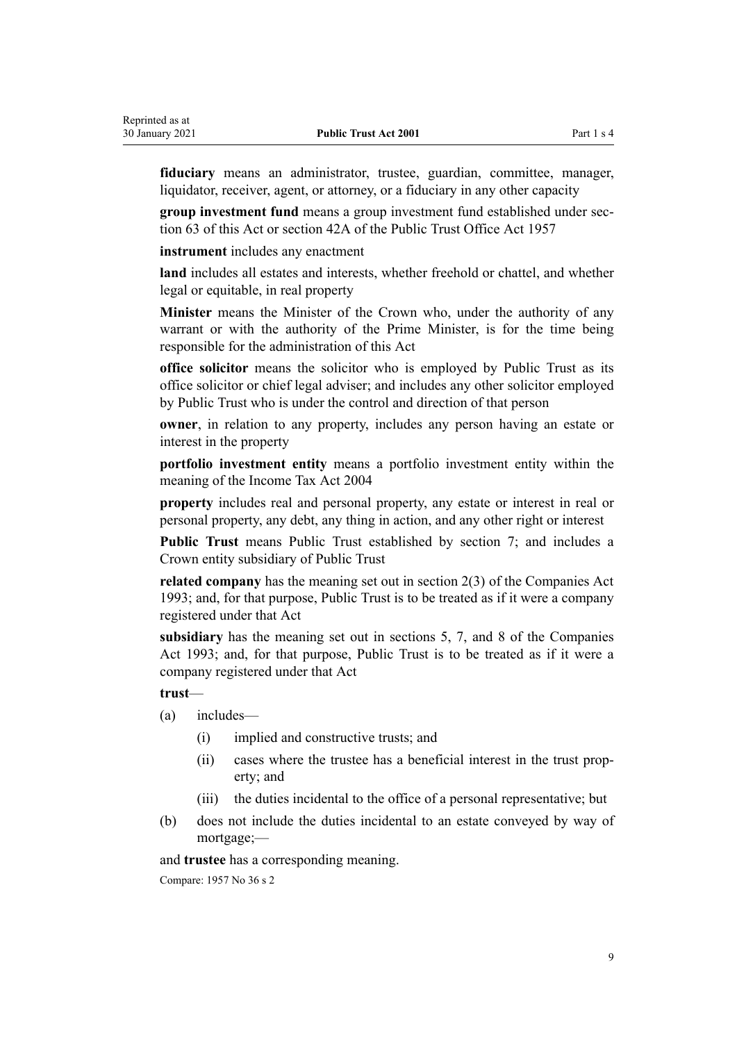**fiduciary** means an administrator, trustee, guardian, committee, manager, liquidator, receiver, agent, or attorney, or a fiduciary in any other capacity

**group investment fund** means a group investment fund established under [sec](#page-27-0)[tion 63](#page-27-0) of this Act or section 42A of the Public Trust Office Act 1957

**instrument** includes any enactment

**land** includes all estates and interests, whether freehold or chattel, and whether legal or equitable, in real property

**Minister** means the Minister of the Crown who, under the authority of any warrant or with the authority of the Prime Minister, is for the time being responsible for the administration of this Act

**office solicitor** means the solicitor who is employed by Public Trust as its office solicitor or chief legal adviser; and includes any other solicitor employed by Public Trust who is under the control and direction of that person

**owner**, in relation to any property, includes any person having an estate or interest in the property

**portfolio investment entity** means a portfolio investment entity within the meaning of the Income Tax Act 2004

**property** includes real and personal property, any estate or interest in real or personal property, any debt, any thing in action, and any other right or interest

**Public Trust** means Public Trust established by [section 7;](#page-11-0) and includes a Crown entity subsidiary of Public Trust

**related company** has the meaning set out in [section 2\(3\)](http://legislation.govt.nz/pdflink.aspx?id=DLM319576) of the Companies Act 1993; and, for that purpose, Public Trust is to be treated as if it were a company registered under that Act

**subsidiary** has the meaning set out in [sections 5,](http://legislation.govt.nz/pdflink.aspx?id=DLM319999) [7,](http://legislation.govt.nz/pdflink.aspx?id=DLM320102) and [8](http://legislation.govt.nz/pdflink.aspx?id=DLM320104) of the Companies Act 1993; and, for that purpose, Public Trust is to be treated as if it were a company registered under that Act

**trust**—

- (a) includes—
	- (i) implied and constructive trusts; and
	- (ii) cases where the trustee has a beneficial interest in the trust property; and
	- (iii) the duties incidental to the office of a personal representative; but
- (b) does not include the duties incidental to an estate conveyed by way of mortgage;—

and **trustee** has a corresponding meaning.

Compare: 1957 No 36 s 2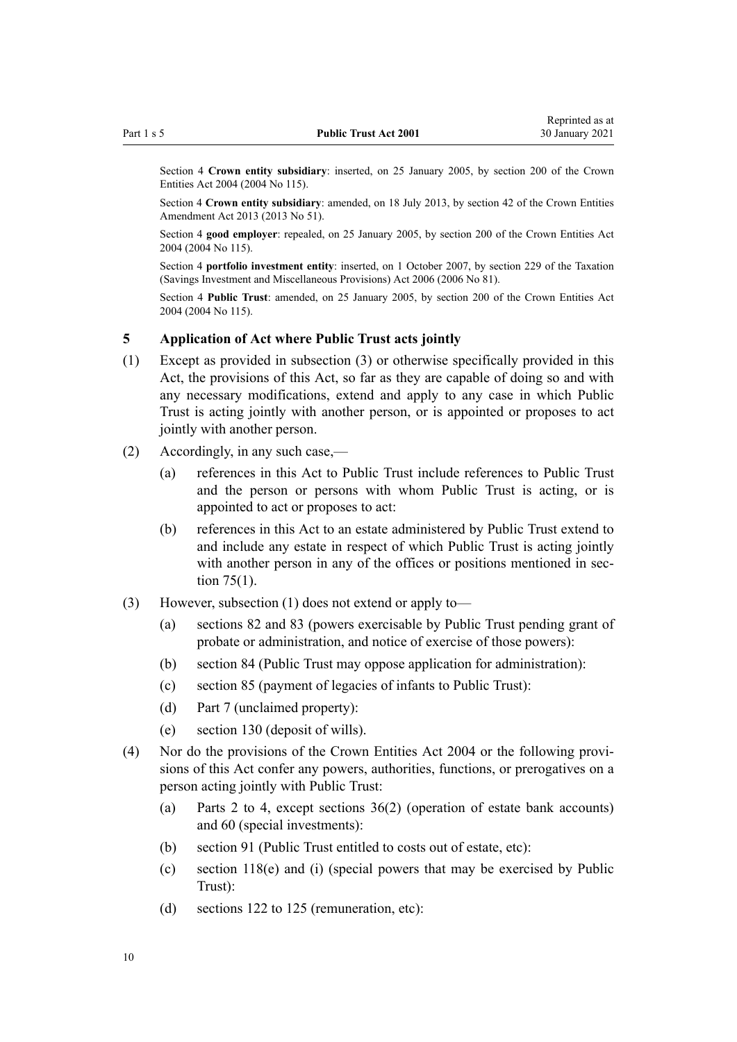<span id="page-9-0"></span>Section 4 **Crown entity subsidiary**: inserted, on 25 January 2005, by [section 200](http://legislation.govt.nz/pdflink.aspx?id=DLM331111) of the Crown Entities Act 2004 (2004 No 115).

Section 4 **Crown entity subsidiary**: amended, on 18 July 2013, by [section 42](http://legislation.govt.nz/pdflink.aspx?id=DLM5326977) of the Crown Entities Amendment Act 2013 (2013 No 51).

Section 4 **good employer**: repealed, on 25 January 2005, by [section 200](http://legislation.govt.nz/pdflink.aspx?id=DLM331111) of the Crown Entities Act 2004 (2004 No 115).

Section 4 **portfolio investment entity**: inserted, on 1 October 2007, by [section 229](http://legislation.govt.nz/pdflink.aspx?id=DLM401677) of the Taxation (Savings Investment and Miscellaneous Provisions) Act 2006 (2006 No 81).

Section 4 **Public Trust**: amended, on 25 January 2005, by [section 200](http://legislation.govt.nz/pdflink.aspx?id=DLM331111) of the Crown Entities Act 2004 (2004 No 115).

## **5 Application of Act where Public Trust acts jointly**

- (1) Except as provided in subsection (3) or otherwise specifically provided in this Act, the provisions of this Act, so far as they are capable of doing so and with any necessary modifications, extend and apply to any case in which Public Trust is acting jointly with another person, or is appointed or proposes to act jointly with another person.
- (2) Accordingly, in any such case,—
	- (a) references in this Act to Public Trust include references to Public Trust and the person or persons with whom Public Trust is acting, or is appointed to act or proposes to act:
	- (b) references in this Act to an estate administered by Public Trust extend to and include any estate in respect of which Public Trust is acting jointly with another person in any of the offices or positions mentioned in [sec](#page-32-0)[tion 75\(1\).](#page-32-0)
- (3) However, subsection (1) does not extend or apply to—
	- (a) [sections 82](#page-36-0) and [83](#page-37-0) (powers exercisable by Public Trust pending grant of probate or administration, and notice of exercise of those powers):
	- (b) [section 84](#page-38-0) (Public Trust may oppose application for administration):
	- (c) [section 85](#page-38-0) (payment of legacies of infants to Public Trust):
	- (d) [Part 7](#page-46-0) (unclaimed property):
	- (e) [section 130](#page-61-0) (deposit of wills).
- (4) Nor do the provisions of the [Crown Entities Act 2004](http://legislation.govt.nz/pdflink.aspx?id=DLM329630) or the following provisions of this Act confer any powers, authorities, functions, or prerogatives on a person acting jointly with Public Trust:
	- (a) [Parts 2 to 4](#page-11-0), except [sections 36\(2\)](#page-17-0) (operation of estate bank accounts) and [60](#page-26-0) (special investments):
	- (b) [section 91](#page-42-0) (Public Trust entitled to costs out of estate, etc):
	- (c) [section 118\(e\) and \(i\)](#page-55-0) (special powers that may be exercised by Public Trust):
	- (d) [sections 122 to 125](#page-57-0) (remuneration, etc):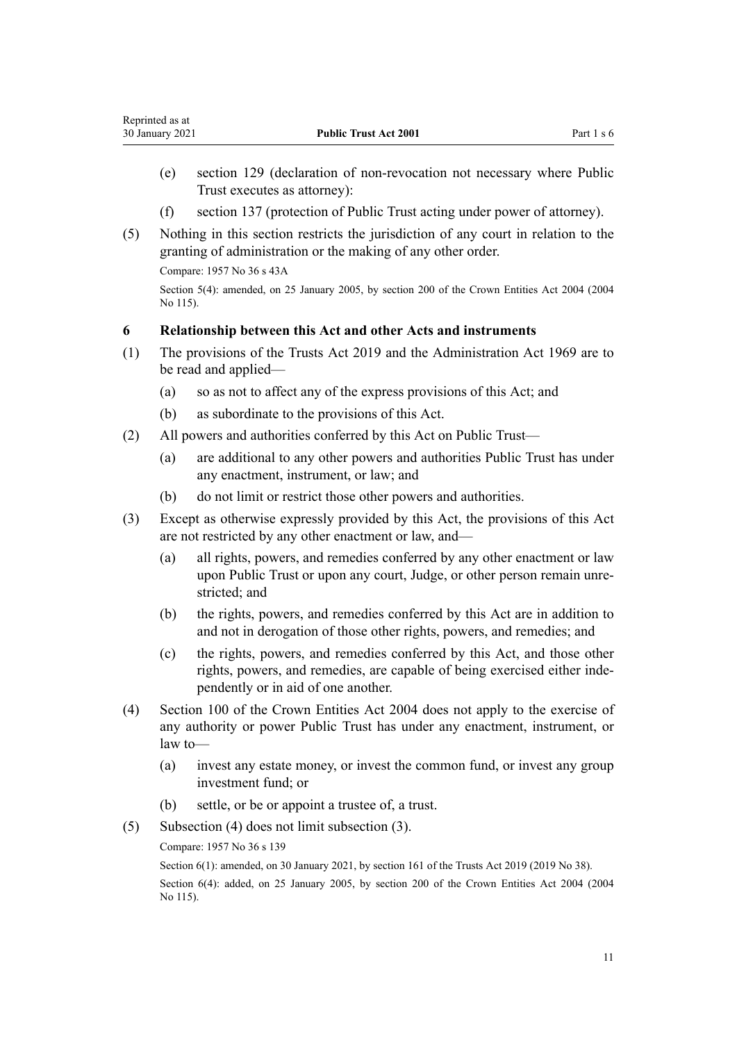- <span id="page-10-0"></span>(e) [section 129](#page-60-0) (declaration of non-revocation not necessary where Public Trust executes as attorney):
- (f) [section 137](#page-64-0) (protection of Public Trust acting under power of attorney).
- (5) Nothing in this section restricts the jurisdiction of any court in relation to the granting of administration or the making of any other order.

Compare: 1957 No 36 s 43A

Section 5(4): amended, on 25 January 2005, by [section 200](http://legislation.govt.nz/pdflink.aspx?id=DLM331111) of the Crown Entities Act 2004 (2004 No 115).

#### **6 Relationship between this Act and other Acts and instruments**

- (1) The provisions of the [Trusts Act 2019](http://legislation.govt.nz/pdflink.aspx?id=DLM7382802) and the [Administration Act 1969](http://legislation.govt.nz/pdflink.aspx?id=DLM392629) are to be read and applied—
	- (a) so as not to affect any of the express provisions of this Act; and
	- (b) as subordinate to the provisions of this Act.
- (2) All powers and authorities conferred by this Act on Public Trust—
	- (a) are additional to any other powers and authorities Public Trust has under any enactment, instrument, or law; and
	- (b) do not limit or restrict those other powers and authorities.
- (3) Except as otherwise expressly provided by this Act, the provisions of this Act are not restricted by any other enactment or law, and—
	- (a) all rights, powers, and remedies conferred by any other enactment or law upon Public Trust or upon any court, Judge, or other person remain unrestricted; and
	- (b) the rights, powers, and remedies conferred by this Act are in addition to and not in derogation of those other rights, powers, and remedies; and
	- (c) the rights, powers, and remedies conferred by this Act, and those other rights, powers, and remedies, are capable of being exercised either independently or in aid of one another.
- (4) [Section 100](http://legislation.govt.nz/pdflink.aspx?id=DLM330345) of the Crown Entities Act 2004 does not apply to the exercise of any authority or power Public Trust has under any enactment, instrument, or law to—
	- (a) invest any estate money, or invest the common fund, or invest any group investment fund; or
	- (b) settle, or be or appoint a trustee of, a trust.
- (5) Subsection (4) does not limit subsection (3).

Compare: 1957 No 36 s 139

Section 6(1): amended, on 30 January 2021, by [section 161](http://legislation.govt.nz/pdflink.aspx?id=DLM7383110) of the Trusts Act 2019 (2019 No 38). Section 6(4): added, on 25 January 2005, by [section 200](http://legislation.govt.nz/pdflink.aspx?id=DLM331111) of the Crown Entities Act 2004 (2004 No 115).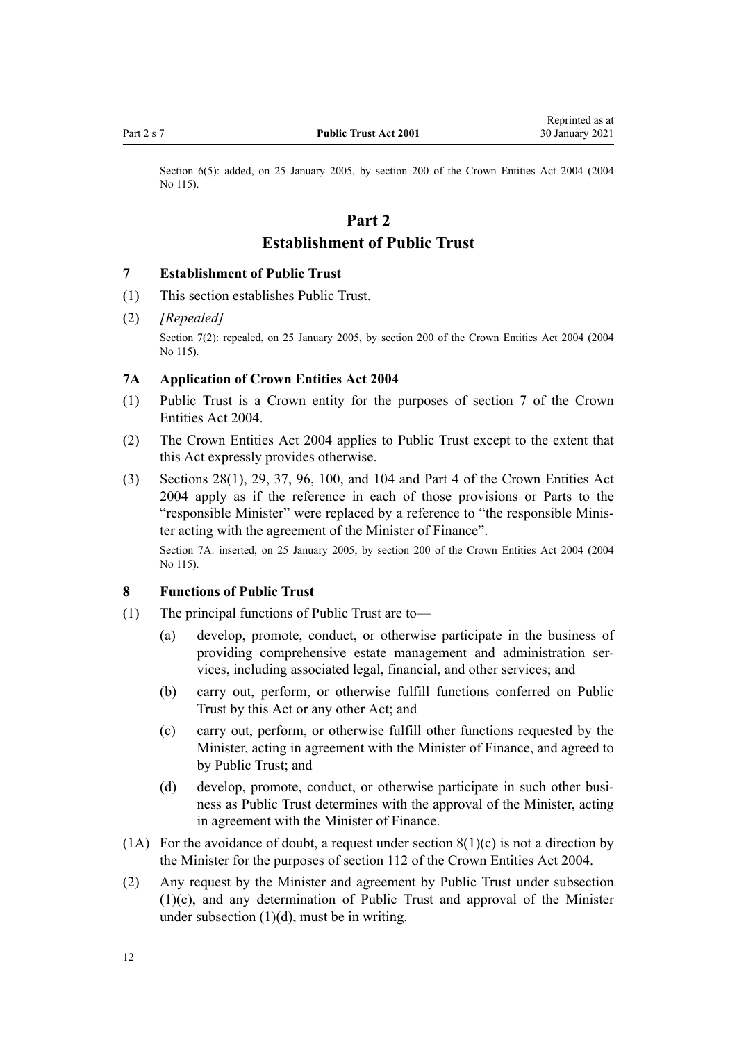<span id="page-11-0"></span>

Section 6(5): added, on 25 January 2005, by [section 200](http://legislation.govt.nz/pdflink.aspx?id=DLM331111) of the Crown Entities Act 2004 (2004) No 115).

# **Part 2 Establishment of Public Trust**

#### **7 Establishment of Public Trust**

- (1) This section establishes Public Trust.
- (2) *[Repealed]*

Section 7(2): repealed, on 25 January 2005, by [section 200](http://legislation.govt.nz/pdflink.aspx?id=DLM331111) of the Crown Entities Act 2004 (2004) No 115).

# **7A Application of Crown Entities Act 2004**

- (1) Public Trust is a Crown entity for the purposes of [section 7](http://legislation.govt.nz/pdflink.aspx?id=DLM329641) of the Crown Entities Act 2004.
- (2) The [Crown Entities Act 2004](http://legislation.govt.nz/pdflink.aspx?id=DLM329630) applies to Public Trust except to the extent that this Act expressly provides otherwise.
- (3) [Sections 28\(1\),](http://legislation.govt.nz/pdflink.aspx?id=DLM329954) [29,](http://legislation.govt.nz/pdflink.aspx?id=DLM329955) [37,](http://legislation.govt.nz/pdflink.aspx?id=DLM329964) [96,](http://legislation.govt.nz/pdflink.aspx?id=DLM330341) [100,](http://legislation.govt.nz/pdflink.aspx?id=DLM330345) and [104](http://legislation.govt.nz/pdflink.aspx?id=DLM330352) and [Part 4](http://legislation.govt.nz/pdflink.aspx?id=DLM330504) of the Crown Entities Act 2004 apply as if the reference in each of those provisions or Parts to the "responsible Minister" were replaced by a reference to "the responsible Minister acting with the agreement of the Minister of Finance".

Section 7A: inserted, on 25 January 2005, by [section 200](http://legislation.govt.nz/pdflink.aspx?id=DLM331111) of the Crown Entities Act 2004 (2004) No 115).

### **8 Functions of Public Trust**

- (1) The principal functions of Public Trust are to—
	- (a) develop, promote, conduct, or otherwise participate in the business of providing comprehensive estate management and administration services, including associated legal, financial, and other services; and
	- (b) carry out, perform, or otherwise fulfill functions conferred on Public Trust by this Act or any other Act; and
	- (c) carry out, perform, or otherwise fulfill other functions requested by the Minister, acting in agreement with the Minister of Finance, and agreed to by Public Trust; and
	- (d) develop, promote, conduct, or otherwise participate in such other business as Public Trust determines with the approval of the Minister, acting in agreement with the Minister of Finance.
- (1A) For the avoidance of doubt, a request under section  $8(1)(c)$  is not a direction by the Minister for the purposes of [section 112](http://legislation.govt.nz/pdflink.aspx?id=DLM330360) of the Crown Entities Act 2004.
- (2) Any request by the Minister and agreement by Public Trust under subsection (1)(c), and any determination of Public Trust and approval of the Minister under subsection  $(1)(d)$ , must be in writing.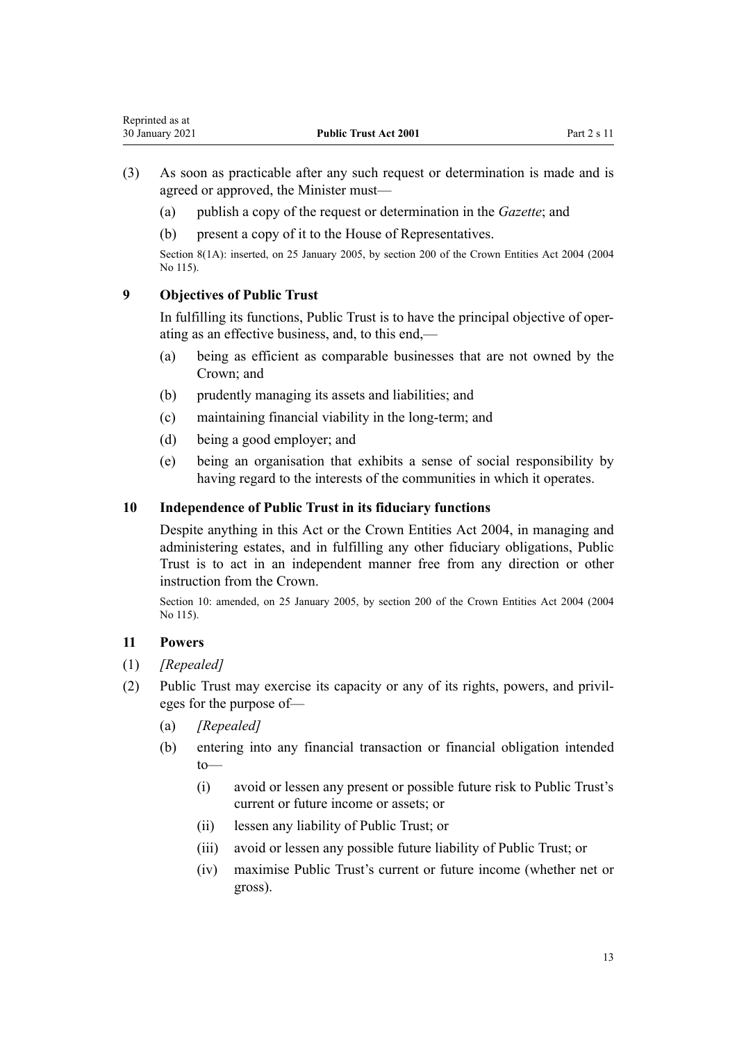- <span id="page-12-0"></span>(3) As soon as practicable after any such request or determination is made and is agreed or approved, the Minister must—
	- (a) publish a copy of the request or determination in the *Gazette*; and
	- (b) present a copy of it to the House of Representatives.

Section 8(1A): inserted, on 25 January 2005, by [section 200](http://legislation.govt.nz/pdflink.aspx?id=DLM331111) of the Crown Entities Act 2004 (2004 No 115).

# **9 Objectives of Public Trust**

In fulfilling its functions, Public Trust is to have the principal objective of operating as an effective business, and, to this end,—

- (a) being as efficient as comparable businesses that are not owned by the Crown; and
- (b) prudently managing its assets and liabilities; and
- (c) maintaining financial viability in the long-term; and
- (d) being a good employer; and
- (e) being an organisation that exhibits a sense of social responsibility by having regard to the interests of the communities in which it operates.

## **10 Independence of Public Trust in its fiduciary functions**

Despite anything in this Act or the [Crown Entities Act 2004,](http://legislation.govt.nz/pdflink.aspx?id=DLM329630) in managing and administering estates, and in fulfilling any other fiduciary obligations, Public Trust is to act in an independent manner free from any direction or other instruction from the Crown.

Section 10: amended, on 25 January 2005, by [section 200](http://legislation.govt.nz/pdflink.aspx?id=DLM331111) of the Crown Entities Act 2004 (2004 No 115).

## **11 Powers**

- (1) *[Repealed]*
- (2) Public Trust may exercise its capacity or any of its rights, powers, and privileges for the purpose of—
	- (a) *[Repealed]*
	- (b) entering into any financial transaction or financial obligation intended to—
		- (i) avoid or lessen any present or possible future risk to Public Trust's current or future income or assets; or
		- (ii) lessen any liability of Public Trust; or
		- (iii) avoid or lessen any possible future liability of Public Trust; or
		- (iv) maximise Public Trust's current or future income (whether net or gross).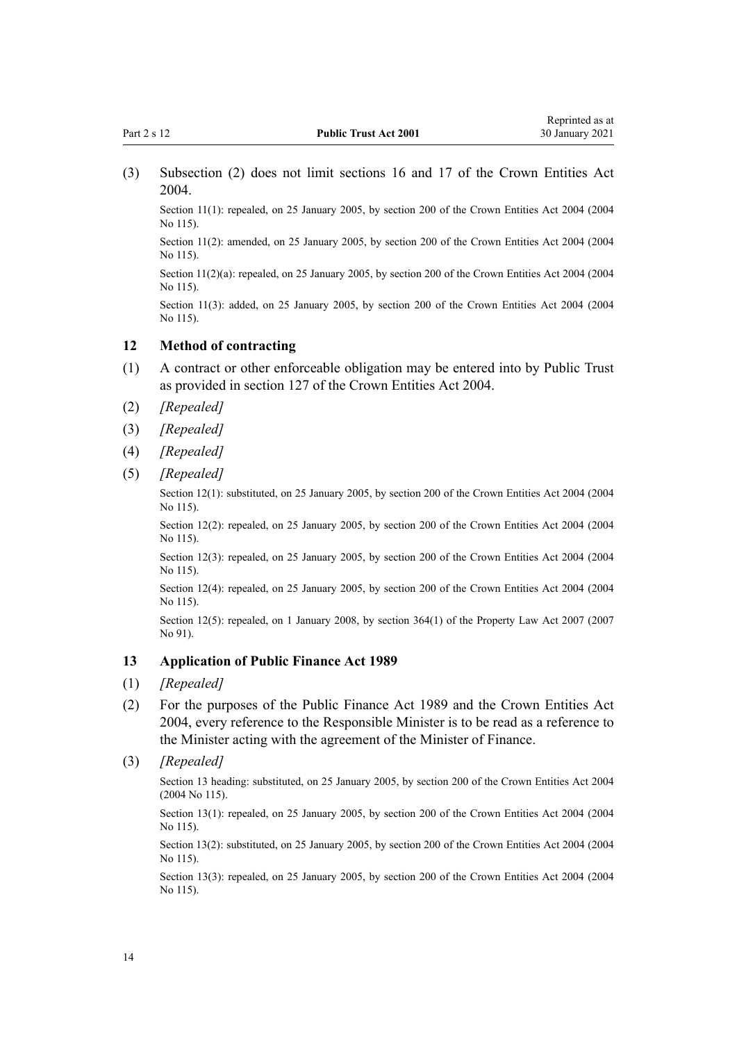<span id="page-13-0"></span>(3) Subsection (2) does not limit [sections 16](http://legislation.govt.nz/pdflink.aspx?id=DLM329930) and [17](http://legislation.govt.nz/pdflink.aspx?id=DLM329931) of the Crown Entities Act 2004.

Section 11(1): repealed, on 25 January 2005, by [section 200](http://legislation.govt.nz/pdflink.aspx?id=DLM331111) of the Crown Entities Act 2004 (2004) No 115).

Section 11(2): amended, on 25 January 2005, by [section 200](http://legislation.govt.nz/pdflink.aspx?id=DLM331111) of the Crown Entities Act 2004 (2004 No 115).

Section 11(2)(a): repealed, on 25 January 2005, by [section 200](http://legislation.govt.nz/pdflink.aspx?id=DLM331111) of the Crown Entities Act 2004 (2004) No 115).

Section 11(3): added, on 25 January 2005, by [section 200](http://legislation.govt.nz/pdflink.aspx?id=DLM331111) of the Crown Entities Act 2004 (2004) No 115).

## **12 Method of contracting**

- (1) A contract or other enforceable obligation may be entered into by Public Trust as provided in [section 127](http://legislation.govt.nz/pdflink.aspx?id=DLM330394) of the Crown Entities Act 2004.
- (2) *[Repealed]*
- (3) *[Repealed]*
- (4) *[Repealed]*
- (5) *[Repealed]*

Section 12(1): substituted, on 25 January 2005, by [section 200](http://legislation.govt.nz/pdflink.aspx?id=DLM331111) of the Crown Entities Act 2004 (2004 No 115).

Section 12(2): repealed, on 25 January 2005, by [section 200](http://legislation.govt.nz/pdflink.aspx?id=DLM331111) of the Crown Entities Act 2004 (2004) No 115).

Section 12(3): repealed, on 25 January 2005, by [section 200](http://legislation.govt.nz/pdflink.aspx?id=DLM331111) of the Crown Entities Act 2004 (2004) No 115).

Section 12(4): repealed, on 25 January 2005, by [section 200](http://legislation.govt.nz/pdflink.aspx?id=DLM331111) of the Crown Entities Act 2004 (2004 No 115).

Section 12(5): repealed, on 1 January 2008, by [section 364\(1\)](http://legislation.govt.nz/pdflink.aspx?id=DLM969644) of the Property Law Act 2007 (2007) No 91).

## **13 Application of Public Finance Act 1989**

- (1) *[Repealed]*
- (2) For the purposes of the [Public Finance Act 1989](http://legislation.govt.nz/pdflink.aspx?id=DLM160808) and the [Crown Entities Act](http://legislation.govt.nz/pdflink.aspx?id=DLM329630) [2004](http://legislation.govt.nz/pdflink.aspx?id=DLM329630), every reference to the Responsible Minister is to be read as a reference to the Minister acting with the agreement of the Minister of Finance.
- (3) *[Repealed]*

Section 13 heading: substituted, on 25 January 2005, by [section 200](http://legislation.govt.nz/pdflink.aspx?id=DLM331111) of the Crown Entities Act 2004 (2004 No 115).

Section 13(1): repealed, on 25 January 2005, by [section 200](http://legislation.govt.nz/pdflink.aspx?id=DLM331111) of the Crown Entities Act 2004 (2004 No 115).

Section 13(2): substituted, on 25 January 2005, by [section 200](http://legislation.govt.nz/pdflink.aspx?id=DLM331111) of the Crown Entities Act 2004 (2004 No 115).

Section 13(3): repealed, on 25 January 2005, by [section 200](http://legislation.govt.nz/pdflink.aspx?id=DLM331111) of the Crown Entities Act 2004 (2004 No 115).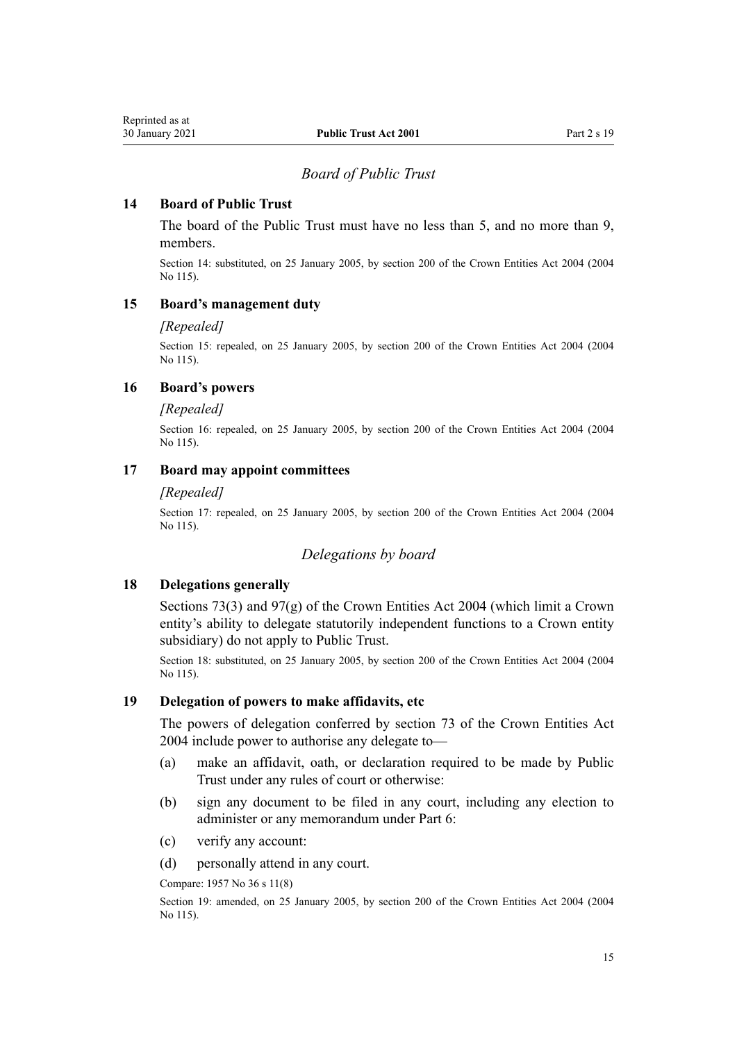#### *Board of Public Trust*

## <span id="page-14-0"></span>**14 Board of Public Trust**

The board of the Public Trust must have no less than 5, and no more than 9, members.

Section 14: substituted, on 25 January 2005, by [section 200](http://legislation.govt.nz/pdflink.aspx?id=DLM331111) of the Crown Entities Act 2004 (2004 No 115).

## **15 Board's management duty**

#### *[Repealed]*

Section 15: repealed, on 25 January 2005, by [section 200](http://legislation.govt.nz/pdflink.aspx?id=DLM331111) of the Crown Entities Act 2004 (2004 No 115).

### **16 Board's powers**

#### *[Repealed]*

Section 16: repealed, on 25 January 2005, by [section 200](http://legislation.govt.nz/pdflink.aspx?id=DLM331111) of the Crown Entities Act 2004 (2004 No 115).

#### **17 Board may appoint committees**

#### *[Repealed]*

Section 17: repealed, on 25 January 2005, by [section 200](http://legislation.govt.nz/pdflink.aspx?id=DLM331111) of the Crown Entities Act 2004 (2004 No 115).

#### *Delegations by board*

## **18 Delegations generally**

[Sections 73\(3\)](http://legislation.govt.nz/pdflink.aspx?id=DLM330308) and [97\(g\)](http://legislation.govt.nz/pdflink.aspx?id=DLM330342) of the Crown Entities Act 2004 (which limit a Crown entity's ability to delegate statutorily independent functions to a Crown entity subsidiary) do not apply to Public Trust.

Section 18: substituted, on 25 January 2005, by [section 200](http://legislation.govt.nz/pdflink.aspx?id=DLM331111) of the Crown Entities Act 2004 (2004 No 115).

## **19 Delegation of powers to make affidavits, etc**

The powers of delegation conferred by [section 73](http://legislation.govt.nz/pdflink.aspx?id=DLM330308) of the Crown Entities Act 2004 include power to authorise any delegate to—

- (a) make an affidavit, oath, or declaration required to be made by Public Trust under any rules of court or otherwise:
- (b) sign any document to be filed in any court, including any election to administer or any memorandum under [Part 6:](#page-43-0)
- (c) verify any account:
- (d) personally attend in any court.

Compare: 1957 No 36 s 11(8)

Section 19: amended, on 25 January 2005, by [section 200](http://legislation.govt.nz/pdflink.aspx?id=DLM331111) of the Crown Entities Act 2004 (2004 No 115).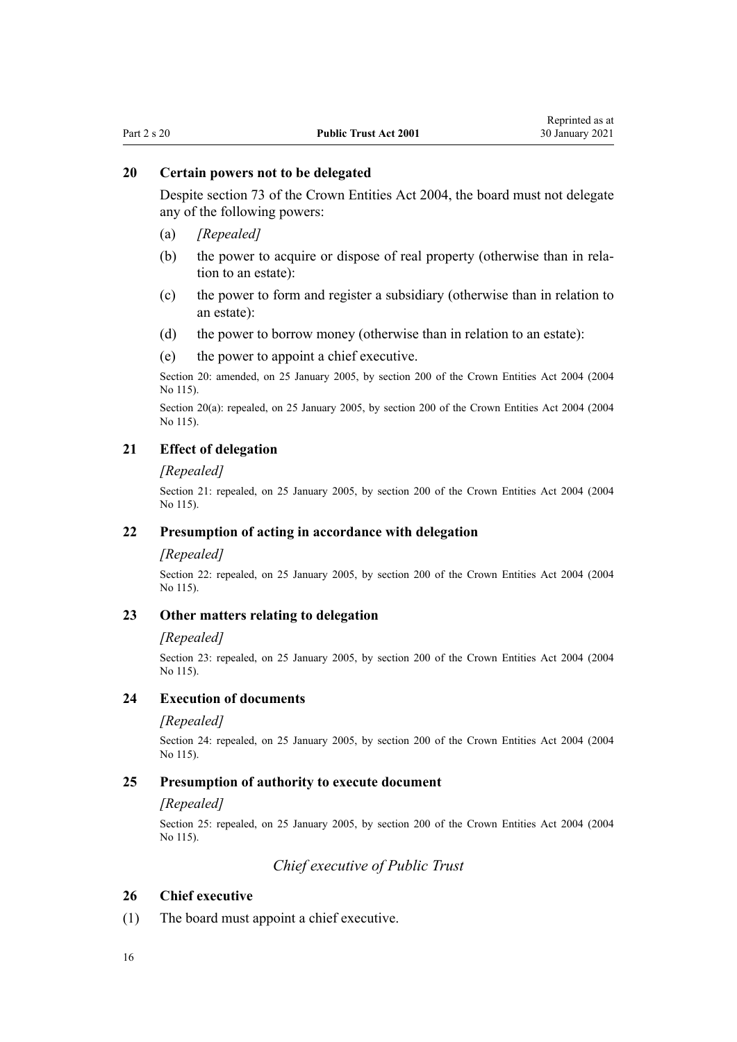## <span id="page-15-0"></span>**20 Certain powers not to be delegated**

Despite [section 73](http://legislation.govt.nz/pdflink.aspx?id=DLM330308) of the Crown Entities Act 2004, the board must not delegate any of the following powers:

- (a) *[Repealed]*
- (b) the power to acquire or dispose of real property (otherwise than in relation to an estate):
- (c) the power to form and register a subsidiary (otherwise than in relation to an estate):
- (d) the power to borrow money (otherwise than in relation to an estate):
- (e) the power to appoint a chief executive.

Section 20: amended, on 25 January 2005, by [section 200](http://legislation.govt.nz/pdflink.aspx?id=DLM331111) of the Crown Entities Act 2004 (2004 No 115).

Section 20(a): repealed, on 25 January 2005, by [section 200](http://legislation.govt.nz/pdflink.aspx?id=DLM331111) of the Crown Entities Act 2004 (2004 No 115).

## **21 Effect of delegation**

#### *[Repealed]*

Section 21: repealed, on 25 January 2005, by [section 200](http://legislation.govt.nz/pdflink.aspx?id=DLM331111) of the Crown Entities Act 2004 (2004 No 115).

#### **22 Presumption of acting in accordance with delegation**

#### *[Repealed]*

Section 22: repealed, on 25 January 2005, by [section 200](http://legislation.govt.nz/pdflink.aspx?id=DLM331111) of the Crown Entities Act 2004 (2004 No 115).

#### **23 Other matters relating to delegation**

#### *[Repealed]*

Section 23: repealed, on 25 January 2005, by [section 200](http://legislation.govt.nz/pdflink.aspx?id=DLM331111) of the Crown Entities Act 2004 (2004 No 115).

#### **24 Execution of documents**

#### *[Repealed]*

Section 24: repealed, on 25 January 2005, by [section 200](http://legislation.govt.nz/pdflink.aspx?id=DLM331111) of the Crown Entities Act 2004 (2004) No 115).

#### **25 Presumption of authority to execute document**

#### *[Repealed]*

Section 25: repealed, on 25 January 2005, by [section 200](http://legislation.govt.nz/pdflink.aspx?id=DLM331111) of the Crown Entities Act 2004 (2004 No 115).

*Chief executive of Public Trust*

#### **26 Chief executive**

(1) The board must appoint a chief executive.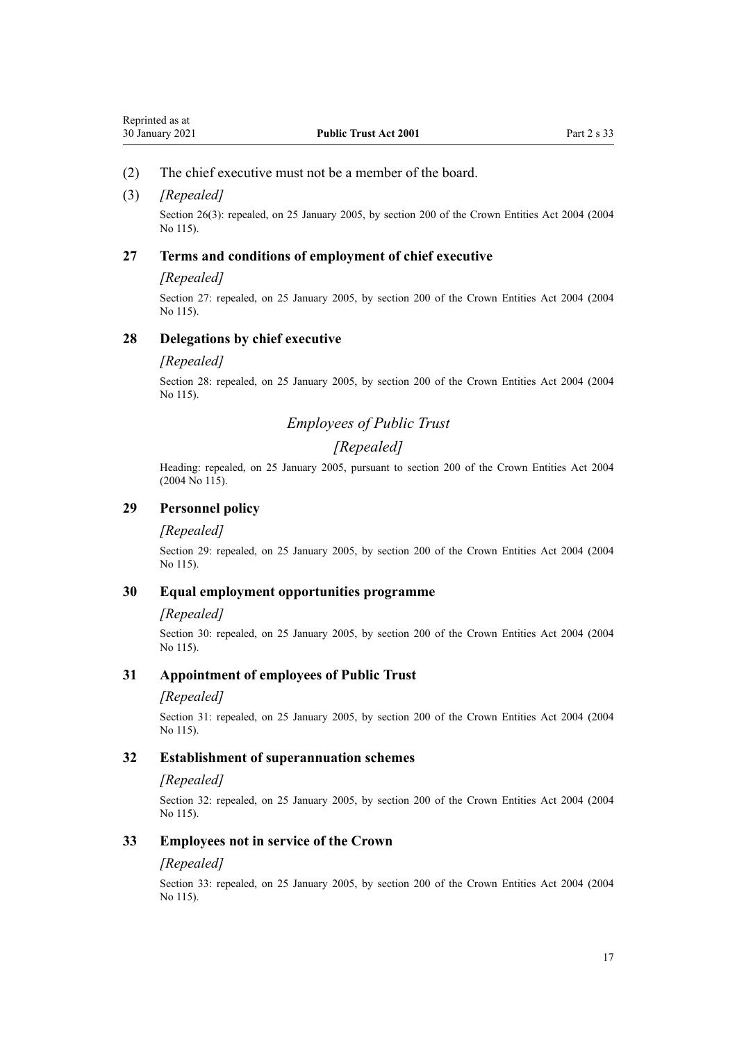#### <span id="page-16-0"></span>(2) The chief executive must not be a member of the board.

#### (3) *[Repealed]*

Section 26(3): repealed, on 25 January 2005, by [section 200](http://legislation.govt.nz/pdflink.aspx?id=DLM331111) of the Crown Entities Act 2004 (2004) No 115).

#### **27 Terms and conditions of employment of chief executive**

#### *[Repealed]*

Section 27: repealed, on 25 January 2005, by [section 200](http://legislation.govt.nz/pdflink.aspx?id=DLM331111) of the Crown Entities Act 2004 (2004) No 115).

#### **28 Delegations by chief executive**

#### *[Repealed]*

Section 28: repealed, on 25 January 2005, by [section 200](http://legislation.govt.nz/pdflink.aspx?id=DLM331111) of the Crown Entities Act 2004 (2004 No 115).

# *Employees of Public Trust*

# *[Repealed]*

Heading: repealed, on 25 January 2005, pursuant to [section 200](http://legislation.govt.nz/pdflink.aspx?id=DLM331111) of the Crown Entities Act 2004 (2004 No 115).

# **29 Personnel policy**

#### *[Repealed]*

Section 29: repealed, on 25 January 2005, by [section 200](http://legislation.govt.nz/pdflink.aspx?id=DLM331111) of the Crown Entities Act 2004 (2004 No 115).

#### **30 Equal employment opportunities programme**

#### *[Repealed]*

Section 30: repealed, on 25 January 2005, by [section 200](http://legislation.govt.nz/pdflink.aspx?id=DLM331111) of the Crown Entities Act 2004 (2004 No 115).

#### **31 Appointment of employees of Public Trust**

#### *[Repealed]*

Section 31: repealed, on 25 January 2005, by [section 200](http://legislation.govt.nz/pdflink.aspx?id=DLM331111) of the Crown Entities Act 2004 (2004 No 115).

#### **32 Establishment of superannuation schemes**

#### *[Repealed]*

Section 32: repealed, on 25 January 2005, by [section 200](http://legislation.govt.nz/pdflink.aspx?id=DLM331111) of the Crown Entities Act 2004 (2004 No 115).

#### **33 Employees not in service of the Crown**

#### *[Repealed]*

Section 33: repealed, on 25 January 2005, by [section 200](http://legislation.govt.nz/pdflink.aspx?id=DLM331111) of the Crown Entities Act 2004 (2004 No 115).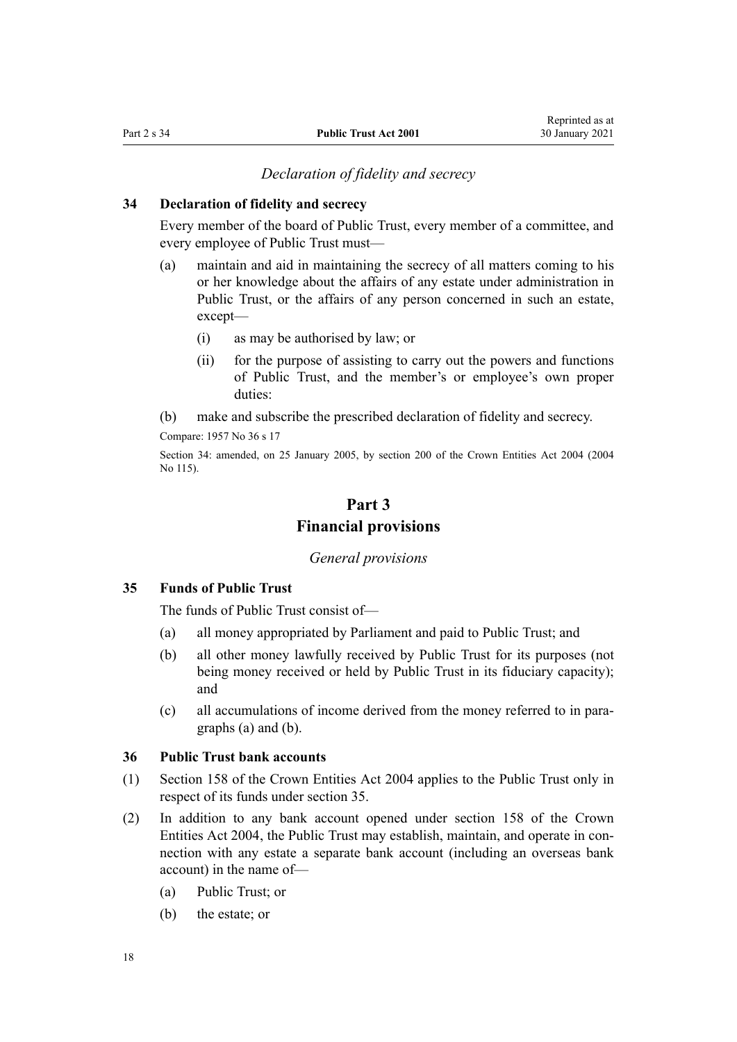#### *Declaration of fidelity and secrecy*

## <span id="page-17-0"></span>**34 Declaration of fidelity and secrecy**

Every member of the board of Public Trust, every member of a committee, and every employee of Public Trust must—

- (a) maintain and aid in maintaining the secrecy of all matters coming to his or her knowledge about the affairs of any estate under administration in Public Trust, or the affairs of any person concerned in such an estate, except—
	- (i) as may be authorised by law; or
	- (ii) for the purpose of assisting to carry out the powers and functions of Public Trust, and the member's or employee's own proper duties:
- (b) make and subscribe the prescribed declaration of fidelity and secrecy.

Compare: 1957 No 36 s 17

Section 34: amended, on 25 January 2005, by [section 200](http://legislation.govt.nz/pdflink.aspx?id=DLM331111) of the Crown Entities Act 2004 (2004 No 115).

# **Part 3 Financial provisions**

#### *General provisions*

# **35 Funds of Public Trust**

The funds of Public Trust consist of—

- (a) all money appropriated by Parliament and paid to Public Trust; and
- (b) all other money lawfully received by Public Trust for its purposes (not being money received or held by Public Trust in its fiduciary capacity); and
- (c) all accumulations of income derived from the money referred to in paragraphs (a) and (b).

#### **36 Public Trust bank accounts**

- (1) [Section 158](http://legislation.govt.nz/pdflink.aspx?id=DLM330562) of the Crown Entities Act 2004 applies to the Public Trust only in respect of its funds under section 35.
- (2) In addition to any bank account opened under [section 158](http://legislation.govt.nz/pdflink.aspx?id=DLM330562) of the Crown Entities Act 2004, the Public Trust may establish, maintain, and operate in connection with any estate a separate bank account (including an overseas bank account) in the name of—
	- (a) Public Trust; or
	- (b) the estate; or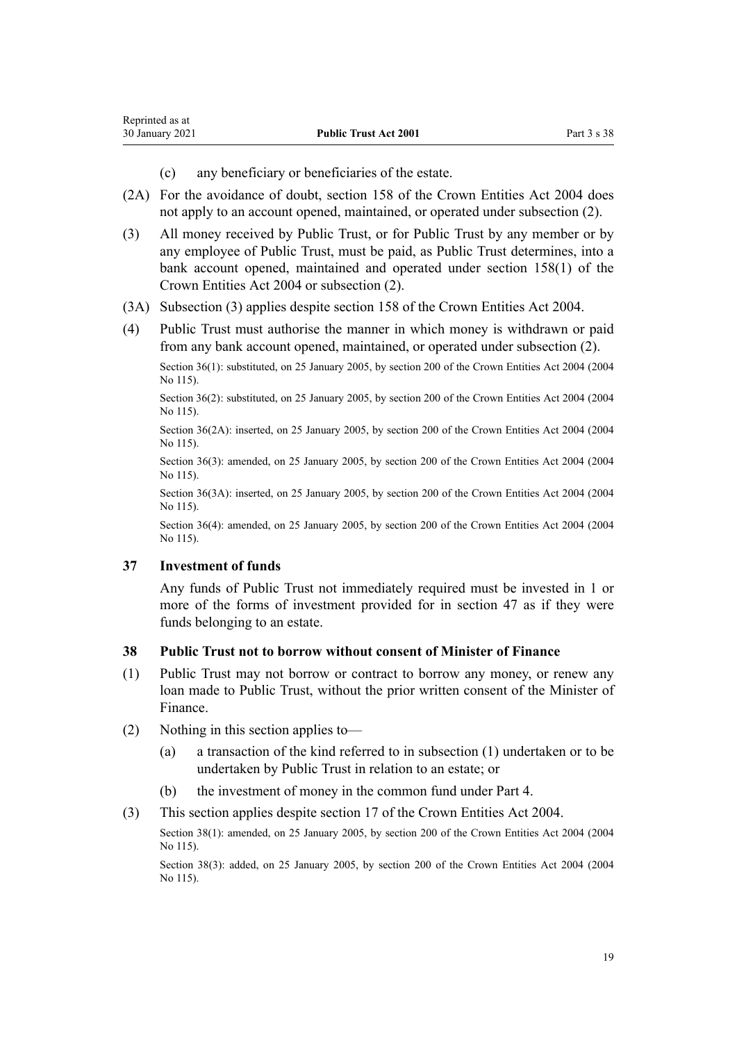- (c) any beneficiary or beneficiaries of the estate.
- <span id="page-18-0"></span>(2A) For the avoidance of doubt, [section 158](http://legislation.govt.nz/pdflink.aspx?id=DLM330562) of the Crown Entities Act 2004 does not apply to an account opened, maintained, or operated under subsection (2).
- (3) All money received by Public Trust, or for Public Trust by any member or by any employee of Public Trust, must be paid, as Public Trust determines, into a bank account opened, maintained and operated under [section 158\(1\)](http://legislation.govt.nz/pdflink.aspx?id=DLM330562) of the Crown Entities Act 2004 or subsection (2).
- (3A) Subsection (3) applies despite [section 158](http://legislation.govt.nz/pdflink.aspx?id=DLM330562) of the Crown Entities Act 2004.
- (4) Public Trust must authorise the manner in which money is withdrawn or paid from any bank account opened, maintained, or operated under subsection (2).

Section 36(1): substituted, on 25 January 2005, by [section 200](http://legislation.govt.nz/pdflink.aspx?id=DLM331111) of the Crown Entities Act 2004 (2004) No 115).

Section 36(2): substituted, on 25 January 2005, by [section 200](http://legislation.govt.nz/pdflink.aspx?id=DLM331111) of the Crown Entities Act 2004 (2004) No 115).

Section 36(2A): inserted, on 25 January 2005, by [section 200](http://legislation.govt.nz/pdflink.aspx?id=DLM331111) of the Crown Entities Act 2004 (2004 No 115).

Section 36(3): amended, on 25 January 2005, by [section 200](http://legislation.govt.nz/pdflink.aspx?id=DLM331111) of the Crown Entities Act 2004 (2004 No 115).

Section 36(3A): inserted, on 25 January 2005, by [section 200](http://legislation.govt.nz/pdflink.aspx?id=DLM331111) of the Crown Entities Act 2004 (2004 No 115).

Section 36(4): amended, on 25 January 2005, by [section 200](http://legislation.govt.nz/pdflink.aspx?id=DLM331111) of the Crown Entities Act 2004 (2004 No 115).

### **37 Investment of funds**

Any funds of Public Trust not immediately required must be invested in 1 or more of the forms of investment provided for in [section 47](#page-20-0) as if they were funds belonging to an estate.

#### **38 Public Trust not to borrow without consent of Minister of Finance**

- (1) Public Trust may not borrow or contract to borrow any money, or renew any loan made to Public Trust, without the prior written consent of the Minister of Finance.
- (2) Nothing in this section applies to—
	- (a) a transaction of the kind referred to in subsection (1) undertaken or to be undertaken by Public Trust in relation to an estate; or
	- (b) the investment of money in the common fund under [Part 4](#page-20-0).
- (3) This section applies despite [section 17](http://legislation.govt.nz/pdflink.aspx?id=DLM329931) of the Crown Entities Act 2004.

Section 38(1): amended, on 25 January 2005, by [section 200](http://legislation.govt.nz/pdflink.aspx?id=DLM331111) of the Crown Entities Act 2004 (2004) No 115).

Section 38(3): added, on 25 January 2005, by [section 200](http://legislation.govt.nz/pdflink.aspx?id=DLM331111) of the Crown Entities Act 2004 (2004) No 115).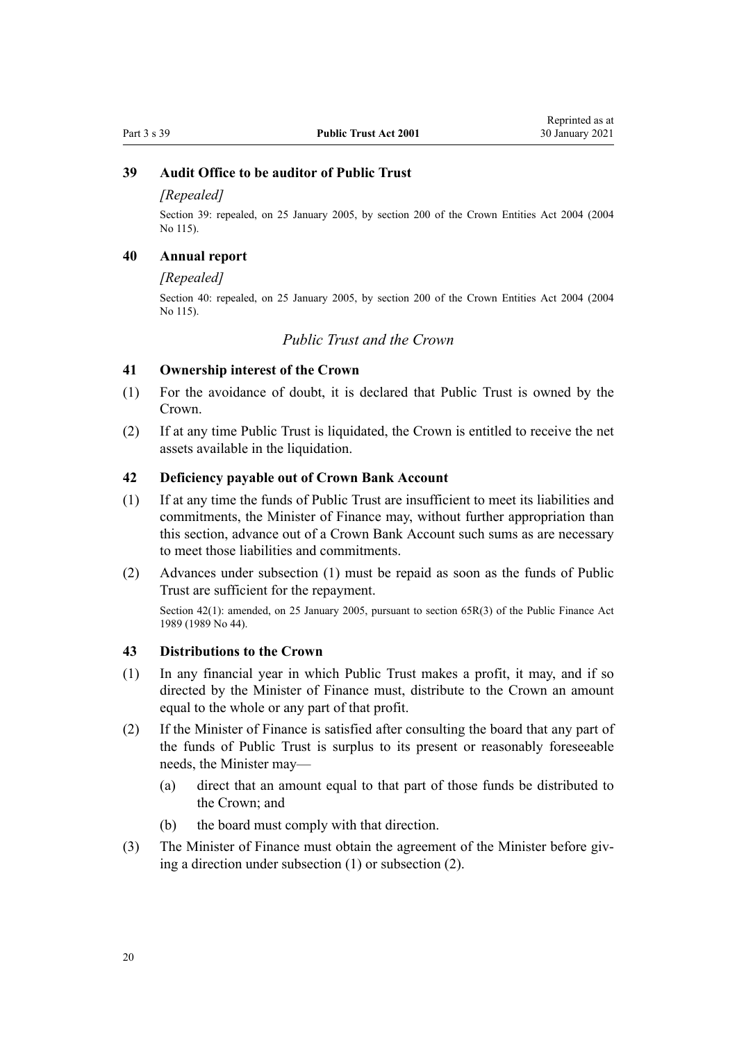# <span id="page-19-0"></span>**39 Audit Office to be auditor of Public Trust**

### *[Repealed]*

Section 39: repealed, on 25 January 2005, by [section 200](http://legislation.govt.nz/pdflink.aspx?id=DLM331111) of the Crown Entities Act 2004 (2004 No 115).

## **40 Annual report**

#### *[Repealed]*

Section 40: repealed, on 25 January 2005, by [section 200](http://legislation.govt.nz/pdflink.aspx?id=DLM331111) of the Crown Entities Act 2004 (2004 No 115).

## *Public Trust and the Crown*

#### **41 Ownership interest of the Crown**

- (1) For the avoidance of doubt, it is declared that Public Trust is owned by the Crown.
- (2) If at any time Public Trust is liquidated, the Crown is entitled to receive the net assets available in the liquidation.

#### **42 Deficiency payable out of Crown Bank Account**

- (1) If at any time the funds of Public Trust are insufficient to meet its liabilities and commitments, the Minister of Finance may, without further appropriation than this section, advance out of a Crown Bank Account such sums as are necessary to meet those liabilities and commitments.
- (2) Advances under subsection (1) must be repaid as soon as the funds of Public Trust are sufficient for the repayment.

Section 42(1): amended, on 25 January 2005, pursuant to [section 65R\(3\)](http://legislation.govt.nz/pdflink.aspx?id=DLM162942) of the Public Finance Act 1989 (1989 No 44).

#### **43 Distributions to the Crown**

- (1) In any financial year in which Public Trust makes a profit, it may, and if so directed by the Minister of Finance must, distribute to the Crown an amount equal to the whole or any part of that profit.
- (2) If the Minister of Finance is satisfied after consulting the board that any part of the funds of Public Trust is surplus to its present or reasonably foreseeable needs, the Minister may—
	- (a) direct that an amount equal to that part of those funds be distributed to the Crown; and
	- (b) the board must comply with that direction.
- (3) The Minister of Finance must obtain the agreement of the Minister before giving a direction under subsection (1) or subsection (2).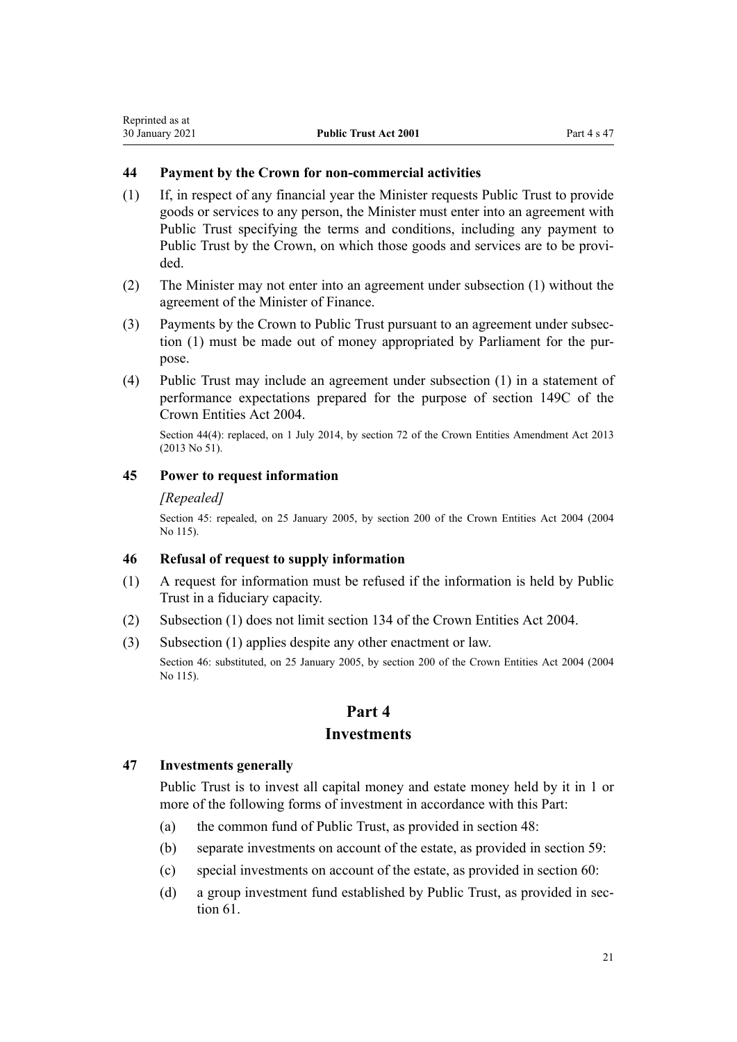# <span id="page-20-0"></span>**44 Payment by the Crown for non-commercial activities**

- (1) If, in respect of any financial year the Minister requests Public Trust to provide goods or services to any person, the Minister must enter into an agreement with Public Trust specifying the terms and conditions, including any payment to Public Trust by the Crown, on which those goods and services are to be provided.
- (2) The Minister may not enter into an agreement under subsection (1) without the agreement of the Minister of Finance.
- (3) Payments by the Crown to Public Trust pursuant to an agreement under subsection (1) must be made out of money appropriated by Parliament for the purpose.
- (4) Public Trust may include an agreement under subsection (1) in a statement of performance expectations prepared for the purpose of [section 149C](http://legislation.govt.nz/pdflink.aspx?id=DLM6176675) of the Crown Entities Act 2004.

Section 44(4): replaced, on 1 July 2014, by [section 72](http://legislation.govt.nz/pdflink.aspx?id=DLM5327162) of the Crown Entities Amendment Act 2013 (2013 No 51).

### **45 Power to request information**

#### *[Repealed]*

Section 45: repealed, on 25 January 2005, by [section 200](http://legislation.govt.nz/pdflink.aspx?id=DLM331111) of the Crown Entities Act 2004 (2004 No 115).

#### **46 Refusal of request to supply information**

- (1) A request for information must be refused if the information is held by Public Trust in a fiduciary capacity.
- (2) Subsection (1) does not limit [section 134](http://legislation.govt.nz/pdflink.aspx?id=DLM330502) of the Crown Entities Act 2004.
- (3) Subsection (1) applies despite any other enactment or law.

Section 46: substituted, on 25 January 2005, by [section 200](http://legislation.govt.nz/pdflink.aspx?id=DLM331111) of the Crown Entities Act 2004 (2004 No 115).

# **Part 4 Investments**

#### **47 Investments generally**

Public Trust is to invest all capital money and estate money held by it in 1 or more of the following forms of investment in accordance with this Part:

- (a) the common fund of Public Trust, as provided in [section 48:](#page-21-0)
- (b) separate investments on account of the estate, as provided in [section 59:](#page-25-0)
- (c) special investments on account of the estate, as provided in [section 60](#page-26-0):
- (d) a group investment fund established by Public Trust, as provided in [sec](#page-26-0)[tion 61](#page-26-0).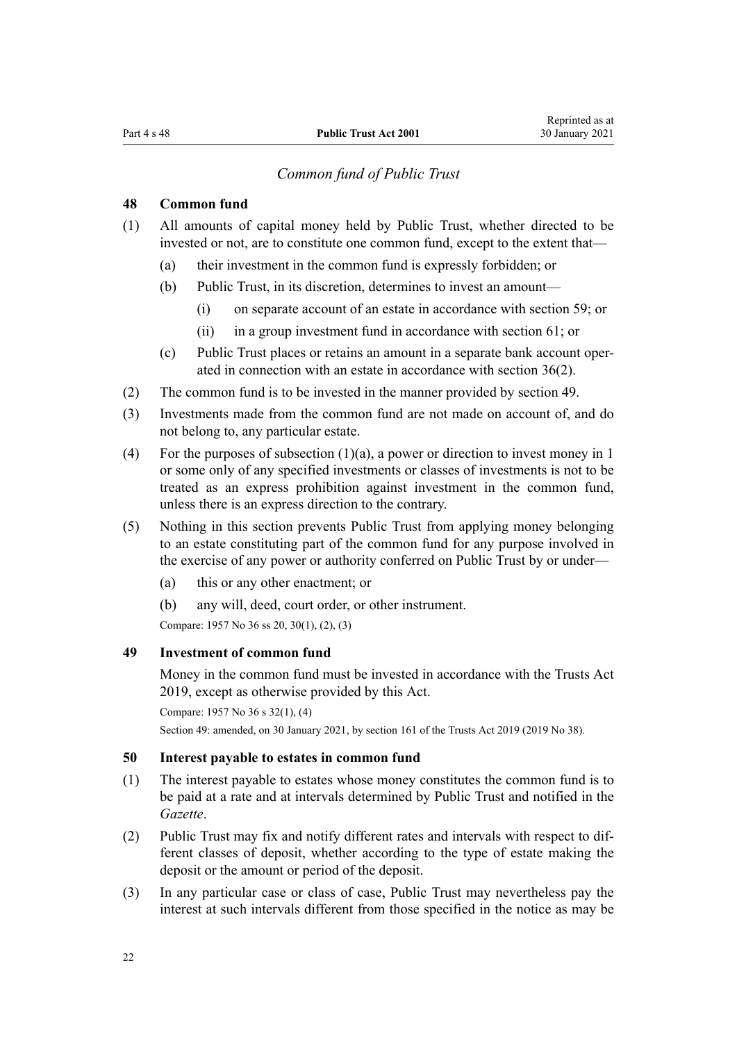# *Common fund of Public Trust*

## <span id="page-21-0"></span>**48 Common fund**

- (1) All amounts of capital money held by Public Trust, whether directed to be invested or not, are to constitute one common fund, except to the extent that—
	- (a) their investment in the common fund is expressly forbidden; or
	- (b) Public Trust, in its discretion, determines to invest an amount—
		- (i) on separate account of an estate in accordance with [section 59;](#page-25-0) or
		- (ii) in a group investment fund in accordance with [section 61;](#page-26-0) or
	- (c) Public Trust places or retains an amount in a separate bank account operated in connection with an estate in accordance with [section 36\(2\).](#page-17-0)
- (2) The common fund is to be invested in the manner provided by section 49.
- (3) Investments made from the common fund are not made on account of, and do not belong to, any particular estate.
- (4) For the purposes of subsection (1)(a), a power or direction to invest money in 1 or some only of any specified investments or classes of investments is not to be treated as an express prohibition against investment in the common fund, unless there is an express direction to the contrary.
- (5) Nothing in this section prevents Public Trust from applying money belonging to an estate constituting part of the common fund for any purpose involved in the exercise of any power or authority conferred on Public Trust by or under—
	- (a) this or any other enactment; or
	- (b) any will, deed, court order, or other instrument.

Compare: 1957 No 36 ss 20, 30(1), (2), (3)

#### **49 Investment of common fund**

Money in the common fund must be invested in accordance with the [Trusts Act](http://legislation.govt.nz/pdflink.aspx?id=DLM7382802) [2019](http://legislation.govt.nz/pdflink.aspx?id=DLM7382802), except as otherwise provided by this Act.

Compare: 1957 No 36 s 32(1), (4)

Section 49: amended, on 30 January 2021, by [section 161](http://legislation.govt.nz/pdflink.aspx?id=DLM7383110) of the Trusts Act 2019 (2019 No 38).

## **50 Interest payable to estates in common fund**

- (1) The interest payable to estates whose money constitutes the common fund is to be paid at a rate and at intervals determined by Public Trust and notified in the *Gazette*.
- (2) Public Trust may fix and notify different rates and intervals with respect to different classes of deposit, whether according to the type of estate making the deposit or the amount or period of the deposit.
- (3) In any particular case or class of case, Public Trust may nevertheless pay the interest at such intervals different from those specified in the notice as may be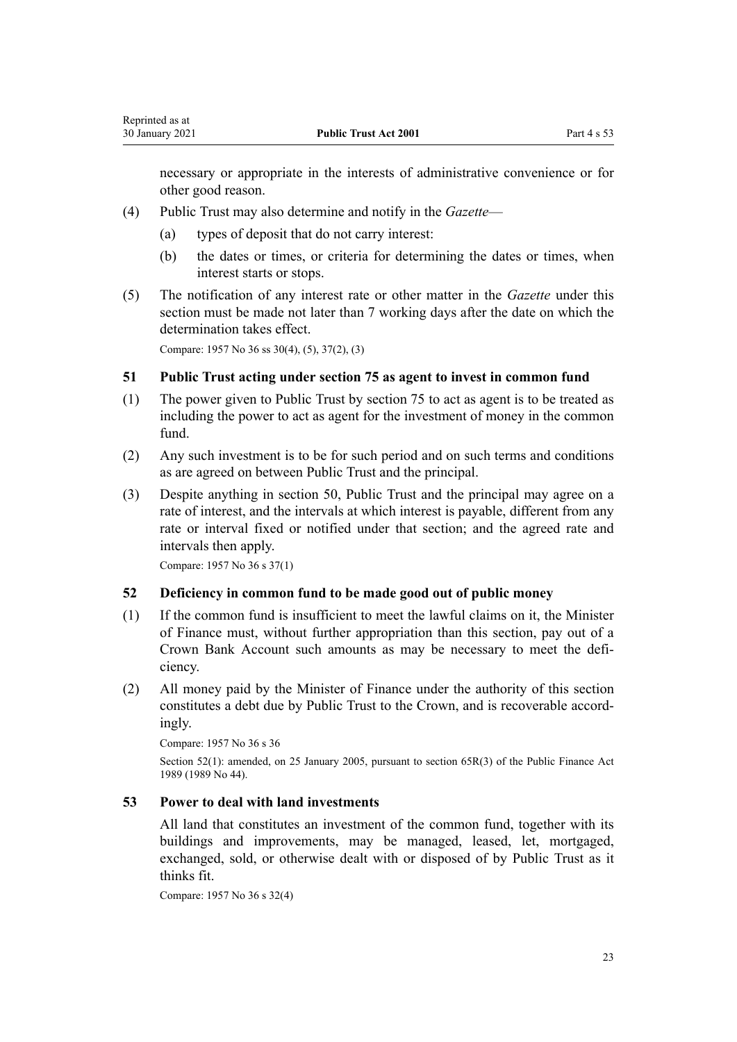<span id="page-22-0"></span>necessary or appropriate in the interests of administrative convenience or for other good reason.

- (4) Public Trust may also determine and notify in the *Gazette*
	- (a) types of deposit that do not carry interest:
	- (b) the dates or times, or criteria for determining the dates or times, when interest starts or stops.
- (5) The notification of any interest rate or other matter in the *Gazette* under this section must be made not later than 7 working days after the date on which the determination takes effect.

Compare: 1957 No 36 ss 30(4), (5), 37(2), (3)

### **51 Public Trust acting under section 75 as agent to invest in common fund**

- (1) The power given to Public Trust by [section 75](#page-32-0) to act as agent is to be treated as including the power to act as agent for the investment of money in the common fund.
- (2) Any such investment is to be for such period and on such terms and conditions as are agreed on between Public Trust and the principal.
- (3) Despite anything in [section 50,](#page-21-0) Public Trust and the principal may agree on a rate of interest, and the intervals at which interest is payable, different from any rate or interval fixed or notified under that section; and the agreed rate and intervals then apply.

Compare: 1957 No 36 s 37(1)

## **52 Deficiency in common fund to be made good out of public money**

- (1) If the common fund is insufficient to meet the lawful claims on it, the Minister of Finance must, without further appropriation than this section, pay out of a Crown Bank Account such amounts as may be necessary to meet the deficiency.
- (2) All money paid by the Minister of Finance under the authority of this section constitutes a debt due by Public Trust to the Crown, and is recoverable accordingly.

Compare: 1957 No 36 s 36

Section 52(1): amended, on 25 January 2005, pursuant to [section 65R\(3\)](http://legislation.govt.nz/pdflink.aspx?id=DLM162942) of the Public Finance Act 1989 (1989 No 44).

#### **53 Power to deal with land investments**

All land that constitutes an investment of the common fund, together with its buildings and improvements, may be managed, leased, let, mortgaged, exchanged, sold, or otherwise dealt with or disposed of by Public Trust as it thinks fit.

Compare: 1957 No 36 s 32(4)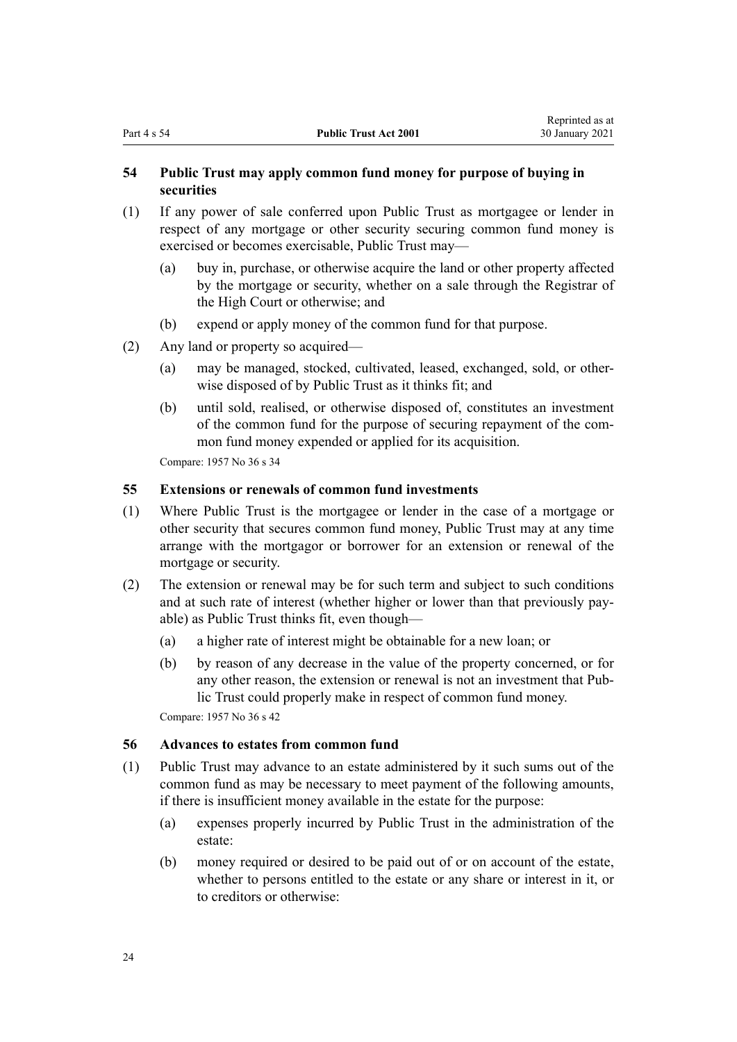## <span id="page-23-0"></span>**54 Public Trust may apply common fund money for purpose of buying in securities**

- (1) If any power of sale conferred upon Public Trust as mortgagee or lender in respect of any mortgage or other security securing common fund money is exercised or becomes exercisable, Public Trust may—
	- (a) buy in, purchase, or otherwise acquire the land or other property affected by the mortgage or security, whether on a sale through the Registrar of the High Court or otherwise; and
	- (b) expend or apply money of the common fund for that purpose.
- (2) Any land or property so acquired—
	- (a) may be managed, stocked, cultivated, leased, exchanged, sold, or otherwise disposed of by Public Trust as it thinks fit; and
	- (b) until sold, realised, or otherwise disposed of, constitutes an investment of the common fund for the purpose of securing repayment of the common fund money expended or applied for its acquisition.

Compare: 1957 No 36 s 34

# **55 Extensions or renewals of common fund investments**

- (1) Where Public Trust is the mortgagee or lender in the case of a mortgage or other security that secures common fund money, Public Trust may at any time arrange with the mortgagor or borrower for an extension or renewal of the mortgage or security.
- (2) The extension or renewal may be for such term and subject to such conditions and at such rate of interest (whether higher or lower than that previously payable) as Public Trust thinks fit, even though—
	- (a) a higher rate of interest might be obtainable for a new loan; or
	- (b) by reason of any decrease in the value of the property concerned, or for any other reason, the extension or renewal is not an investment that Public Trust could properly make in respect of common fund money.

Compare: 1957 No 36 s 42

### **56 Advances to estates from common fund**

- (1) Public Trust may advance to an estate administered by it such sums out of the common fund as may be necessary to meet payment of the following amounts, if there is insufficient money available in the estate for the purpose:
	- (a) expenses properly incurred by Public Trust in the administration of the estate:
	- (b) money required or desired to be paid out of or on account of the estate, whether to persons entitled to the estate or any share or interest in it, or to creditors or otherwise: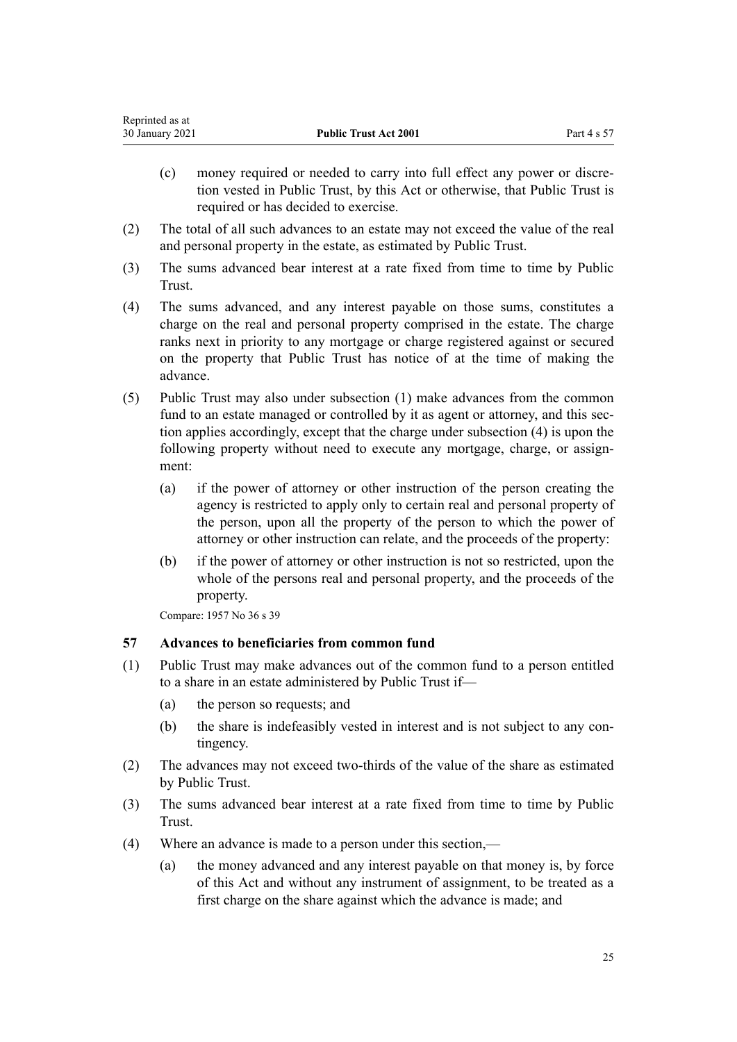<span id="page-24-0"></span>

| Reprinted as at |                              |             |
|-----------------|------------------------------|-------------|
| 30 January 2021 | <b>Public Trust Act 2001</b> | Part 4 s 57 |

- (c) money required or needed to carry into full effect any power or discretion vested in Public Trust, by this Act or otherwise, that Public Trust is required or has decided to exercise.
- (2) The total of all such advances to an estate may not exceed the value of the real and personal property in the estate, as estimated by Public Trust.
- (3) The sums advanced bear interest at a rate fixed from time to time by Public Trust.
- (4) The sums advanced, and any interest payable on those sums, constitutes a charge on the real and personal property comprised in the estate. The charge ranks next in priority to any mortgage or charge registered against or secured on the property that Public Trust has notice of at the time of making the advance.
- (5) Public Trust may also under subsection (1) make advances from the common fund to an estate managed or controlled by it as agent or attorney, and this section applies accordingly, except that the charge under subsection (4) is upon the following property without need to execute any mortgage, charge, or assignment:
	- (a) if the power of attorney or other instruction of the person creating the agency is restricted to apply only to certain real and personal property of the person, upon all the property of the person to which the power of attorney or other instruction can relate, and the proceeds of the property:
	- (b) if the power of attorney or other instruction is not so restricted, upon the whole of the persons real and personal property, and the proceeds of the property.

Compare: 1957 No 36 s 39

## **57 Advances to beneficiaries from common fund**

- (1) Public Trust may make advances out of the common fund to a person entitled to a share in an estate administered by Public Trust if—
	- (a) the person so requests; and
	- (b) the share is indefeasibly vested in interest and is not subject to any contingency.
- (2) The advances may not exceed two-thirds of the value of the share as estimated by Public Trust.
- (3) The sums advanced bear interest at a rate fixed from time to time by Public Trust.
- (4) Where an advance is made to a person under this section,—
	- (a) the money advanced and any interest payable on that money is, by force of this Act and without any instrument of assignment, to be treated as a first charge on the share against which the advance is made; and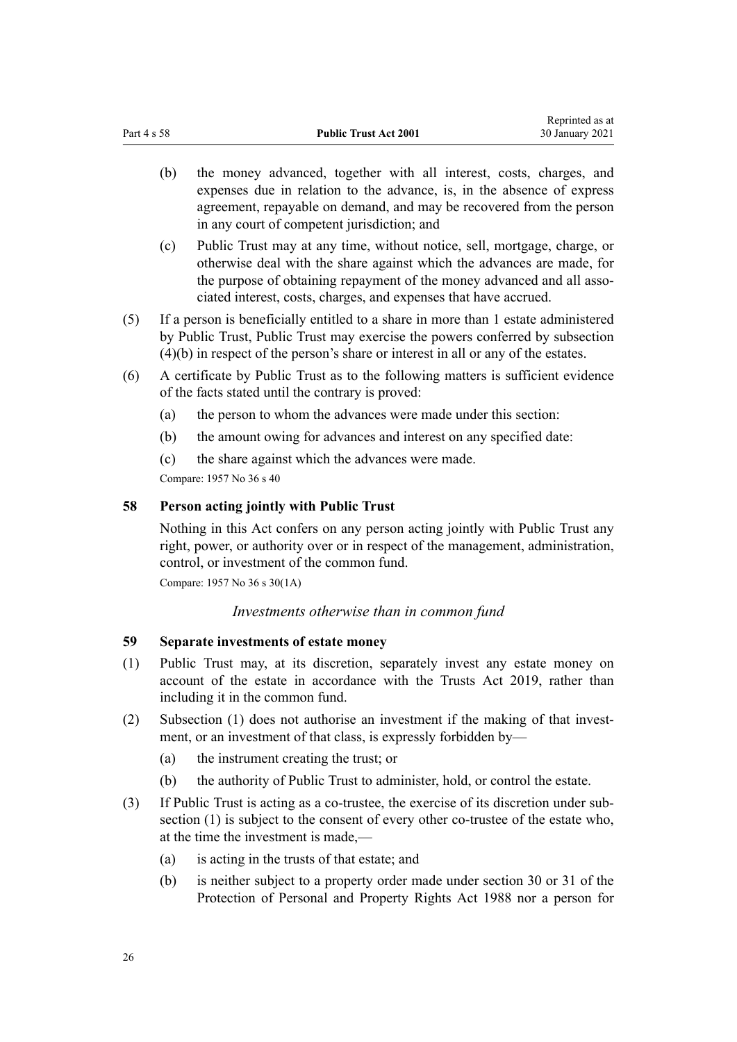- <span id="page-25-0"></span>(b) the money advanced, together with all interest, costs, charges, and expenses due in relation to the advance, is, in the absence of express agreement, repayable on demand, and may be recovered from the person in any court of competent jurisdiction; and
- (c) Public Trust may at any time, without notice, sell, mortgage, charge, or otherwise deal with the share against which the advances are made, for the purpose of obtaining repayment of the money advanced and all associated interest, costs, charges, and expenses that have accrued.
- (5) If a person is beneficially entitled to a share in more than 1 estate administered by Public Trust, Public Trust may exercise the powers conferred by subsection (4)(b) in respect of the person's share or interest in all or any of the estates.
- (6) A certificate by Public Trust as to the following matters is sufficient evidence of the facts stated until the contrary is proved:
	- (a) the person to whom the advances were made under this section:
	- (b) the amount owing for advances and interest on any specified date:
	- (c) the share against which the advances were made.

Compare: 1957 No 36 s 40

## **58 Person acting jointly with Public Trust**

Nothing in this Act confers on any person acting jointly with Public Trust any right, power, or authority over or in respect of the management, administration, control, or investment of the common fund.

Compare: 1957 No 36 s 30(1A)

*Investments otherwise than in common fund*

## **59 Separate investments of estate money**

- (1) Public Trust may, at its discretion, separately invest any estate money on account of the estate in accordance with the [Trusts Act 2019](http://legislation.govt.nz/pdflink.aspx?id=DLM7382802), rather than including it in the common fund.
- (2) Subsection (1) does not authorise an investment if the making of that investment, or an investment of that class, is expressly forbidden by—
	- (a) the instrument creating the trust; or
	- (b) the authority of Public Trust to administer, hold, or control the estate.
- (3) If Public Trust is acting as a co-trustee, the exercise of its discretion under subsection (1) is subject to the consent of every other co-trustee of the estate who, at the time the investment is made,—
	- (a) is acting in the trusts of that estate; and
	- (b) is neither subject to a property order made under [section 30](http://legislation.govt.nz/pdflink.aspx?id=DLM127009) or [31](http://legislation.govt.nz/pdflink.aspx?id=DLM127010) of the Protection of Personal and Property Rights Act 1988 nor a person for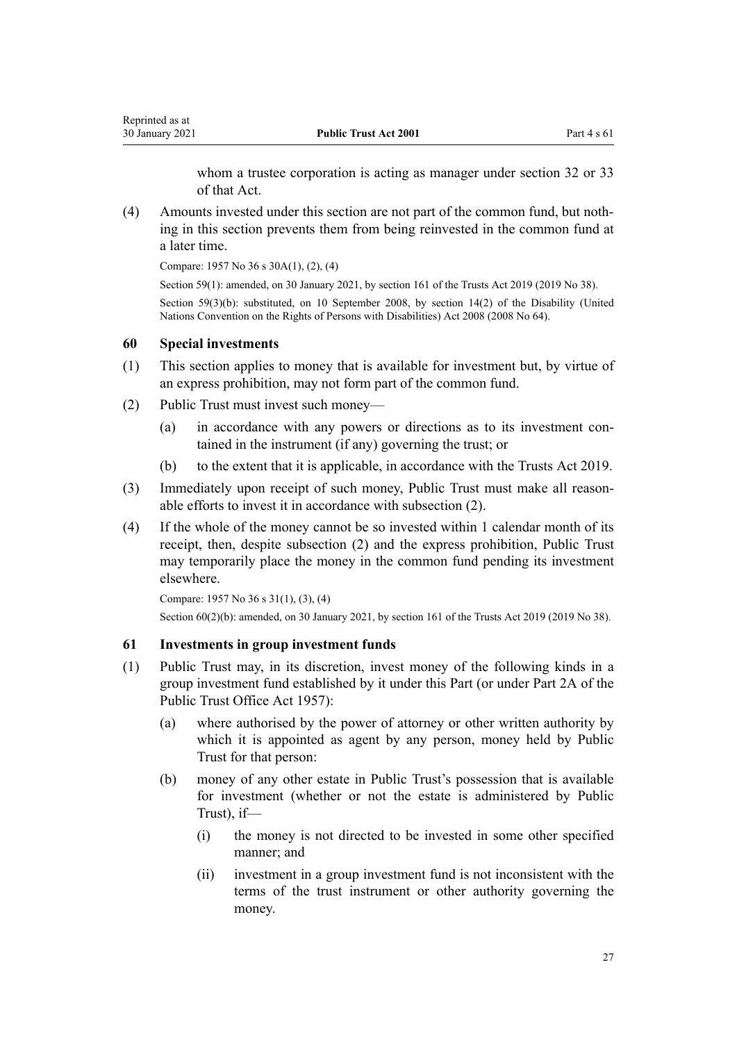whom a trustee corporation is acting as manager under [section 32](http://legislation.govt.nz/pdflink.aspx?id=DLM127016) or [33](http://legislation.govt.nz/pdflink.aspx?id=DLM127020) of that Act.

<span id="page-26-0"></span>(4) Amounts invested under this section are not part of the common fund, but nothing in this section prevents them from being reinvested in the common fund at a later time.

Compare: 1957 No 36 s 30A(1), (2), (4)

Section 59(1): amended, on 30 January 2021, by [section 161](http://legislation.govt.nz/pdflink.aspx?id=DLM7383110) of the Trusts Act 2019 (2019 No 38). Section 59(3)(b): substituted, on 10 September 2008, by [section 14\(2\)](http://legislation.govt.nz/pdflink.aspx?id=DLM1404054) of the Disability (United Nations Convention on the Rights of Persons with Disabilities) Act 2008 (2008 No 64).

#### **60 Special investments**

- (1) This section applies to money that is available for investment but, by virtue of an express prohibition, may not form part of the common fund.
- (2) Public Trust must invest such money—
	- (a) in accordance with any powers or directions as to its investment contained in the instrument (if any) governing the trust; or
	- (b) to the extent that it is applicable, in accordance with the [Trusts Act 2019](http://legislation.govt.nz/pdflink.aspx?id=DLM7382802).
- (3) Immediately upon receipt of such money, Public Trust must make all reasonable efforts to invest it in accordance with subsection (2).
- (4) If the whole of the money cannot be so invested within 1 calendar month of its receipt, then, despite subsection (2) and the express prohibition, Public Trust may temporarily place the money in the common fund pending its investment elsewhere.

Compare: 1957 No 36 s 31(1), (3), (4) Section 60(2)(b): amended, on 30 January 2021, by [section 161](http://legislation.govt.nz/pdflink.aspx?id=DLM7383110) of the Trusts Act 2019 (2019 No 38).

# **61 Investments in group investment funds**

- (1) Public Trust may, in its discretion, invest money of the following kinds in a group investment fund established by it under this Part (or under Part 2A of the Public Trust Office Act 1957):
	- (a) where authorised by the power of attorney or other written authority by which it is appointed as agent by any person, money held by Public Trust for that person:
	- (b) money of any other estate in Public Trust's possession that is available for investment (whether or not the estate is administered by Public Trust) if—
		- (i) the money is not directed to be invested in some other specified manner; and
		- (ii) investment in a group investment fund is not inconsistent with the terms of the trust instrument or other authority governing the money.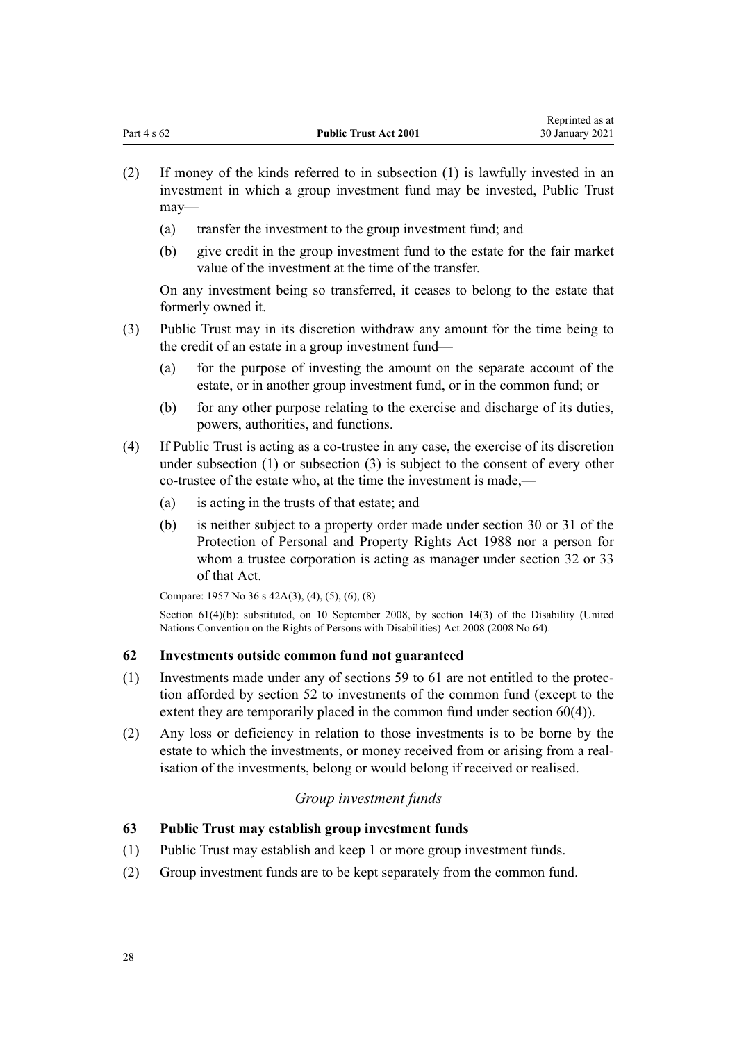- <span id="page-27-0"></span>(2) If money of the kinds referred to in subsection (1) is lawfully invested in an investment in which a group investment fund may be invested, Public Trust may—
	- (a) transfer the investment to the group investment fund; and
	- (b) give credit in the group investment fund to the estate for the fair market value of the investment at the time of the transfer.

On any investment being so transferred, it ceases to belong to the estate that formerly owned it.

- (3) Public Trust may in its discretion withdraw any amount for the time being to the credit of an estate in a group investment fund—
	- (a) for the purpose of investing the amount on the separate account of the estate, or in another group investment fund, or in the common fund; or
	- (b) for any other purpose relating to the exercise and discharge of its duties, powers, authorities, and functions.
- (4) If Public Trust is acting as a co-trustee in any case, the exercise of its discretion under subsection (1) or subsection (3) is subject to the consent of every other co-trustee of the estate who, at the time the investment is made,—
	- (a) is acting in the trusts of that estate; and
	- (b) is neither subject to a property order made under [section 30](http://legislation.govt.nz/pdflink.aspx?id=DLM127009) or [31](http://legislation.govt.nz/pdflink.aspx?id=DLM127010) of the Protection of Personal and Property Rights Act 1988 nor a person for whom a trustee corporation is acting as manager under [section 32](http://legislation.govt.nz/pdflink.aspx?id=DLM127016) or [33](http://legislation.govt.nz/pdflink.aspx?id=DLM127020) of that Act.

Compare: 1957 No 36 s 42A(3), (4), (5), (6), (8)

Section 61(4)(b): substituted, on 10 September 2008, by [section 14\(3\)](http://legislation.govt.nz/pdflink.aspx?id=DLM1404054) of the Disability (United Nations Convention on the Rights of Persons with Disabilities) Act 2008 (2008 No 64).

# **62 Investments outside common fund not guaranteed**

- (1) Investments made under any of [sections 59 to 61](#page-25-0) are not entitled to the protection afforded by [section 52](#page-22-0) to investments of the common fund (except to the extent they are temporarily placed in the common fund under [section 60\(4\)](#page-26-0)).
- (2) Any loss or deficiency in relation to those investments is to be borne by the estate to which the investments, or money received from or arising from a realisation of the investments, belong or would belong if received or realised.

# *Group investment funds*

# **63 Public Trust may establish group investment funds**

- (1) Public Trust may establish and keep 1 or more group investment funds.
- (2) Group investment funds are to be kept separately from the common fund.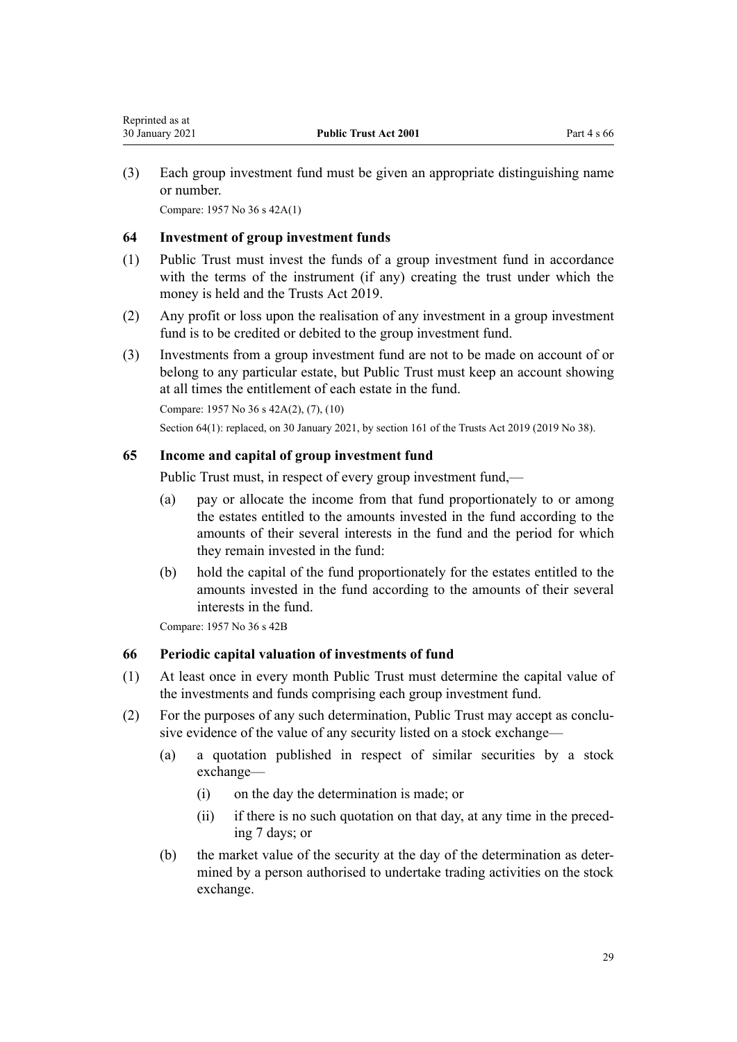<span id="page-28-0"></span>(3) Each group investment fund must be given an appropriate distinguishing name or number.

Compare: 1957 No 36 s 42A(1)

## **64 Investment of group investment funds**

- (1) Public Trust must invest the funds of a group investment fund in accordance with the terms of the instrument (if any) creating the trust under which the money is held and the [Trusts Act 2019.](http://legislation.govt.nz/pdflink.aspx?id=DLM7382802)
- (2) Any profit or loss upon the realisation of any investment in a group investment fund is to be credited or debited to the group investment fund.
- (3) Investments from a group investment fund are not to be made on account of or belong to any particular estate, but Public Trust must keep an account showing at all times the entitlement of each estate in the fund.

Compare: 1957 No 36 s 42A(2), (7), (10)

Section 64(1): replaced, on 30 January 2021, by [section 161](http://legislation.govt.nz/pdflink.aspx?id=DLM7383110) of the Trusts Act 2019 (2019 No 38).

## **65 Income and capital of group investment fund**

Public Trust must, in respect of every group investment fund,—

- (a) pay or allocate the income from that fund proportionately to or among the estates entitled to the amounts invested in the fund according to the amounts of their several interests in the fund and the period for which they remain invested in the fund:
- (b) hold the capital of the fund proportionately for the estates entitled to the amounts invested in the fund according to the amounts of their several interests in the fund.

Compare: 1957 No 36 s 42B

# **66 Periodic capital valuation of investments of fund**

- (1) At least once in every month Public Trust must determine the capital value of the investments and funds comprising each group investment fund.
- (2) For the purposes of any such determination, Public Trust may accept as conclusive evidence of the value of any security listed on a stock exchange—
	- (a) a quotation published in respect of similar securities by a stock exchange—
		- (i) on the day the determination is made; or
		- (ii) if there is no such quotation on that day, at any time in the preceding 7 days; or
	- (b) the market value of the security at the day of the determination as determined by a person authorised to undertake trading activities on the stock exchange.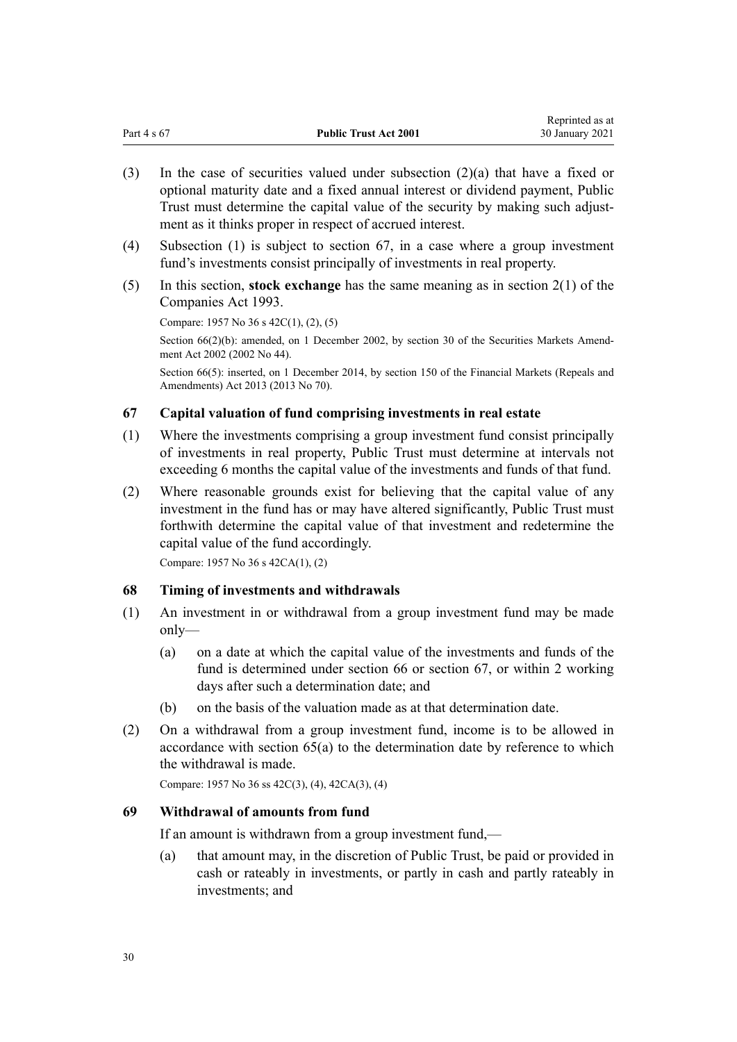<span id="page-29-0"></span>

| Part 4 s 67 | <b>Public Trust Act 2001</b> | <i>Reprinced as at</i><br>30 January 2021 |
|-------------|------------------------------|-------------------------------------------|
|             |                              |                                           |

Reprinted as at

- (3) In the case of securities valued under subsection (2)(a) that have a fixed or optional maturity date and a fixed annual interest or dividend payment, Public Trust must determine the capital value of the security by making such adjustment as it thinks proper in respect of accrued interest.
- (4) Subsection (1) is subject to section 67, in a case where a group investment fund's investments consist principally of investments in real property.
- (5) In this section, **stock exchange** has the same meaning as in [section 2\(1\)](http://legislation.govt.nz/pdflink.aspx?id=DLM319576) of the Companies Act 1993.

Compare: 1957 No 36 s 42C(1), (2), (5)

Section 66(2)(b): amended, on 1 December 2002, by [section 30](http://legislation.govt.nz/pdflink.aspx?id=DLM162198) of the Securities Markets Amendment Act 2002 (2002 No 44).

Section 66(5): inserted, on 1 December 2014, by [section 150](http://legislation.govt.nz/pdflink.aspx?id=DLM5561603) of the Financial Markets (Repeals and Amendments) Act 2013 (2013 No 70).

## **67 Capital valuation of fund comprising investments in real estate**

- (1) Where the investments comprising a group investment fund consist principally of investments in real property, Public Trust must determine at intervals not exceeding 6 months the capital value of the investments and funds of that fund.
- (2) Where reasonable grounds exist for believing that the capital value of any investment in the fund has or may have altered significantly, Public Trust must forthwith determine the capital value of that investment and redetermine the capital value of the fund accordingly.

Compare: 1957 No 36 s 42CA(1), (2)

#### **68 Timing of investments and withdrawals**

- (1) An investment in or withdrawal from a group investment fund may be made only—
	- (a) on a date at which the capital value of the investments and funds of the fund is determined under [section 66](#page-28-0) or section 67, or within 2 working days after such a determination date; and
	- (b) on the basis of the valuation made as at that determination date.
- (2) On a withdrawal from a group investment fund, income is to be allowed in accordance with [section 65\(a\)](#page-28-0) to the determination date by reference to which the withdrawal is made.

Compare: 1957 No 36 ss 42C(3), (4), 42CA(3), (4)

#### **69 Withdrawal of amounts from fund**

If an amount is withdrawn from a group investment fund,—

(a) that amount may, in the discretion of Public Trust, be paid or provided in cash or rateably in investments, or partly in cash and partly rateably in investments; and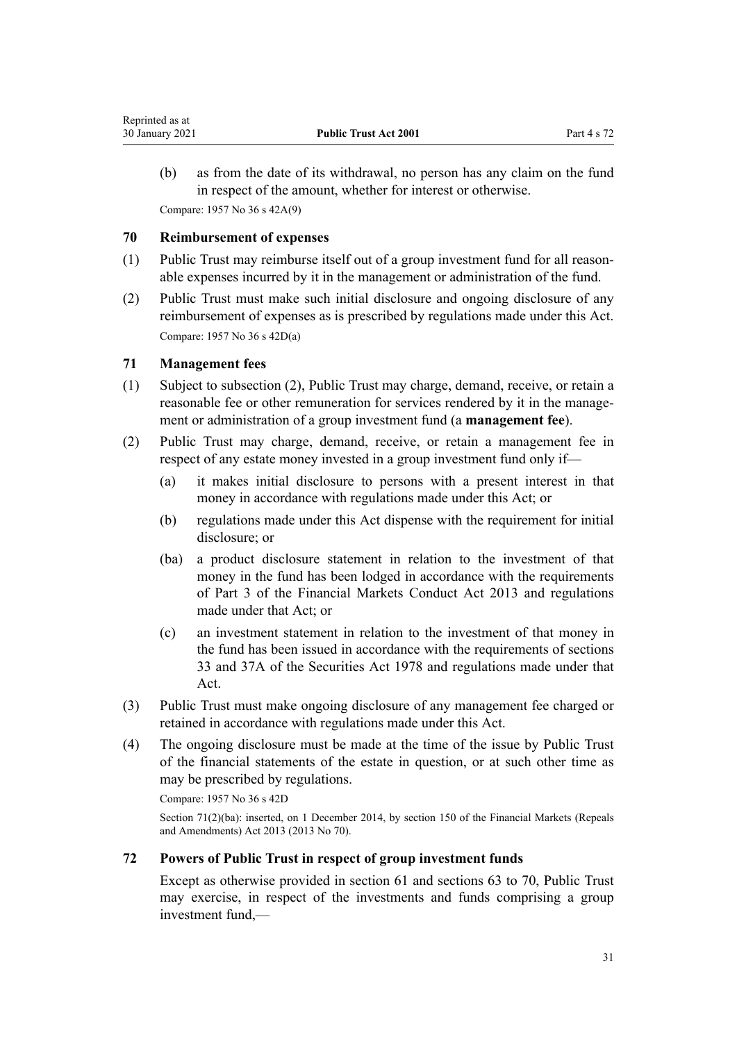<span id="page-30-0"></span>(b) as from the date of its withdrawal, no person has any claim on the fund in respect of the amount, whether for interest or otherwise. Compare: 1957 No 36 s 42A(9)

# **70 Reimbursement of expenses**

- (1) Public Trust may reimburse itself out of a group investment fund for all reasonable expenses incurred by it in the management or administration of the fund.
- (2) Public Trust must make such initial disclosure and ongoing disclosure of any reimbursement of expenses as is prescribed by regulations made under this Act. Compare: 1957 No 36 s 42D(a)

## **71 Management fees**

- (1) Subject to subsection (2), Public Trust may charge, demand, receive, or retain a reasonable fee or other remuneration for services rendered by it in the management or administration of a group investment fund (a **management fee**).
- (2) Public Trust may charge, demand, receive, or retain a management fee in respect of any estate money invested in a group investment fund only if—
	- (a) it makes initial disclosure to persons with a present interest in that money in accordance with regulations made under this Act; or
	- (b) regulations made under this Act dispense with the requirement for initial disclosure; or
	- (ba) a product disclosure statement in relation to the investment of that money in the fund has been lodged in accordance with the requirements of [Part 3](http://legislation.govt.nz/pdflink.aspx?id=DLM4090967) of the Financial Markets Conduct Act 2013 and regulations made under that Act; or
	- (c) an investment statement in relation to the investment of that money in the fund has been issued in accordance with the requirements of [sections](http://legislation.govt.nz/pdflink.aspx?id=DLM28187) [33](http://legislation.govt.nz/pdflink.aspx?id=DLM28187) and [37A](http://legislation.govt.nz/pdflink.aspx?id=DLM28351) of the Securities Act 1978 and regulations made under that Act.
- (3) Public Trust must make ongoing disclosure of any management fee charged or retained in accordance with regulations made under this Act.
- (4) The ongoing disclosure must be made at the time of the issue by Public Trust of the financial statements of the estate in question, or at such other time as may be prescribed by regulations.

Compare: 1957 No 36 s 42D

Section 71(2)(ba): inserted, on 1 December 2014, by [section 150](http://legislation.govt.nz/pdflink.aspx?id=DLM5561603) of the Financial Markets (Repeals and Amendments) Act 2013 (2013 No 70).

## **72 Powers of Public Trust in respect of group investment funds**

Except as otherwise provided in [section 61](#page-26-0) and [sections 63 to 70](#page-27-0), Public Trust may exercise, in respect of the investments and funds comprising a group investment fund,—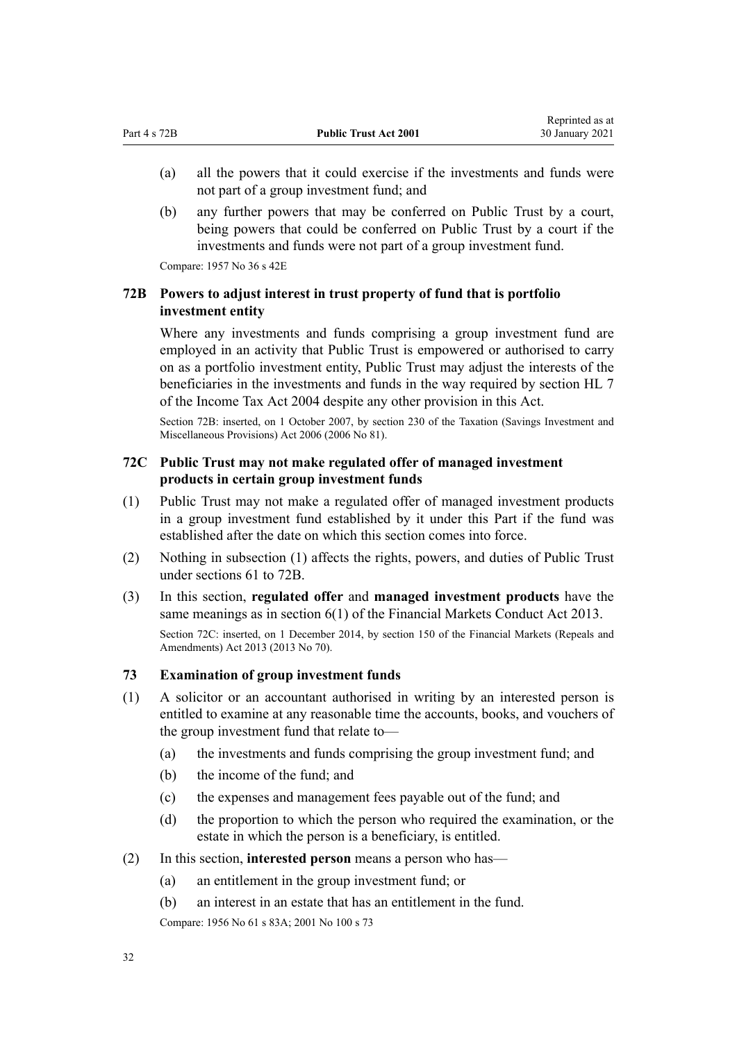- <span id="page-31-0"></span>(a) all the powers that it could exercise if the investments and funds were not part of a group investment fund; and
- (b) any further powers that may be conferred on Public Trust by a court, being powers that could be conferred on Public Trust by a court if the investments and funds were not part of a group investment fund.

Compare: 1957 No 36 s 42E

# **72B Powers to adjust interest in trust property of fund that is portfolio investment entity**

Where any investments and funds comprising a group investment fund are employed in an activity that Public Trust is empowered or authorised to carry on as a portfolio investment entity, Public Trust may adjust the interests of the beneficiaries in the investments and funds in the way required by [section HL 7](http://legislation.govt.nz/pdflink.aspx?id=DLM264600) of the Income Tax Act 2004 despite any other provision in this Act.

Section 72B: inserted, on 1 October 2007, by [section 230](http://legislation.govt.nz/pdflink.aspx?id=DLM401680) of the Taxation (Savings Investment and Miscellaneous Provisions) Act 2006 (2006 No 81).

## **72C Public Trust may not make regulated offer of managed investment products in certain group investment funds**

- (1) Public Trust may not make a regulated offer of managed investment products in a group investment fund established by it under this Part if the fund was established after the date on which this section comes into force.
- (2) Nothing in subsection (1) affects the rights, powers, and duties of Public Trust under [sections 61 to 72B.](#page-26-0)
- (3) In this section, **regulated offer** and **managed investment products** have the same meanings as in [section 6\(1\)](http://legislation.govt.nz/pdflink.aspx?id=DLM4090590) of the Financial Markets Conduct Act 2013. Section 72C: inserted, on 1 December 2014, by [section 150](http://legislation.govt.nz/pdflink.aspx?id=DLM5561603) of the Financial Markets (Repeals and Amendments) Act 2013 (2013 No 70).

#### **73 Examination of group investment funds**

- (1) A solicitor or an accountant authorised in writing by an interested person is entitled to examine at any reasonable time the accounts, books, and vouchers of the group investment fund that relate to—
	- (a) the investments and funds comprising the group investment fund; and
	- (b) the income of the fund; and
	- (c) the expenses and management fees payable out of the fund; and
	- (d) the proportion to which the person who required the examination, or the estate in which the person is a beneficiary, is entitled.
- (2) In this section, **interested person** means a person who has—
	- (a) an entitlement in the group investment fund; or
	- (b) an interest in an estate that has an entitlement in the fund.

Compare: 1956 No 61 [s 83A;](http://legislation.govt.nz/pdflink.aspx?id=DLM305807) 2001 No 100 s 73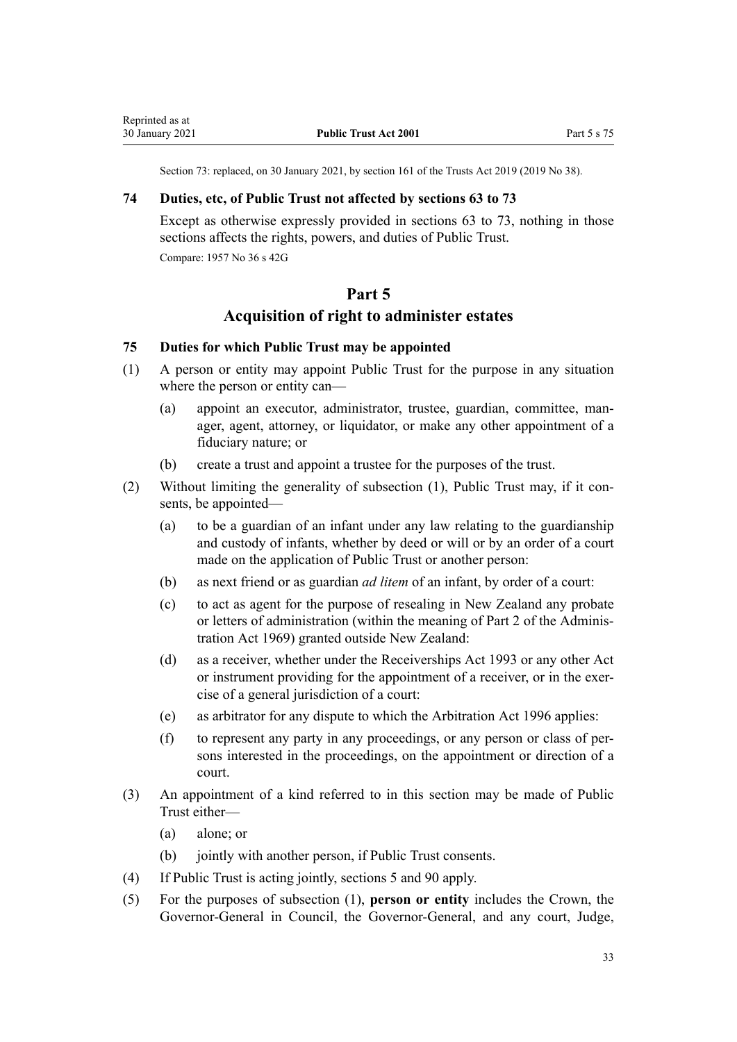Section 73: replaced, on 30 January 2021, by [section 161](http://legislation.govt.nz/pdflink.aspx?id=DLM7383110) of the Trusts Act 2019 (2019 No 38).

#### <span id="page-32-0"></span>**74 Duties, etc, of Public Trust not affected by sections 63 to 73**

Except as otherwise expressly provided in [sections 63 to 73](#page-27-0), nothing in those sections affects the rights, powers, and duties of Public Trust.

Compare: 1957 No 36 s 42G

# **Part 5**

# **Acquisition of right to administer estates**

# **75 Duties for which Public Trust may be appointed**

- (1) A person or entity may appoint Public Trust for the purpose in any situation where the person or entity can—
	- (a) appoint an executor, administrator, trustee, guardian, committee, manager, agent, attorney, or liquidator, or make any other appointment of a fiduciary nature; or
	- (b) create a trust and appoint a trustee for the purposes of the trust.
- (2) Without limiting the generality of subsection (1), Public Trust may, if it consents, be appointed—
	- (a) to be a guardian of an infant under any law relating to the guardianship and custody of infants, whether by deed or will or by an order of a court made on the application of Public Trust or another person:
	- (b) as next friend or as guardian *ad litem* of an infant, by order of a court:
	- (c) to act as agent for the purpose of resealing in New Zealand any probate or letters of administration (within the meaning of [Part 2](http://legislation.govt.nz/pdflink.aspx?id=DLM393088) of the Administration Act 1969) granted outside New Zealand:
	- (d) as a receiver, whether under the [Receiverships Act 1993](http://legislation.govt.nz/pdflink.aspx?id=DLM327640) or any other Act or instrument providing for the appointment of a receiver, or in the exercise of a general jurisdiction of a court:
	- (e) as arbitrator for any dispute to which the [Arbitration Act 1996](http://legislation.govt.nz/pdflink.aspx?id=DLM403276) applies:
	- (f) to represent any party in any proceedings, or any person or class of persons interested in the proceedings, on the appointment or direction of a court.
- (3) An appointment of a kind referred to in this section may be made of Public Trust either—
	- (a) alone; or
	- (b) jointly with another person, if Public Trust consents.
- (4) If Public Trust is acting jointly, [sections 5](#page-9-0) and [90](#page-41-0) apply.
- (5) For the purposes of subsection (1), **person or entity** includes the Crown, the Governor-General in Council, the Governor-General, and any court, Judge,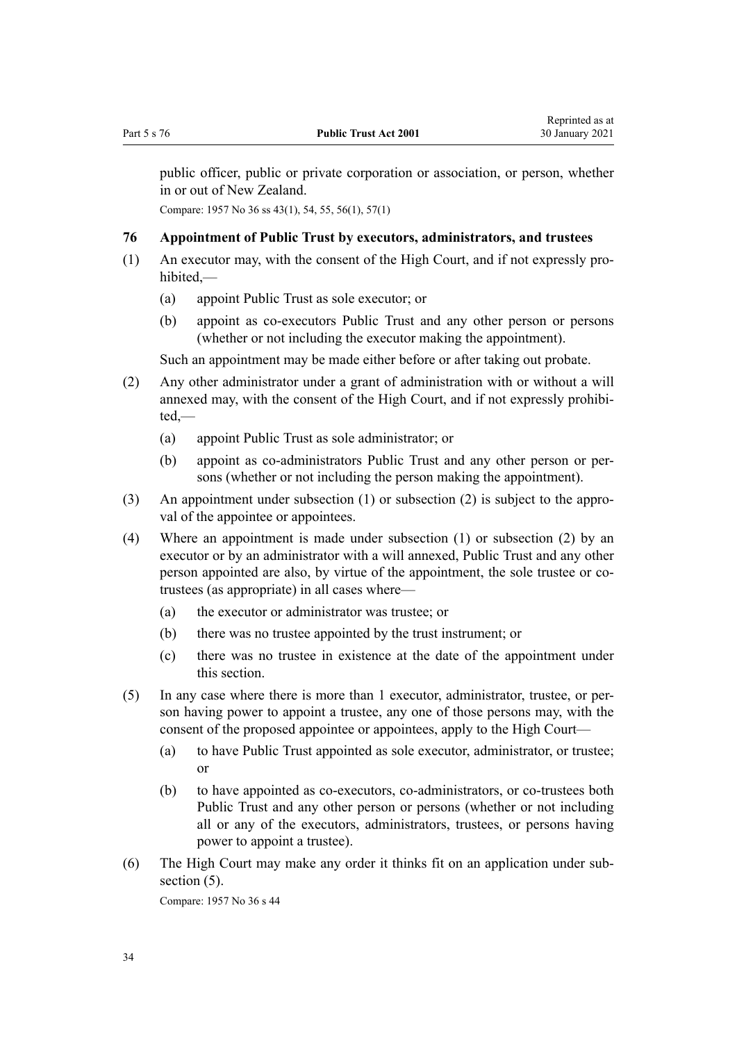<span id="page-33-0"></span>public officer, public or private corporation or association, or person, whether in or out of New Zealand.

Compare: 1957 No 36 ss 43(1), 54, 55, 56(1), 57(1)

#### **76 Appointment of Public Trust by executors, administrators, and trustees**

- (1) An executor may, with the consent of the High Court, and if not expressly prohibited,—
	- (a) appoint Public Trust as sole executor; or
	- (b) appoint as co-executors Public Trust and any other person or persons (whether or not including the executor making the appointment).

Such an appointment may be made either before or after taking out probate.

- (2) Any other administrator under a grant of administration with or without a will annexed may, with the consent of the High Court, and if not expressly prohibited,—
	- (a) appoint Public Trust as sole administrator; or
	- (b) appoint as co-administrators Public Trust and any other person or persons (whether or not including the person making the appointment).
- (3) An appointment under subsection (1) or subsection (2) is subject to the approval of the appointee or appointees.
- (4) Where an appointment is made under subsection (1) or subsection (2) by an executor or by an administrator with a will annexed, Public Trust and any other person appointed are also, by virtue of the appointment, the sole trustee or cotrustees (as appropriate) in all cases where—
	- (a) the executor or administrator was trustee; or
	- (b) there was no trustee appointed by the trust instrument; or
	- (c) there was no trustee in existence at the date of the appointment under this section.
- (5) In any case where there is more than 1 executor, administrator, trustee, or person having power to appoint a trustee, any one of those persons may, with the consent of the proposed appointee or appointees, apply to the High Court—
	- (a) to have Public Trust appointed as sole executor, administrator, or trustee; or
	- (b) to have appointed as co-executors, co-administrators, or co-trustees both Public Trust and any other person or persons (whether or not including all or any of the executors, administrators, trustees, or persons having power to appoint a trustee).
- (6) The High Court may make any order it thinks fit on an application under subsection  $(5)$ .

Compare: 1957 No 36 s 44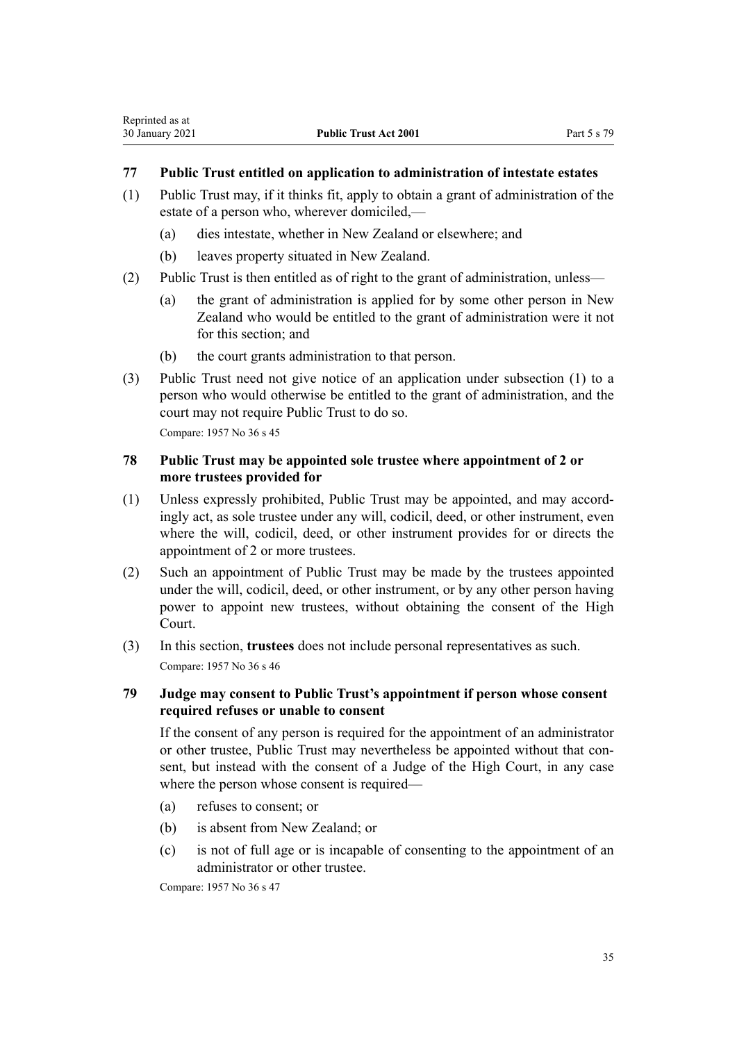# <span id="page-34-0"></span>**77 Public Trust entitled on application to administration of intestate estates**

- (1) Public Trust may, if it thinks fit, apply to obtain a grant of administration of the estate of a person who, wherever domiciled,—
	- (a) dies intestate, whether in New Zealand or elsewhere; and
	- (b) leaves property situated in New Zealand.
- (2) Public Trust is then entitled as of right to the grant of administration, unless—
	- (a) the grant of administration is applied for by some other person in New Zealand who would be entitled to the grant of administration were it not for this section; and
	- (b) the court grants administration to that person.
- (3) Public Trust need not give notice of an application under subsection (1) to a person who would otherwise be entitled to the grant of administration, and the court may not require Public Trust to do so. Compare: 1957 No 36 s 45

## **78 Public Trust may be appointed sole trustee where appointment of 2 or more trustees provided for**

- (1) Unless expressly prohibited, Public Trust may be appointed, and may accordingly act, as sole trustee under any will, codicil, deed, or other instrument, even where the will, codicil, deed, or other instrument provides for or directs the appointment of 2 or more trustees.
- (2) Such an appointment of Public Trust may be made by the trustees appointed under the will, codicil, deed, or other instrument, or by any other person having power to appoint new trustees, without obtaining the consent of the High Court.
- (3) In this section, **trustees** does not include personal representatives as such. Compare: 1957 No 36 s 46

# **79 Judge may consent to Public Trust's appointment if person whose consent required refuses or unable to consent**

If the consent of any person is required for the appointment of an administrator or other trustee, Public Trust may nevertheless be appointed without that consent, but instead with the consent of a Judge of the High Court, in any case where the person whose consent is required—

- (a) refuses to consent; or
- (b) is absent from New Zealand; or
- (c) is not of full age or is incapable of consenting to the appointment of an administrator or other trustee.

Compare: 1957 No 36 s 47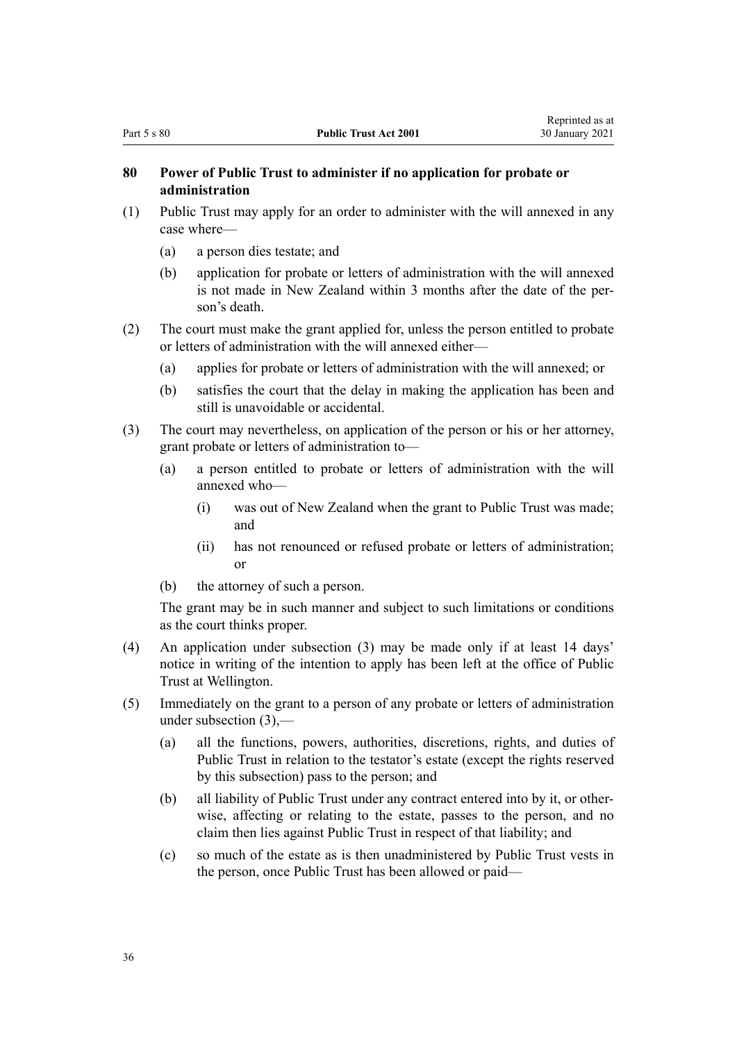## <span id="page-35-0"></span>**80 Power of Public Trust to administer if no application for probate or administration**

- (1) Public Trust may apply for an order to administer with the will annexed in any case where—
	- (a) a person dies testate; and
	- (b) application for probate or letters of administration with the will annexed is not made in New Zealand within 3 months after the date of the person's death.
- (2) The court must make the grant applied for, unless the person entitled to probate or letters of administration with the will annexed either—
	- (a) applies for probate or letters of administration with the will annexed; or
	- (b) satisfies the court that the delay in making the application has been and still is unavoidable or accidental.
- (3) The court may nevertheless, on application of the person or his or her attorney, grant probate or letters of administration to—
	- (a) a person entitled to probate or letters of administration with the will annexed who—
		- (i) was out of New Zealand when the grant to Public Trust was made; and
		- (ii) has not renounced or refused probate or letters of administration; or
	- (b) the attorney of such a person.

The grant may be in such manner and subject to such limitations or conditions as the court thinks proper.

- (4) An application under subsection (3) may be made only if at least 14 days' notice in writing of the intention to apply has been left at the office of Public Trust at Wellington.
- (5) Immediately on the grant to a person of any probate or letters of administration under subsection  $(3)$ .
	- (a) all the functions, powers, authorities, discretions, rights, and duties of Public Trust in relation to the testator's estate (except the rights reserved by this subsection) pass to the person; and
	- (b) all liability of Public Trust under any contract entered into by it, or otherwise, affecting or relating to the estate, passes to the person, and no claim then lies against Public Trust in respect of that liability; and
	- (c) so much of the estate as is then unadministered by Public Trust vests in the person, once Public Trust has been allowed or paid—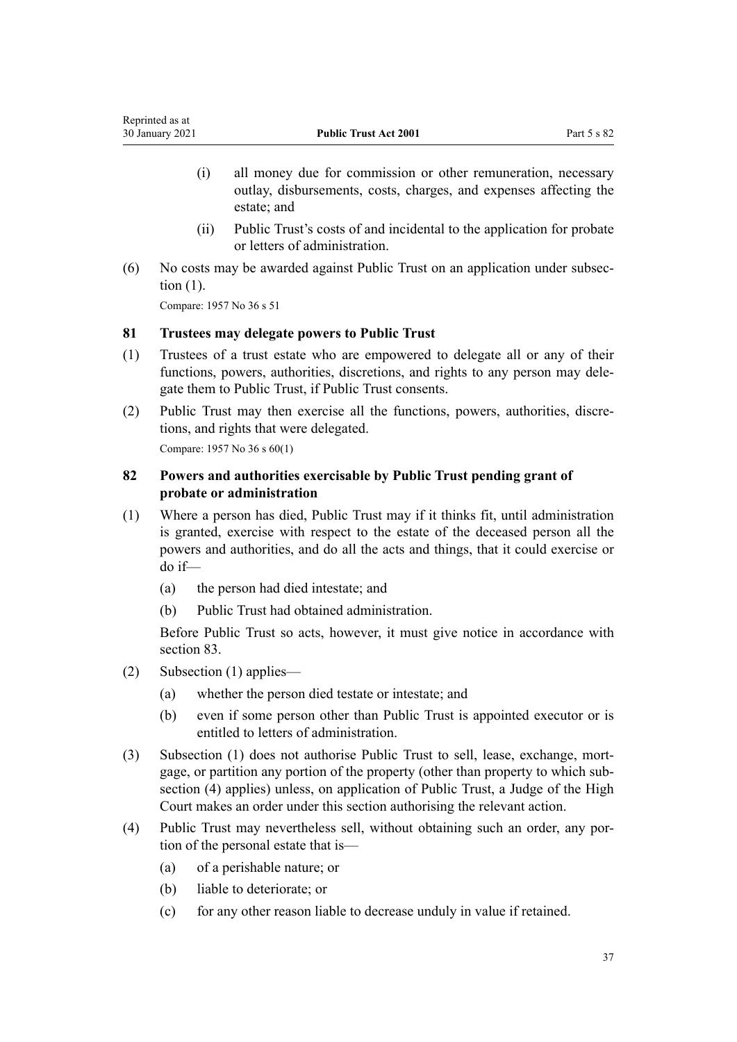- (i) all money due for commission or other remuneration, necessary outlay, disbursements, costs, charges, and expenses affecting the estate; and
- (ii) Public Trust's costs of and incidental to the application for probate or letters of administration.
- (6) No costs may be awarded against Public Trust on an application under subsection (1).

<span id="page-36-0"></span>Reprinted as at

# **81 Trustees may delegate powers to Public Trust**

- (1) Trustees of a trust estate who are empowered to delegate all or any of their functions, powers, authorities, discretions, and rights to any person may delegate them to Public Trust, if Public Trust consents.
- (2) Public Trust may then exercise all the functions, powers, authorities, discretions, and rights that were delegated. Compare: 1957 No 36 s 60(1)

**82 Powers and authorities exercisable by Public Trust pending grant of probate or administration**

- (1) Where a person has died, Public Trust may if it thinks fit, until administration is granted, exercise with respect to the estate of the deceased person all the powers and authorities, and do all the acts and things, that it could exercise or do if—
	- (a) the person had died intestate; and
	- (b) Public Trust had obtained administration.

Before Public Trust so acts, however, it must give notice in accordance with [section 83](#page-37-0).

- (2) Subsection (1) applies—
	- (a) whether the person died testate or intestate; and
	- (b) even if some person other than Public Trust is appointed executor or is entitled to letters of administration.
- (3) Subsection (1) does not authorise Public Trust to sell, lease, exchange, mortgage, or partition any portion of the property (other than property to which subsection (4) applies) unless, on application of Public Trust, a Judge of the High Court makes an order under this section authorising the relevant action.
- (4) Public Trust may nevertheless sell, without obtaining such an order, any portion of the personal estate that is—
	- (a) of a perishable nature; or
	- (b) liable to deteriorate; or
	- (c) for any other reason liable to decrease unduly in value if retained.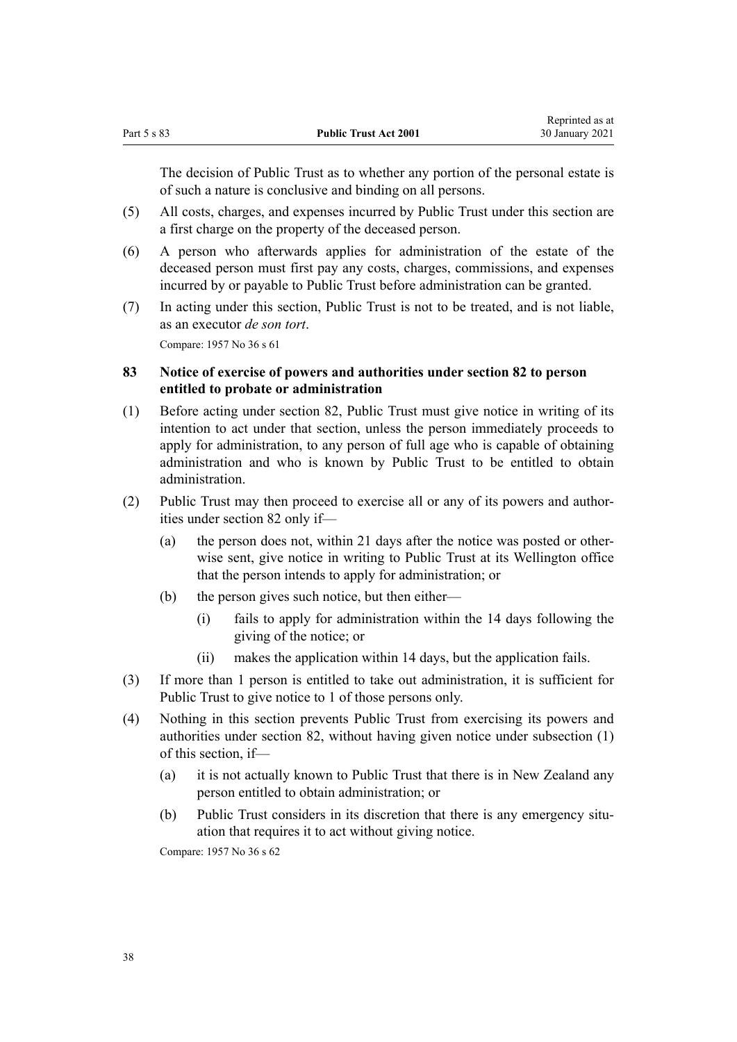<span id="page-37-0"></span>The decision of Public Trust as to whether any portion of the personal estate is of such a nature is conclusive and binding on all persons.

- (5) All costs, charges, and expenses incurred by Public Trust under this section are a first charge on the property of the deceased person.
- (6) A person who afterwards applies for administration of the estate of the deceased person must first pay any costs, charges, commissions, and expenses incurred by or payable to Public Trust before administration can be granted.
- (7) In acting under this section, Public Trust is not to be treated, and is not liable, as an executor *de son tort*. Compare: 1957 No 36 s 61

## **83 Notice of exercise of powers and authorities under section 82 to person entitled to probate or administration**

- (1) Before acting under [section 82,](#page-36-0) Public Trust must give notice in writing of its intention to act under that section, unless the person immediately proceeds to apply for administration, to any person of full age who is capable of obtaining administration and who is known by Public Trust to be entitled to obtain administration.
- (2) Public Trust may then proceed to exercise all or any of its powers and authorities under [section 82](#page-36-0) only if—
	- (a) the person does not, within 21 days after the notice was posted or otherwise sent, give notice in writing to Public Trust at its Wellington office that the person intends to apply for administration; or
	- (b) the person gives such notice, but then either—
		- (i) fails to apply for administration within the 14 days following the giving of the notice; or
		- (ii) makes the application within 14 days, but the application fails.
- (3) If more than 1 person is entitled to take out administration, it is sufficient for Public Trust to give notice to 1 of those persons only.
- (4) Nothing in this section prevents Public Trust from exercising its powers and authorities under [section 82](#page-36-0), without having given notice under subsection (1) of this section, if—
	- (a) it is not actually known to Public Trust that there is in New Zealand any person entitled to obtain administration; or
	- (b) Public Trust considers in its discretion that there is any emergency situation that requires it to act without giving notice.

Compare: 1957 No 36 s 62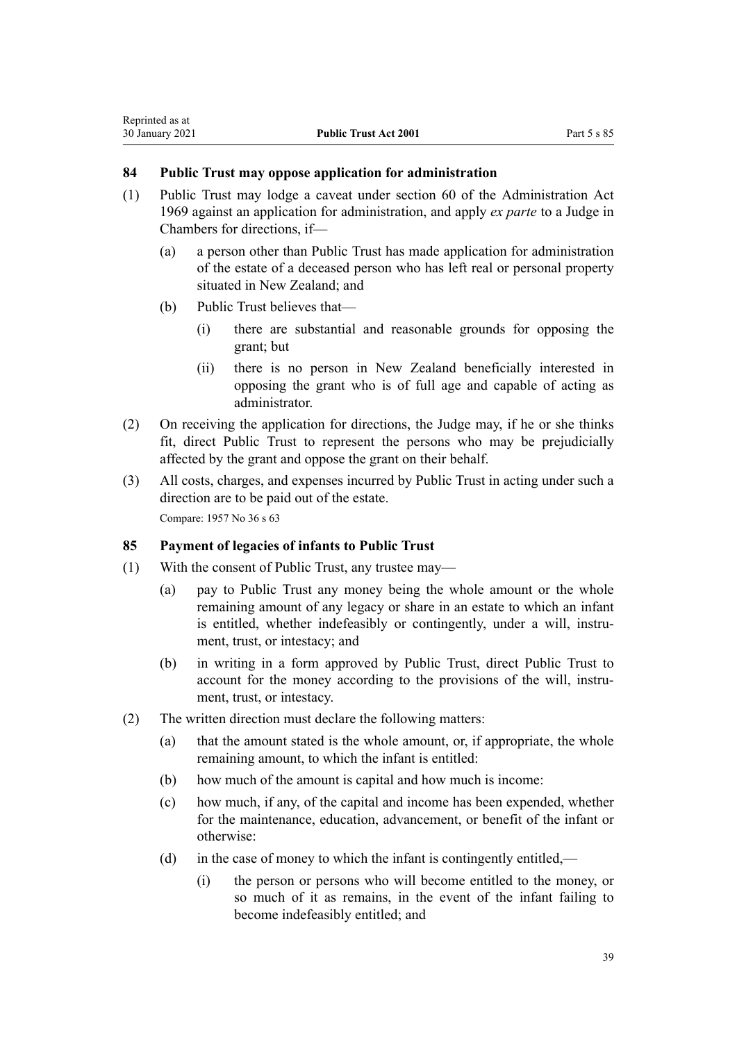## **84 Public Trust may oppose application for administration**

- (1) Public Trust may lodge a caveat under [section 60](http://legislation.govt.nz/pdflink.aspx?id=DLM393001) of the Administration Act 1969 against an application for administration, and apply *ex parte* to a Judge in Chambers for directions, if—
	- (a) a person other than Public Trust has made application for administration of the estate of a deceased person who has left real or personal property situated in New Zealand; and
	- (b) Public Trust believes that—
		- (i) there are substantial and reasonable grounds for opposing the grant; but
		- (ii) there is no person in New Zealand beneficially interested in opposing the grant who is of full age and capable of acting as administrator.
- (2) On receiving the application for directions, the Judge may, if he or she thinks fit, direct Public Trust to represent the persons who may be prejudicially affected by the grant and oppose the grant on their behalf.
- (3) All costs, charges, and expenses incurred by Public Trust in acting under such a direction are to be paid out of the estate. Compare: 1957 No 36 s 63

## **85 Payment of legacies of infants to Public Trust**

- (1) With the consent of Public Trust, any trustee may—
	- (a) pay to Public Trust any money being the whole amount or the whole remaining amount of any legacy or share in an estate to which an infant is entitled, whether indefeasibly or contingently, under a will, instrument, trust, or intestacy; and
	- (b) in writing in a form approved by Public Trust, direct Public Trust to account for the money according to the provisions of the will, instrument, trust, or intestacy.
- (2) The written direction must declare the following matters:
	- (a) that the amount stated is the whole amount, or, if appropriate, the whole remaining amount, to which the infant is entitled:
	- (b) how much of the amount is capital and how much is income:
	- (c) how much, if any, of the capital and income has been expended, whether for the maintenance, education, advancement, or benefit of the infant or otherwise:
	- (d) in the case of money to which the infant is contingently entitled,—
		- (i) the person or persons who will become entitled to the money, or so much of it as remains, in the event of the infant failing to become indefeasibly entitled; and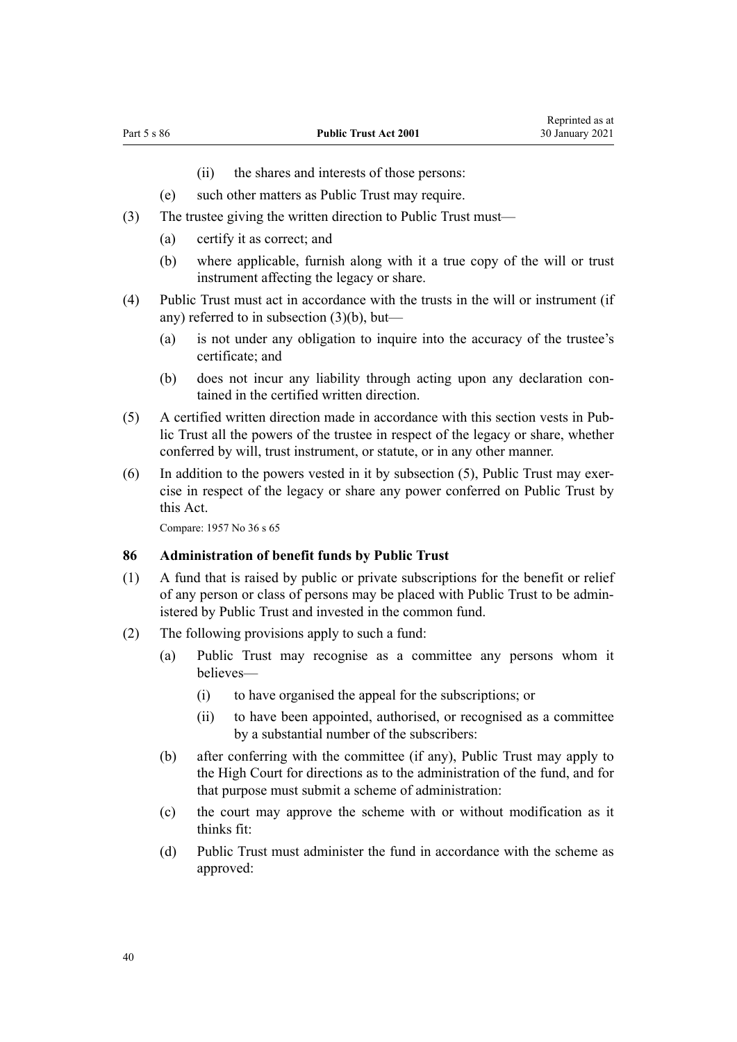- (ii) the shares and interests of those persons:
- (e) such other matters as Public Trust may require.
- <span id="page-39-0"></span>(3) The trustee giving the written direction to Public Trust must—
	- (a) certify it as correct; and
	- (b) where applicable, furnish along with it a true copy of the will or trust instrument affecting the legacy or share.
- (4) Public Trust must act in accordance with the trusts in the will or instrument (if any) referred to in subsection (3)(b), but—
	- (a) is not under any obligation to inquire into the accuracy of the trustee's certificate; and
	- (b) does not incur any liability through acting upon any declaration contained in the certified written direction.
- (5) A certified written direction made in accordance with this section vests in Public Trust all the powers of the trustee in respect of the legacy or share, whether conferred by will, trust instrument, or statute, or in any other manner.
- (6) In addition to the powers vested in it by subsection (5), Public Trust may exercise in respect of the legacy or share any power conferred on Public Trust by this Act.

#### **86 Administration of benefit funds by Public Trust**

- (1) A fund that is raised by public or private subscriptions for the benefit or relief of any person or class of persons may be placed with Public Trust to be administered by Public Trust and invested in the common fund.
- (2) The following provisions apply to such a fund:
	- (a) Public Trust may recognise as a committee any persons whom it believes—
		- (i) to have organised the appeal for the subscriptions; or
		- (ii) to have been appointed, authorised, or recognised as a committee by a substantial number of the subscribers:
	- (b) after conferring with the committee (if any), Public Trust may apply to the High Court for directions as to the administration of the fund, and for that purpose must submit a scheme of administration:
	- (c) the court may approve the scheme with or without modification as it thinks fit:
	- (d) Public Trust must administer the fund in accordance with the scheme as approved: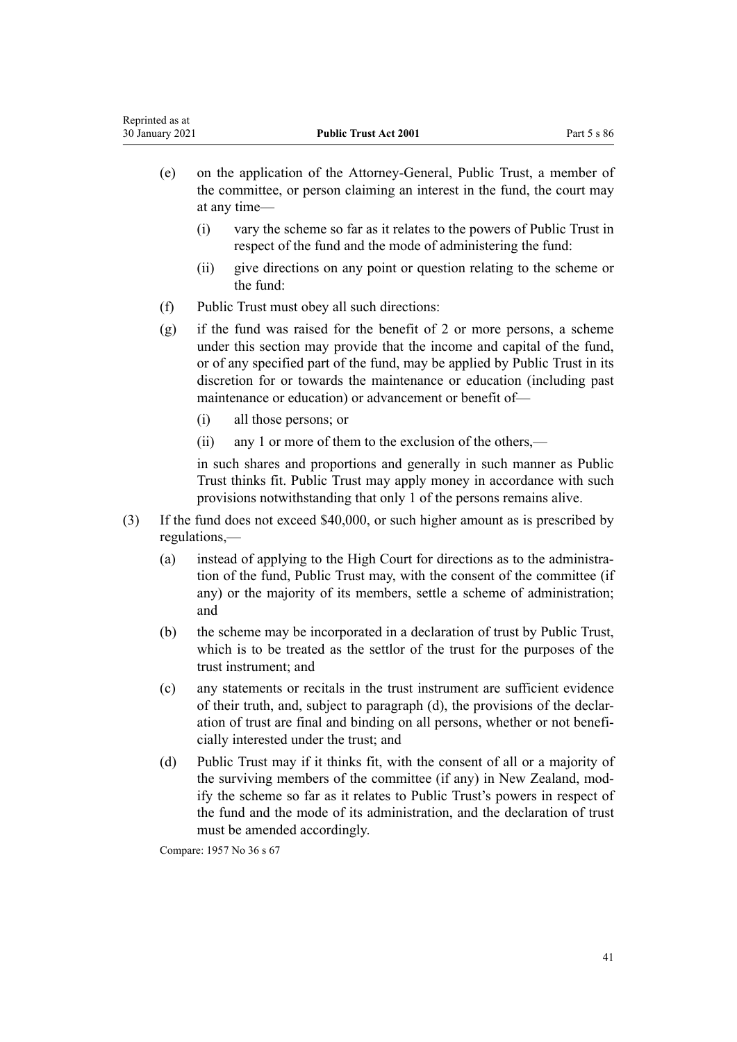- (e) on the application of the Attorney-General, Public Trust, a member of the committee, or person claiming an interest in the fund, the court may at any time—
	- (i) vary the scheme so far as it relates to the powers of Public Trust in respect of the fund and the mode of administering the fund:
	- (ii) give directions on any point or question relating to the scheme or the fund:
- (f) Public Trust must obey all such directions:
- (g) if the fund was raised for the benefit of 2 or more persons, a scheme under this section may provide that the income and capital of the fund, or of any specified part of the fund, may be applied by Public Trust in its discretion for or towards the maintenance or education (including past maintenance or education) or advancement or benefit of—
	- (i) all those persons; or
	- (ii) any 1 or more of them to the exclusion of the others,—

in such shares and proportions and generally in such manner as Public Trust thinks fit. Public Trust may apply money in accordance with such provisions notwithstanding that only 1 of the persons remains alive.

- (3) If the fund does not exceed \$40,000, or such higher amount as is prescribed by regulations,—
	- (a) instead of applying to the High Court for directions as to the administration of the fund, Public Trust may, with the consent of the committee (if any) or the majority of its members, settle a scheme of administration; and
	- (b) the scheme may be incorporated in a declaration of trust by Public Trust, which is to be treated as the settlor of the trust for the purposes of the trust instrument; and
	- (c) any statements or recitals in the trust instrument are sufficient evidence of their truth, and, subject to paragraph (d), the provisions of the declaration of trust are final and binding on all persons, whether or not beneficially interested under the trust; and
	- (d) Public Trust may if it thinks fit, with the consent of all or a majority of the surviving members of the committee (if any) in New Zealand, modify the scheme so far as it relates to Public Trust's powers in respect of the fund and the mode of its administration, and the declaration of trust must be amended accordingly.

Compare: 1957 No 36 s 67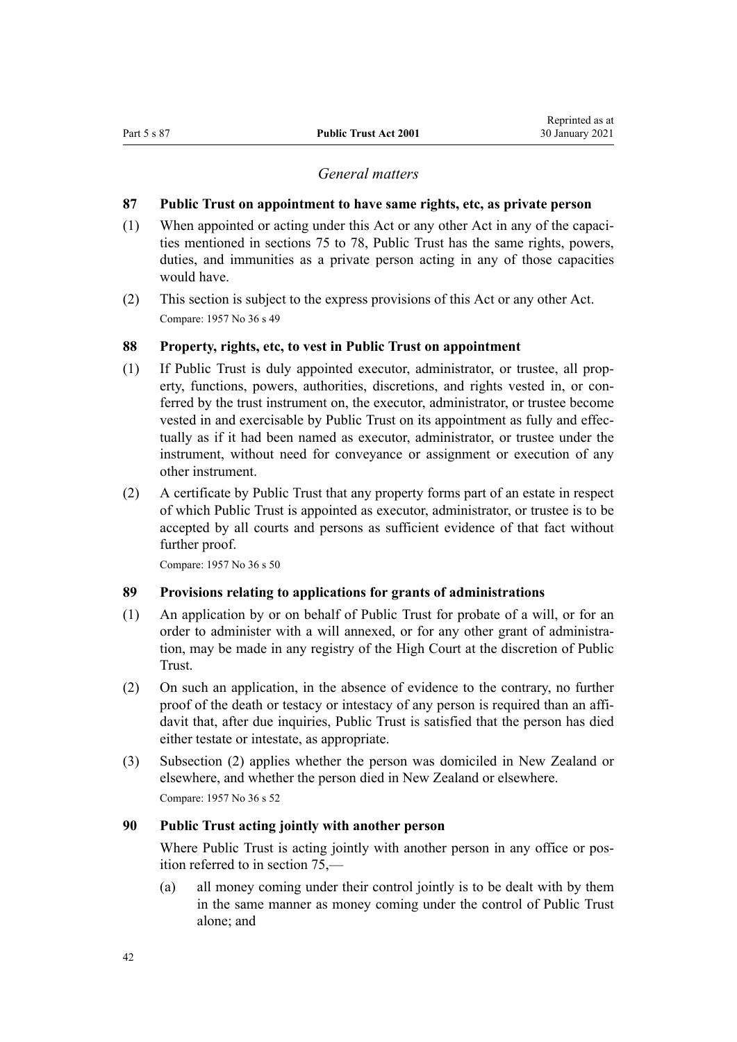#### *General matters*

#### <span id="page-41-0"></span>**87 Public Trust on appointment to have same rights, etc, as private person**

- (1) When appointed or acting under this Act or any other Act in any of the capacities mentioned in [sections 75 to 78,](#page-32-0) Public Trust has the same rights, powers, duties, and immunities as a private person acting in any of those capacities would have.
- (2) This section is subject to the express provisions of this Act or any other Act. Compare: 1957 No 36 s 49

#### **88 Property, rights, etc, to vest in Public Trust on appointment**

- (1) If Public Trust is duly appointed executor, administrator, or trustee, all property, functions, powers, authorities, discretions, and rights vested in, or conferred by the trust instrument on, the executor, administrator, or trustee become vested in and exercisable by Public Trust on its appointment as fully and effectually as if it had been named as executor, administrator, or trustee under the instrument, without need for conveyance or assignment or execution of any other instrument.
- (2) A certificate by Public Trust that any property forms part of an estate in respect of which Public Trust is appointed as executor, administrator, or trustee is to be accepted by all courts and persons as sufficient evidence of that fact without further proof.

Compare: 1957 No 36 s 50

## **89 Provisions relating to applications for grants of administrations**

- (1) An application by or on behalf of Public Trust for probate of a will, or for an order to administer with a will annexed, or for any other grant of administration, may be made in any registry of the High Court at the discretion of Public Trust.
- (2) On such an application, in the absence of evidence to the contrary, no further proof of the death or testacy or intestacy of any person is required than an affidavit that, after due inquiries, Public Trust is satisfied that the person has died either testate or intestate, as appropriate.
- (3) Subsection (2) applies whether the person was domiciled in New Zealand or elsewhere, and whether the person died in New Zealand or elsewhere. Compare: 1957 No 36 s 52

#### **90 Public Trust acting jointly with another person**

Where Public Trust is acting jointly with another person in any office or position referred to in [section 75](#page-32-0),—

(a) all money coming under their control jointly is to be dealt with by them in the same manner as money coming under the control of Public Trust alone; and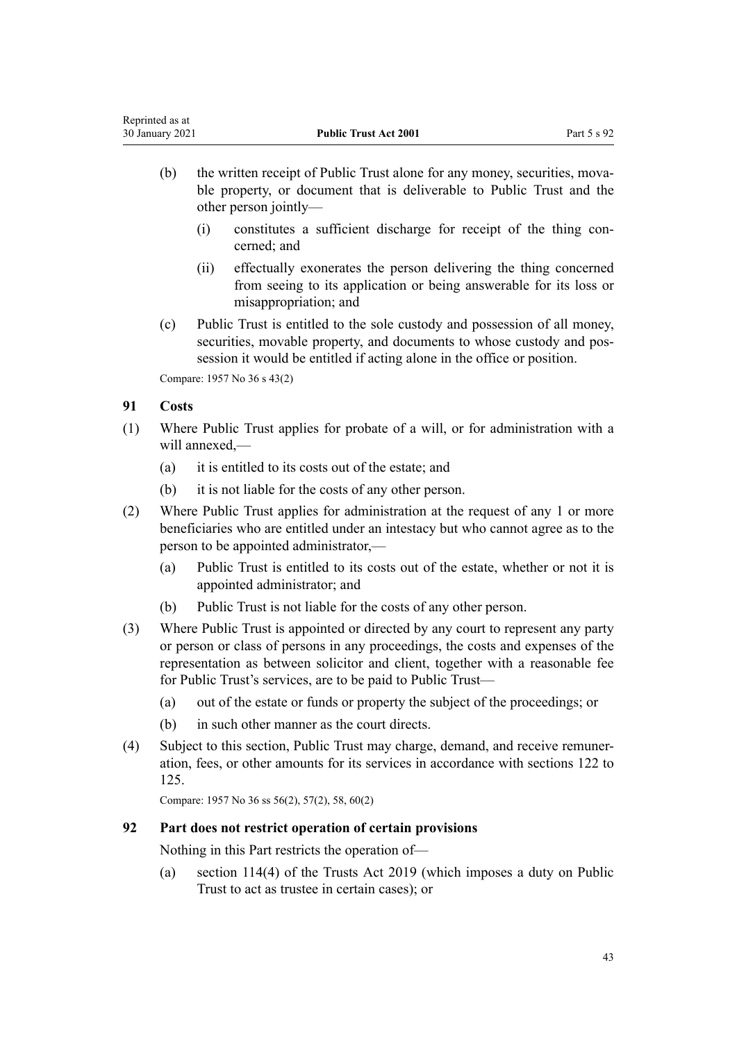- (b) the written receipt of Public Trust alone for any money, securities, movable property, or document that is deliverable to Public Trust and the other person jointly—
	- (i) constitutes a sufficient discharge for receipt of the thing concerned; and
	- (ii) effectually exonerates the person delivering the thing concerned from seeing to its application or being answerable for its loss or misappropriation; and
- (c) Public Trust is entitled to the sole custody and possession of all money, securities, movable property, and documents to whose custody and possession it would be entitled if acting alone in the office or position.

Compare: 1957 No 36 s 43(2)

# **91 Costs**

- (1) Where Public Trust applies for probate of a will, or for administration with a will annexed,—
	- (a) it is entitled to its costs out of the estate; and
	- (b) it is not liable for the costs of any other person.
- (2) Where Public Trust applies for administration at the request of any 1 or more beneficiaries who are entitled under an intestacy but who cannot agree as to the person to be appointed administrator,—
	- (a) Public Trust is entitled to its costs out of the estate, whether or not it is appointed administrator; and
	- (b) Public Trust is not liable for the costs of any other person.
- (3) Where Public Trust is appointed or directed by any court to represent any party or person or class of persons in any proceedings, the costs and expenses of the representation as between solicitor and client, together with a reasonable fee for Public Trust's services, are to be paid to Public Trust—
	- (a) out of the estate or funds or property the subject of the proceedings; or
	- (b) in such other manner as the court directs.
- (4) Subject to this section, Public Trust may charge, demand, and receive remuneration, fees, or other amounts for its services in accordance with [sections 122 to](#page-57-0) [125](#page-57-0).

Compare: 1957 No 36 ss 56(2), 57(2), 58, 60(2)

## **92 Part does not restrict operation of certain provisions**

Nothing in this Part restricts the operation of—

(a) [section 114\(4\)](http://legislation.govt.nz/pdflink.aspx?id=DLM7383031) of the Trusts Act 2019 (which imposes a duty on Public Trust to act as trustee in certain cases); or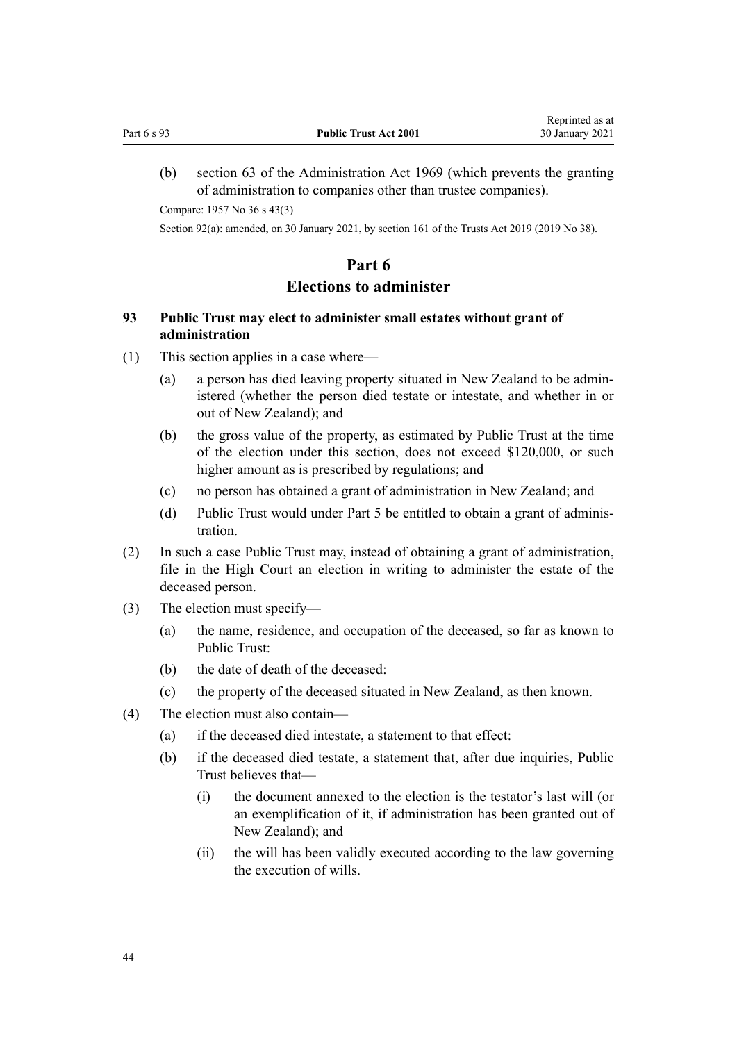<span id="page-43-0"></span>(b) [section 63](http://legislation.govt.nz/pdflink.aspx?id=DLM393013) of the Administration Act 1969 (which prevents the granting of administration to companies other than trustee companies).

Compare: 1957 No 36 s 43(3)

Section 92(a): amended, on 30 January 2021, by [section 161](http://legislation.govt.nz/pdflink.aspx?id=DLM7383110) of the Trusts Act 2019 (2019 No 38).

# **Part 6**

# **Elections to administer**

# **93 Public Trust may elect to administer small estates without grant of administration**

- (1) This section applies in a case where—
	- (a) a person has died leaving property situated in New Zealand to be administered (whether the person died testate or intestate, and whether in or out of New Zealand); and
	- (b) the gross value of the property, as estimated by Public Trust at the time of the election under this section, does not exceed \$120,000, or such higher amount as is prescribed by regulations; and
	- (c) no person has obtained a grant of administration in New Zealand; and
	- (d) Public Trust would under [Part 5](#page-32-0) be entitled to obtain a grant of administration.
- (2) In such a case Public Trust may, instead of obtaining a grant of administration, file in the High Court an election in writing to administer the estate of the deceased person.
- (3) The election must specify—
	- (a) the name, residence, and occupation of the deceased, so far as known to Public Trust:
	- (b) the date of death of the deceased:
	- (c) the property of the deceased situated in New Zealand, as then known.
- (4) The election must also contain—
	- (a) if the deceased died intestate, a statement to that effect:
	- (b) if the deceased died testate, a statement that, after due inquiries, Public Trust believes that—
		- (i) the document annexed to the election is the testator's last will (or an exemplification of it, if administration has been granted out of New Zealand); and
		- (ii) the will has been validly executed according to the law governing the execution of wills.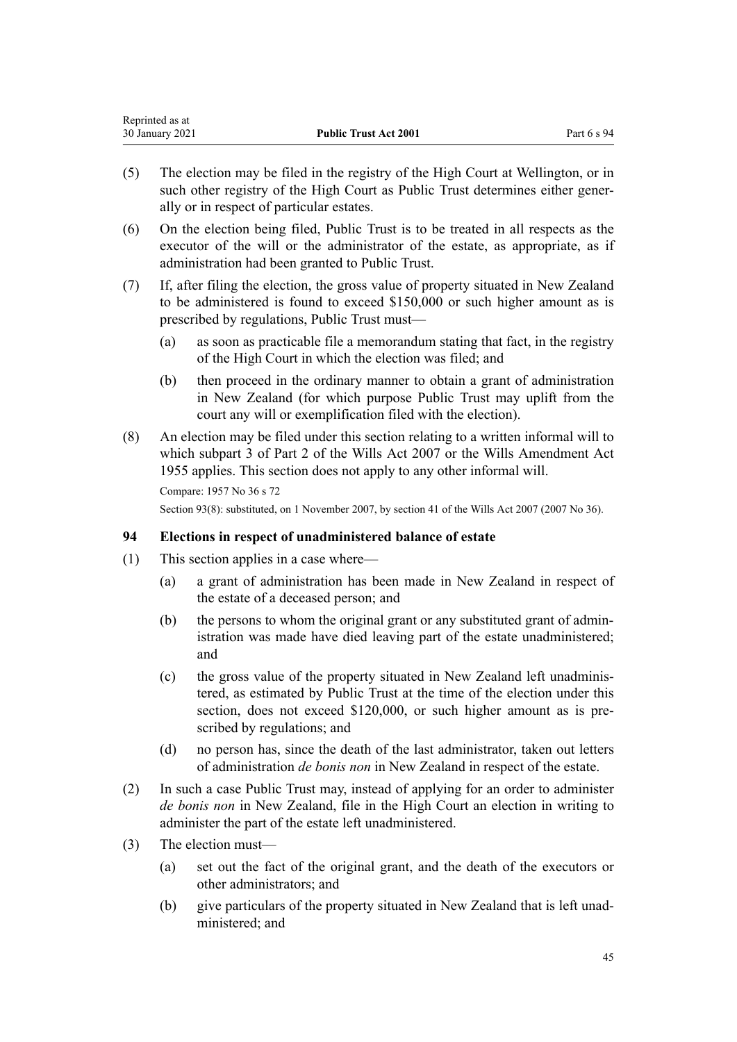<span id="page-44-0"></span>

| Reprinted as at |                              |             |
|-----------------|------------------------------|-------------|
| 30 January 2021 | <b>Public Trust Act 2001</b> | Part 6 s 94 |

- (5) The election may be filed in the registry of the High Court at Wellington, or in such other registry of the High Court as Public Trust determines either generally or in respect of particular estates.
- (6) On the election being filed, Public Trust is to be treated in all respects as the executor of the will or the administrator of the estate, as appropriate, as if administration had been granted to Public Trust.
- (7) If, after filing the election, the gross value of property situated in New Zealand to be administered is found to exceed \$150,000 or such higher amount as is prescribed by regulations, Public Trust must—
	- (a) as soon as practicable file a memorandum stating that fact, in the registry of the High Court in which the election was filed; and
	- (b) then proceed in the ordinary manner to obtain a grant of administration in New Zealand (for which purpose Public Trust may uplift from the court any will or exemplification filed with the election).
- (8) An election may be filed under this section relating to a written informal will to which [subpart 3](http://legislation.govt.nz/pdflink.aspx?id=DLM413545) of Part 2 of the Wills Act 2007 or the Wills Amendment Act 1955 applies. This section does not apply to any other informal will.

Section 93(8): substituted, on 1 November 2007, by [section 41](http://legislation.govt.nz/pdflink.aspx?id=DLM413569) of the Wills Act 2007 (2007 No 36).

## **94 Elections in respect of unadministered balance of estate**

- (1) This section applies in a case where—
	- (a) a grant of administration has been made in New Zealand in respect of the estate of a deceased person; and
	- (b) the persons to whom the original grant or any substituted grant of administration was made have died leaving part of the estate unadministered; and
	- (c) the gross value of the property situated in New Zealand left unadministered, as estimated by Public Trust at the time of the election under this section, does not exceed \$120,000, or such higher amount as is prescribed by regulations; and
	- (d) no person has, since the death of the last administrator, taken out letters of administration *de bonis non* in New Zealand in respect of the estate.
- (2) In such a case Public Trust may, instead of applying for an order to administer *de bonis non* in New Zealand, file in the High Court an election in writing to administer the part of the estate left unadministered.
- (3) The election must—
	- (a) set out the fact of the original grant, and the death of the executors or other administrators; and
	- (b) give particulars of the property situated in New Zealand that is left unadministered; and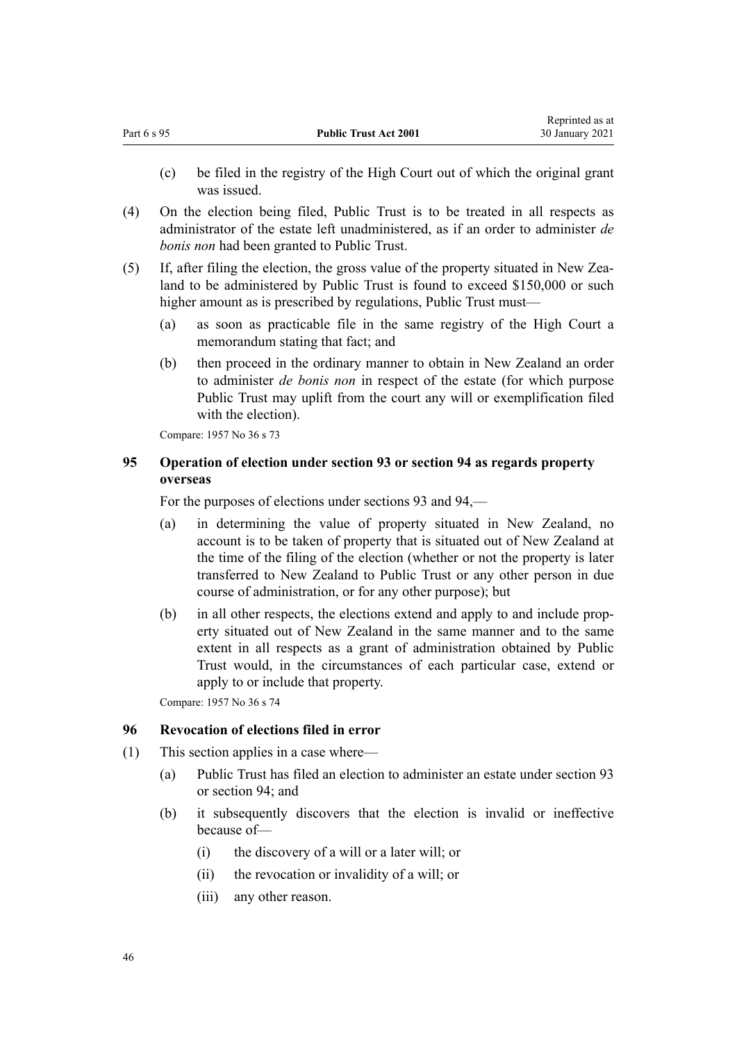- <span id="page-45-0"></span>(c) be filed in the registry of the High Court out of which the original grant was issued.
- (4) On the election being filed, Public Trust is to be treated in all respects as administrator of the estate left unadministered, as if an order to administer *de bonis non* had been granted to Public Trust.
- (5) If, after filing the election, the gross value of the property situated in New Zealand to be administered by Public Trust is found to exceed \$150,000 or such higher amount as is prescribed by regulations, Public Trust must—
	- (a) as soon as practicable file in the same registry of the High Court a memorandum stating that fact; and
	- (b) then proceed in the ordinary manner to obtain in New Zealand an order to administer *de bonis non* in respect of the estate (for which purpose Public Trust may uplift from the court any will or exemplification filed with the election).

# **95 Operation of election under section 93 or section 94 as regards property overseas**

For the purposes of elections under [sections 93](#page-43-0) and [94](#page-44-0),—

- (a) in determining the value of property situated in New Zealand, no account is to be taken of property that is situated out of New Zealand at the time of the filing of the election (whether or not the property is later transferred to New Zealand to Public Trust or any other person in due course of administration, or for any other purpose); but
- (b) in all other respects, the elections extend and apply to and include property situated out of New Zealand in the same manner and to the same extent in all respects as a grant of administration obtained by Public Trust would, in the circumstances of each particular case, extend or apply to or include that property.

Compare: 1957 No 36 s 74

# **96 Revocation of elections filed in error**

- (1) This section applies in a case where—
	- (a) Public Trust has filed an election to administer an estate under [section 93](#page-43-0) or [section 94;](#page-44-0) and
	- (b) it subsequently discovers that the election is invalid or ineffective because of—
		- (i) the discovery of a will or a later will; or
		- (ii) the revocation or invalidity of a will; or
		- (iii) any other reason.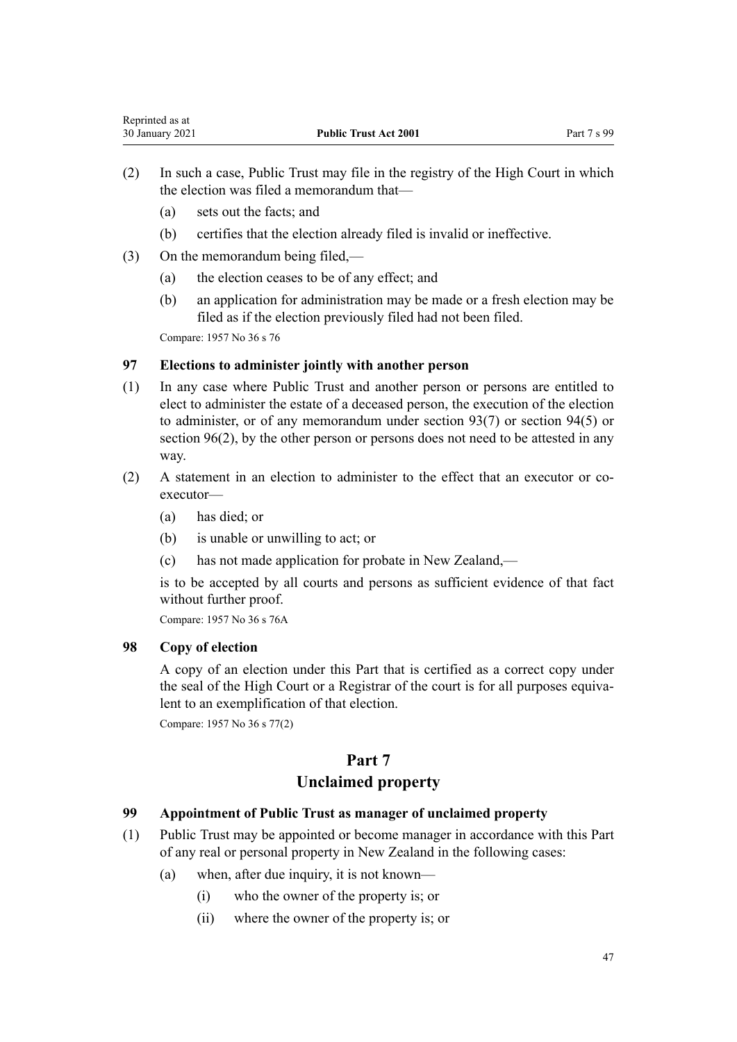- (2) In such a case, Public Trust may file in the registry of the High Court in which the election was filed a memorandum that—
	- (a) sets out the facts; and
	- (b) certifies that the election already filed is invalid or ineffective.
- (3) On the memorandum being filed,—
	- (a) the election ceases to be of any effect; and
	- (b) an application for administration may be made or a fresh election may be filed as if the election previously filed had not been filed.

# **97 Elections to administer jointly with another person**

- (1) In any case where Public Trust and another person or persons are entitled to elect to administer the estate of a deceased person, the execution of the election to administer, or of any memorandum under [section 93\(7\)](#page-43-0) or [section 94\(5\)](#page-44-0) or [section 96\(2\),](#page-45-0) by the other person or persons does not need to be attested in any way.
- (2) A statement in an election to administer to the effect that an executor or coexecutor—
	- (a) has died; or
	- (b) is unable or unwilling to act; or
	- (c) has not made application for probate in New Zealand,—

is to be accepted by all courts and persons as sufficient evidence of that fact without further proof.

Compare: 1957 No 36 s 76A

# **98 Copy of election**

A copy of an election under this Part that is certified as a correct copy under the seal of the High Court or a Registrar of the court is for all purposes equivalent to an exemplification of that election.

Compare: 1957 No 36 s 77(2)

# **Part 7**

# **Unclaimed property**

# **99 Appointment of Public Trust as manager of unclaimed property**

- (1) Public Trust may be appointed or become manager in accordance with this Part of any real or personal property in New Zealand in the following cases:
	- (a) when, after due inquiry, it is not known—
		- (i) who the owner of the property is; or
		- (ii) where the owner of the property is; or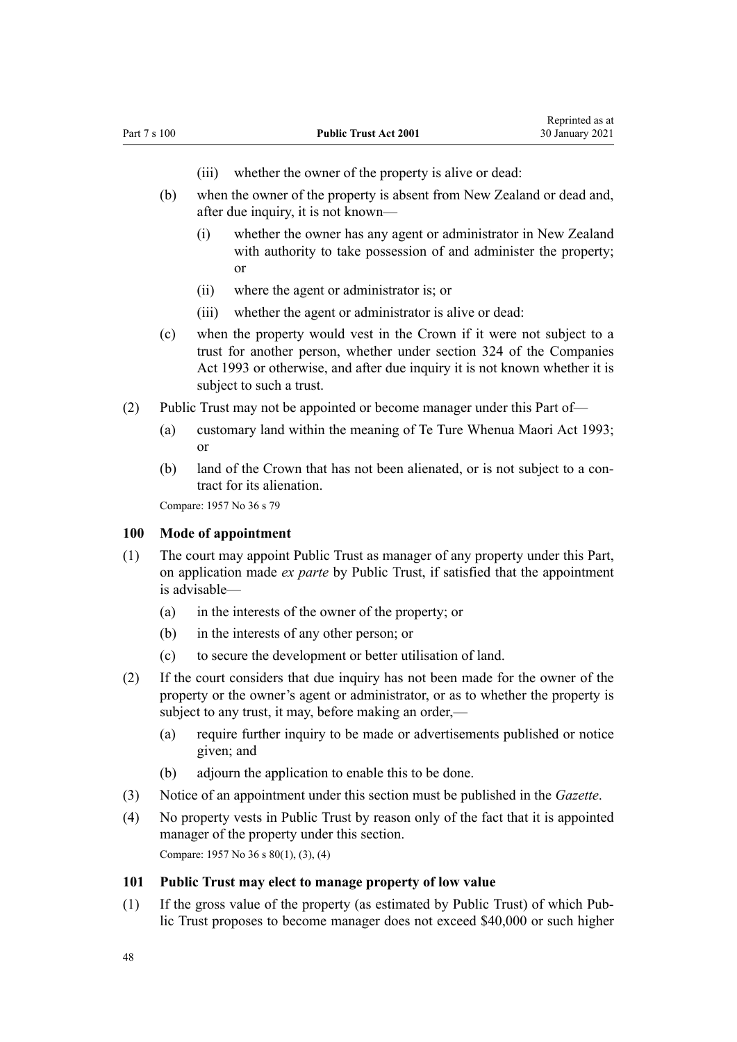- (iii) whether the owner of the property is alive or dead:
- <span id="page-47-0"></span>(b) when the owner of the property is absent from New Zealand or dead and, after due inquiry, it is not known—
	- (i) whether the owner has any agent or administrator in New Zealand with authority to take possession of and administer the property; or
	- (ii) where the agent or administrator is; or
	- (iii) whether the agent or administrator is alive or dead:
- (c) when the property would vest in the Crown if it were not subject to a trust for another person, whether under [section 324](http://legislation.govt.nz/pdflink.aspx?id=DLM322850) of the Companies Act 1993 or otherwise, and after due inquiry it is not known whether it is subject to such a trust.
- (2) Public Trust may not be appointed or become manager under this Part of—
	- (a) customary land within the meaning of [Te Ture Whenua Maori Act 1993;](http://legislation.govt.nz/pdflink.aspx?id=DLM289881) or
	- (b) land of the Crown that has not been alienated, or is not subject to a contract for its alienation.

#### **100 Mode of appointment**

- (1) The court may appoint Public Trust as manager of any property under this Part, on application made *ex parte* by Public Trust, if satisfied that the appointment is advisable—
	- (a) in the interests of the owner of the property; or
	- (b) in the interests of any other person; or
	- (c) to secure the development or better utilisation of land.
- (2) If the court considers that due inquiry has not been made for the owner of the property or the owner's agent or administrator, or as to whether the property is subject to any trust, it may, before making an order,—
	- (a) require further inquiry to be made or advertisements published or notice given; and
	- (b) adjourn the application to enable this to be done.
- (3) Notice of an appointment under this section must be published in the *Gazette*.
- (4) No property vests in Public Trust by reason only of the fact that it is appointed manager of the property under this section. Compare: 1957 No 36 s 80(1), (3), (4)

#### **101 Public Trust may elect to manage property of low value**

(1) If the gross value of the property (as estimated by Public Trust) of which Public Trust proposes to become manager does not exceed \$40,000 or such higher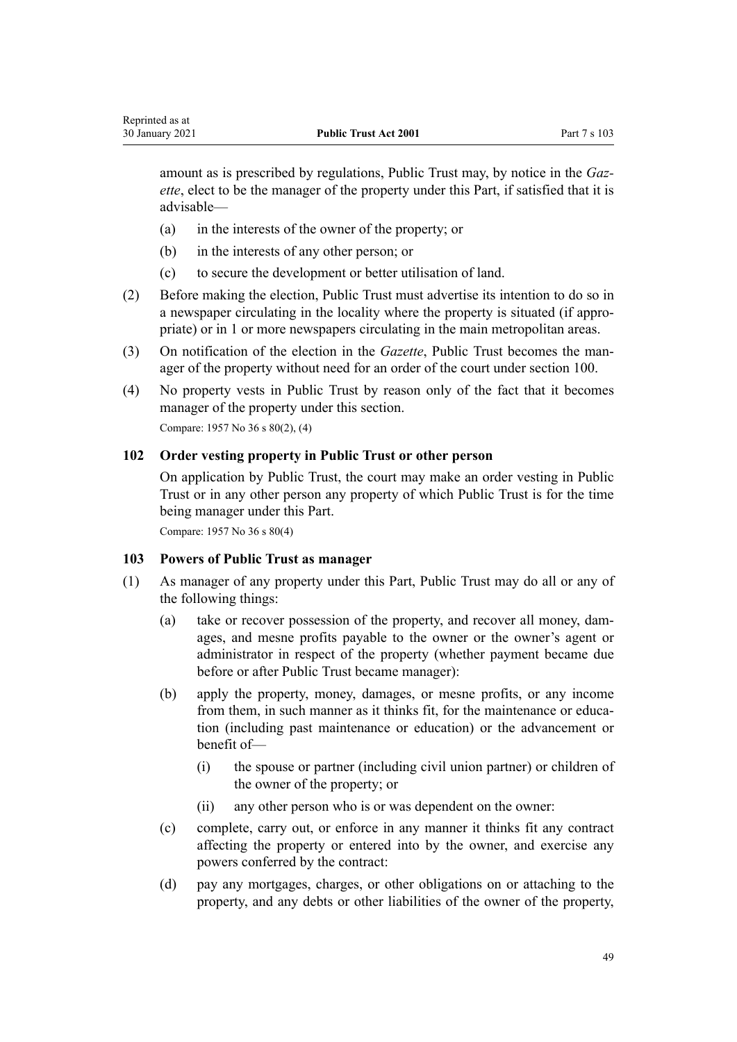Reprinted as at

amount as is prescribed by regulations, Public Trust may, by notice in the *Gazette*, elect to be the manager of the property under this Part, if satisfied that it is advisable—

- (a) in the interests of the owner of the property; or
- (b) in the interests of any other person; or
- (c) to secure the development or better utilisation of land.
- (2) Before making the election, Public Trust must advertise its intention to do so in a newspaper circulating in the locality where the property is situated (if appropriate) or in 1 or more newspapers circulating in the main metropolitan areas.
- (3) On notification of the election in the *Gazette*, Public Trust becomes the manager of the property without need for an order of the court under [section 100](#page-47-0).
- (4) No property vests in Public Trust by reason only of the fact that it becomes manager of the property under this section. Compare: 1957 No 36 s 80(2), (4)

## **102 Order vesting property in Public Trust or other person**

On application by Public Trust, the court may make an order vesting in Public Trust or in any other person any property of which Public Trust is for the time being manager under this Part.

Compare: 1957 No 36 s 80(4)

## **103 Powers of Public Trust as manager**

- (1) As manager of any property under this Part, Public Trust may do all or any of the following things:
	- (a) take or recover possession of the property, and recover all money, damages, and mesne profits payable to the owner or the owner's agent or administrator in respect of the property (whether payment became due before or after Public Trust became manager):
	- (b) apply the property, money, damages, or mesne profits, or any income from them, in such manner as it thinks fit, for the maintenance or education (including past maintenance or education) or the advancement or benefit of—
		- (i) the spouse or partner (including civil union partner) or children of the owner of the property; or
		- (ii) any other person who is or was dependent on the owner:
	- (c) complete, carry out, or enforce in any manner it thinks fit any contract affecting the property or entered into by the owner, and exercise any powers conferred by the contract:
	- (d) pay any mortgages, charges, or other obligations on or attaching to the property, and any debts or other liabilities of the owner of the property,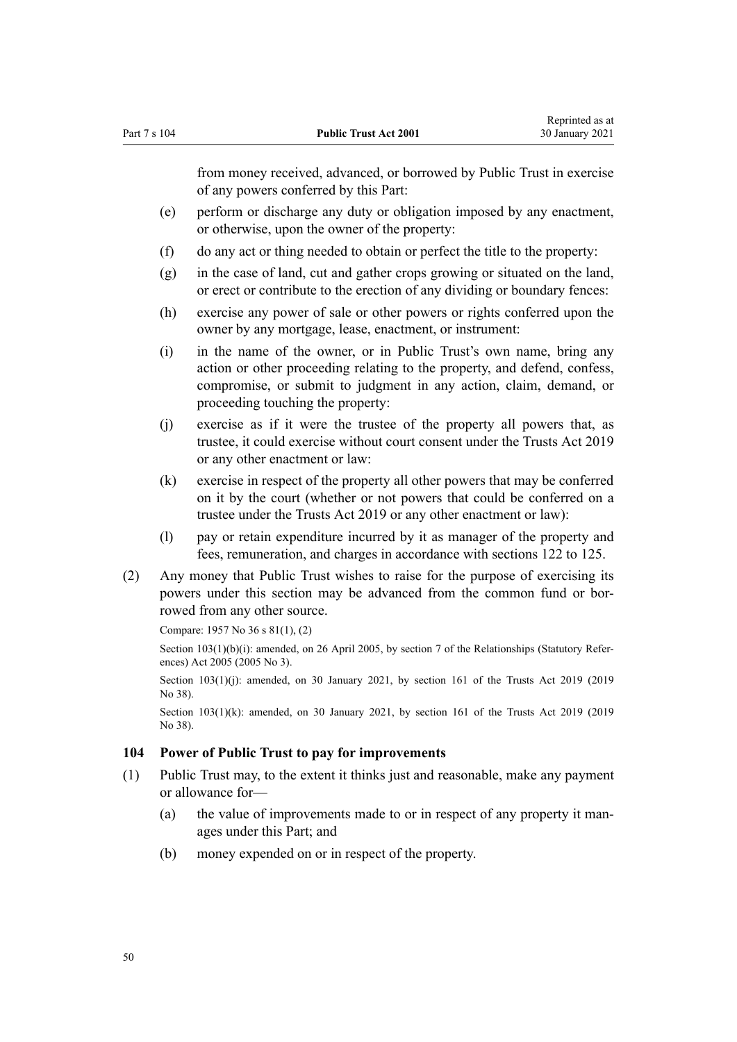<span id="page-49-0"></span>from money received, advanced, or borrowed by Public Trust in exercise of any powers conferred by this Part:

- (e) perform or discharge any duty or obligation imposed by any enactment, or otherwise, upon the owner of the property:
- (f) do any act or thing needed to obtain or perfect the title to the property:
- (g) in the case of land, cut and gather crops growing or situated on the land, or erect or contribute to the erection of any dividing or boundary fences:
- (h) exercise any power of sale or other powers or rights conferred upon the owner by any mortgage, lease, enactment, or instrument:
- (i) in the name of the owner, or in Public Trust's own name, bring any action or other proceeding relating to the property, and defend, confess, compromise, or submit to judgment in any action, claim, demand, or proceeding touching the property:
- (j) exercise as if it were the trustee of the property all powers that, as trustee, it could exercise without court consent under the [Trusts Act 2019](http://legislation.govt.nz/pdflink.aspx?id=DLM7382802) or any other enactment or law:
- (k) exercise in respect of the property all other powers that may be conferred on it by the court (whether or not powers that could be conferred on a trustee under the [Trusts Act 2019](http://legislation.govt.nz/pdflink.aspx?id=DLM7382802) or any other enactment or law):
- (l) pay or retain expenditure incurred by it as manager of the property and fees, remuneration, and charges in accordance with [sections 122 to 125.](#page-57-0)
- (2) Any money that Public Trust wishes to raise for the purpose of exercising its powers under this section may be advanced from the common fund or borrowed from any other source.

Compare: 1957 No 36 s 81(1), (2)

Section 103(1)(b)(i): amended, on 26 April 2005, by [section 7](http://legislation.govt.nz/pdflink.aspx?id=DLM333795) of the Relationships (Statutory References) Act 2005 (2005 No 3).

Section 103(1)(j): amended, on 30 January 2021, by [section 161](http://legislation.govt.nz/pdflink.aspx?id=DLM7383110) of the Trusts Act 2019 (2019) No 38).

Section 103(1)(k): amended, on 30 January 2021, by [section 161](http://legislation.govt.nz/pdflink.aspx?id=DLM7383110) of the Trusts Act 2019 (2019) No 38).

## **104 Power of Public Trust to pay for improvements**

- (1) Public Trust may, to the extent it thinks just and reasonable, make any payment or allowance for—
	- (a) the value of improvements made to or in respect of any property it manages under this Part; and
	- (b) money expended on or in respect of the property.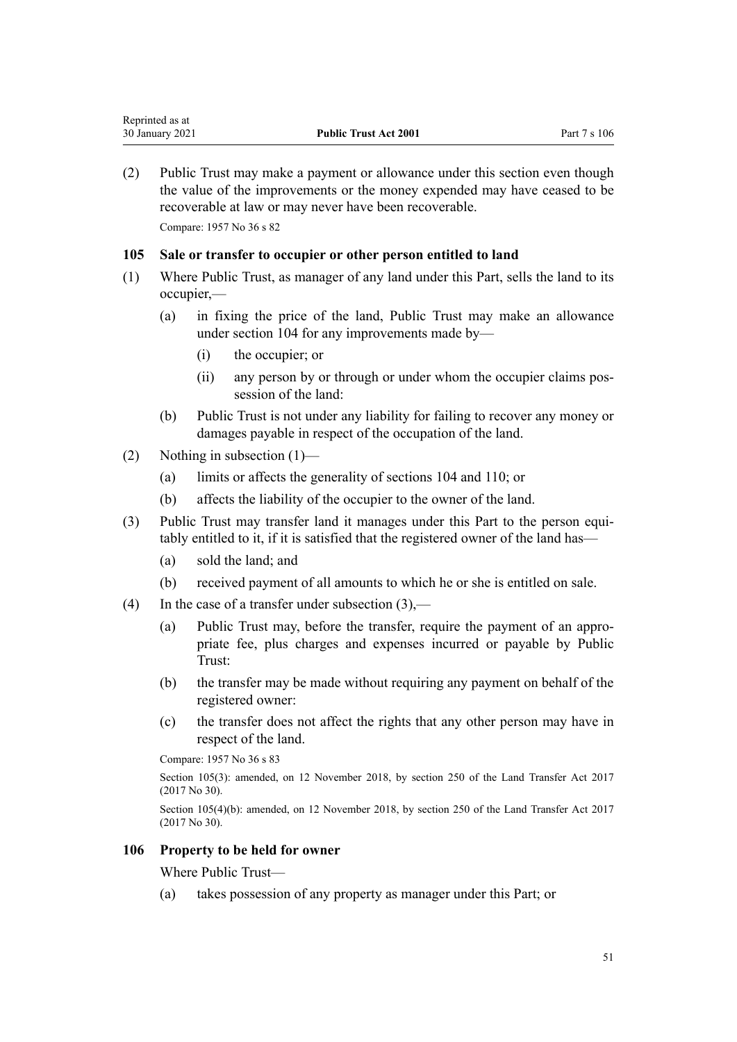(2) Public Trust may make a payment or allowance under this section even though the value of the improvements or the money expended may have ceased to be recoverable at law or may never have been recoverable.

Compare: 1957 No 36 s 82

## **105 Sale or transfer to occupier or other person entitled to land**

- (1) Where Public Trust, as manager of any land under this Part, sells the land to its occupier,—
	- (a) in fixing the price of the land, Public Trust may make an allowance under [section 104](#page-49-0) for any improvements made by—
		- (i) the occupier; or
		- (ii) any person by or through or under whom the occupier claims possession of the land:
	- (b) Public Trust is not under any liability for failing to recover any money or damages payable in respect of the occupation of the land.
- (2) Nothing in subsection (1)—
	- (a) limits or affects the generality of [sections 104](#page-49-0) and [110;](#page-53-0) or
	- (b) affects the liability of the occupier to the owner of the land.
- (3) Public Trust may transfer land it manages under this Part to the person equitably entitled to it, if it is satisfied that the registered owner of the land has—
	- (a) sold the land; and
	- (b) received payment of all amounts to which he or she is entitled on sale.
- (4) In the case of a transfer under subsection  $(3)$ ,—
	- (a) Public Trust may, before the transfer, require the payment of an appropriate fee, plus charges and expenses incurred or payable by Public Trust:
	- (b) the transfer may be made without requiring any payment on behalf of the registered owner:
	- (c) the transfer does not affect the rights that any other person may have in respect of the land.

Compare: 1957 No 36 s 83

Section 105(3): amended, on 12 November 2018, by [section 250](http://legislation.govt.nz/pdflink.aspx?id=DLM6731493) of the Land Transfer Act 2017 (2017 No 30).

Section 105(4)(b): amended, on 12 November 2018, by [section 250](http://legislation.govt.nz/pdflink.aspx?id=DLM6731493) of the Land Transfer Act 2017 (2017 No 30).

# **106 Property to be held for owner**

Where Public Trust—

(a) takes possession of any property as manager under this Part; or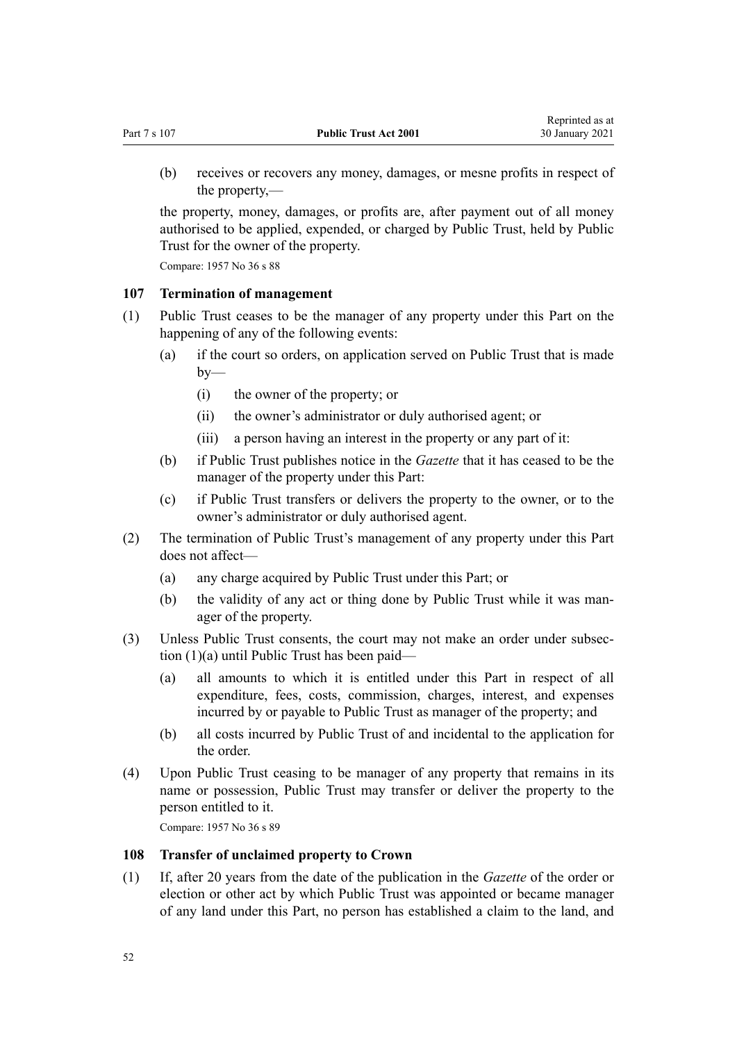<span id="page-51-0"></span>(b) receives or recovers any money, damages, or mesne profits in respect of the property,—

the property, money, damages, or profits are, after payment out of all money authorised to be applied, expended, or charged by Public Trust, held by Public Trust for the owner of the property.

Compare: 1957 No 36 s 88

#### **107 Termination of management**

- (1) Public Trust ceases to be the manager of any property under this Part on the happening of any of the following events:
	- (a) if the court so orders, on application served on Public Trust that is made  $by-$ 
		- (i) the owner of the property; or
		- (ii) the owner's administrator or duly authorised agent; or
		- (iii) a person having an interest in the property or any part of it:
	- (b) if Public Trust publishes notice in the *Gazette* that it has ceased to be the manager of the property under this Part:
	- (c) if Public Trust transfers or delivers the property to the owner, or to the owner's administrator or duly authorised agent.
- (2) The termination of Public Trust's management of any property under this Part does not affect—
	- (a) any charge acquired by Public Trust under this Part; or
	- (b) the validity of any act or thing done by Public Trust while it was manager of the property.
- (3) Unless Public Trust consents, the court may not make an order under subsection (1)(a) until Public Trust has been paid—
	- (a) all amounts to which it is entitled under this Part in respect of all expenditure, fees, costs, commission, charges, interest, and expenses incurred by or payable to Public Trust as manager of the property; and
	- (b) all costs incurred by Public Trust of and incidental to the application for the order.
- (4) Upon Public Trust ceasing to be manager of any property that remains in its name or possession, Public Trust may transfer or deliver the property to the person entitled to it.

Compare: 1957 No 36 s 89

## **108 Transfer of unclaimed property to Crown**

(1) If, after 20 years from the date of the publication in the *Gazette* of the order or election or other act by which Public Trust was appointed or became manager of any land under this Part, no person has established a claim to the land, and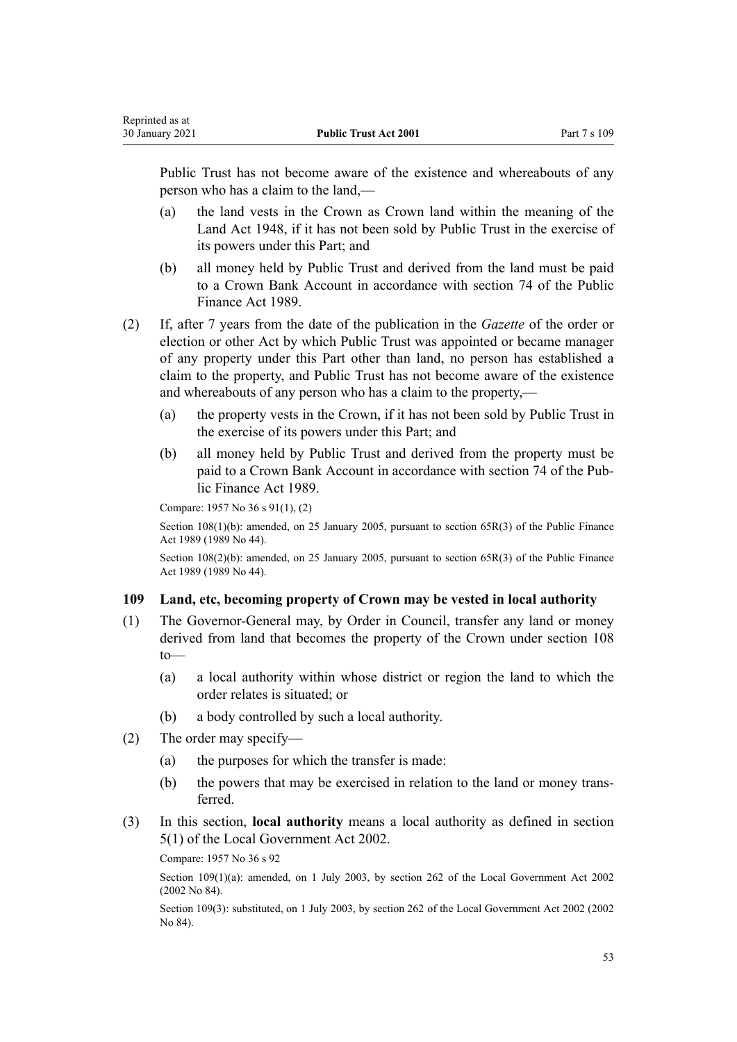Public Trust has not become aware of the existence and whereabouts of any person who has a claim to the land,—

- (a) the land vests in the Crown as Crown land within the meaning of the [Land Act 1948](http://legislation.govt.nz/pdflink.aspx?id=DLM250585), if it has not been sold by Public Trust in the exercise of its powers under this Part; and
- (b) all money held by Public Trust and derived from the land must be paid to a Crown Bank Account in accordance with [section 74](http://legislation.govt.nz/pdflink.aspx?id=DLM163141) of the Public Finance Act 1989.
- (2) If, after 7 years from the date of the publication in the *Gazette* of the order or election or other Act by which Public Trust was appointed or became manager of any property under this Part other than land, no person has established a claim to the property, and Public Trust has not become aware of the existence and whereabouts of any person who has a claim to the property,—
	- (a) the property vests in the Crown, if it has not been sold by Public Trust in the exercise of its powers under this Part; and
	- (b) all money held by Public Trust and derived from the property must be paid to a Crown Bank Account in accordance with [section 74](http://legislation.govt.nz/pdflink.aspx?id=DLM163141) of the Public Finance Act 1989.

Compare: 1957 No 36 s 91(1), (2)

Reprinted as at

Section 108(1)(b): amended, on 25 January 2005, pursuant to [section 65R\(3\)](http://legislation.govt.nz/pdflink.aspx?id=DLM162942) of the Public Finance Act 1989 (1989 No 44).

Section 108(2)(b): amended, on 25 January 2005, pursuant to [section 65R\(3\)](http://legislation.govt.nz/pdflink.aspx?id=DLM162942) of the Public Finance Act 1989 (1989 No 44).

# **109 Land, etc, becoming property of Crown may be vested in local authority**

- (1) The Governor-General may, by Order in Council, transfer any land or money derived from land that becomes the property of the Crown under [section 108](#page-51-0) to—
	- (a) a local authority within whose district or region the land to which the order relates is situated; or
	- (b) a body controlled by such a local authority.
- (2) The order may specify—
	- (a) the purposes for which the transfer is made:
	- (b) the powers that may be exercised in relation to the land or money transferred.
- (3) In this section, **local authority** means a local authority as defined in [section](http://legislation.govt.nz/pdflink.aspx?id=DLM170881) [5\(1\)](http://legislation.govt.nz/pdflink.aspx?id=DLM170881) of the [Local Government Act 2002.](http://legislation.govt.nz/pdflink.aspx?id=DLM170872)

Compare: 1957 No 36 s 92

Section 109(1)(a): amended, on 1 July 2003, by [section 262](http://legislation.govt.nz/pdflink.aspx?id=DLM174088) of the Local Government Act 2002 (2002 No 84).

Section 109(3): substituted, on 1 July 2003, by [section 262](http://legislation.govt.nz/pdflink.aspx?id=DLM174088) of the Local Government Act 2002 (2002 No 84).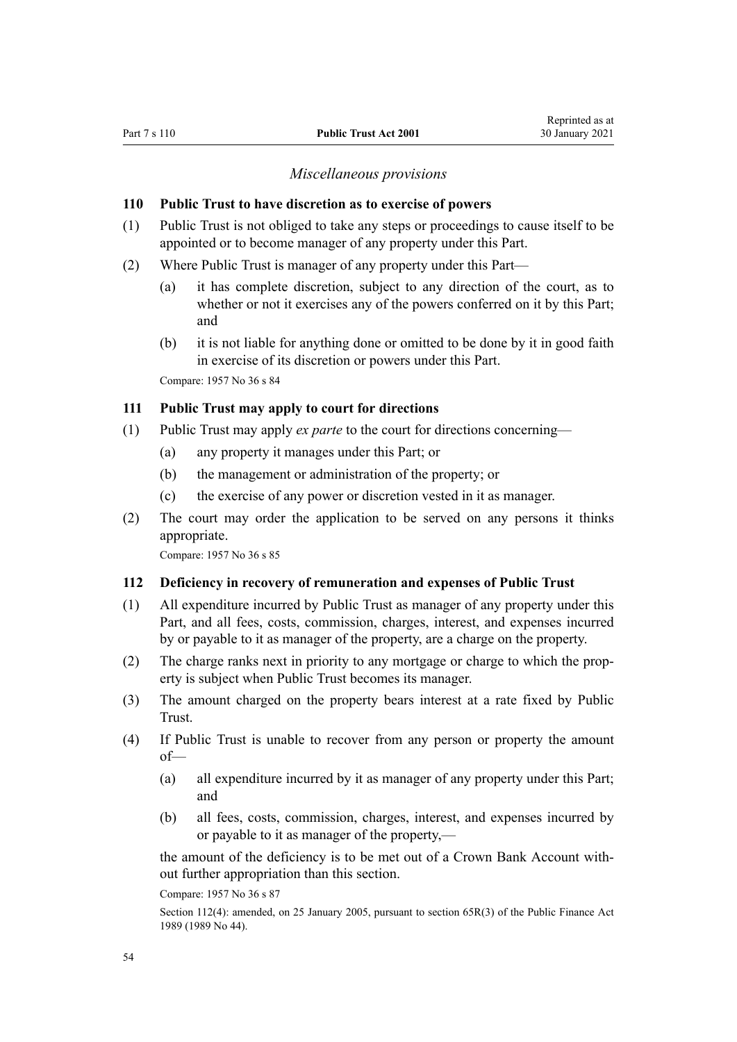#### *Miscellaneous provisions*

#### <span id="page-53-0"></span>**110 Public Trust to have discretion as to exercise of powers**

- (1) Public Trust is not obliged to take any steps or proceedings to cause itself to be appointed or to become manager of any property under this Part.
- (2) Where Public Trust is manager of any property under this Part—
	- (a) it has complete discretion, subject to any direction of the court, as to whether or not it exercises any of the powers conferred on it by this Part; and
	- (b) it is not liable for anything done or omitted to be done by it in good faith in exercise of its discretion or powers under this Part.

Compare: 1957 No 36 s 84

## **111 Public Trust may apply to court for directions**

- (1) Public Trust may apply *ex parte* to the court for directions concerning—
	- (a) any property it manages under this Part; or
	- (b) the management or administration of the property; or
	- (c) the exercise of any power or discretion vested in it as manager.
- (2) The court may order the application to be served on any persons it thinks appropriate.

Compare: 1957 No 36 s 85

#### **112 Deficiency in recovery of remuneration and expenses of Public Trust**

- (1) All expenditure incurred by Public Trust as manager of any property under this Part, and all fees, costs, commission, charges, interest, and expenses incurred by or payable to it as manager of the property, are a charge on the property.
- (2) The charge ranks next in priority to any mortgage or charge to which the property is subject when Public Trust becomes its manager.
- (3) The amount charged on the property bears interest at a rate fixed by Public Trust.
- (4) If Public Trust is unable to recover from any person or property the amount of—
	- (a) all expenditure incurred by it as manager of any property under this Part; and
	- (b) all fees, costs, commission, charges, interest, and expenses incurred by or payable to it as manager of the property,—

the amount of the deficiency is to be met out of a Crown Bank Account without further appropriation than this section.

Compare: 1957 No 36 s 87

Section 112(4): amended, on 25 January 2005, pursuant to [section 65R\(3\)](http://legislation.govt.nz/pdflink.aspx?id=DLM162942) of the Public Finance Act 1989 (1989 No 44).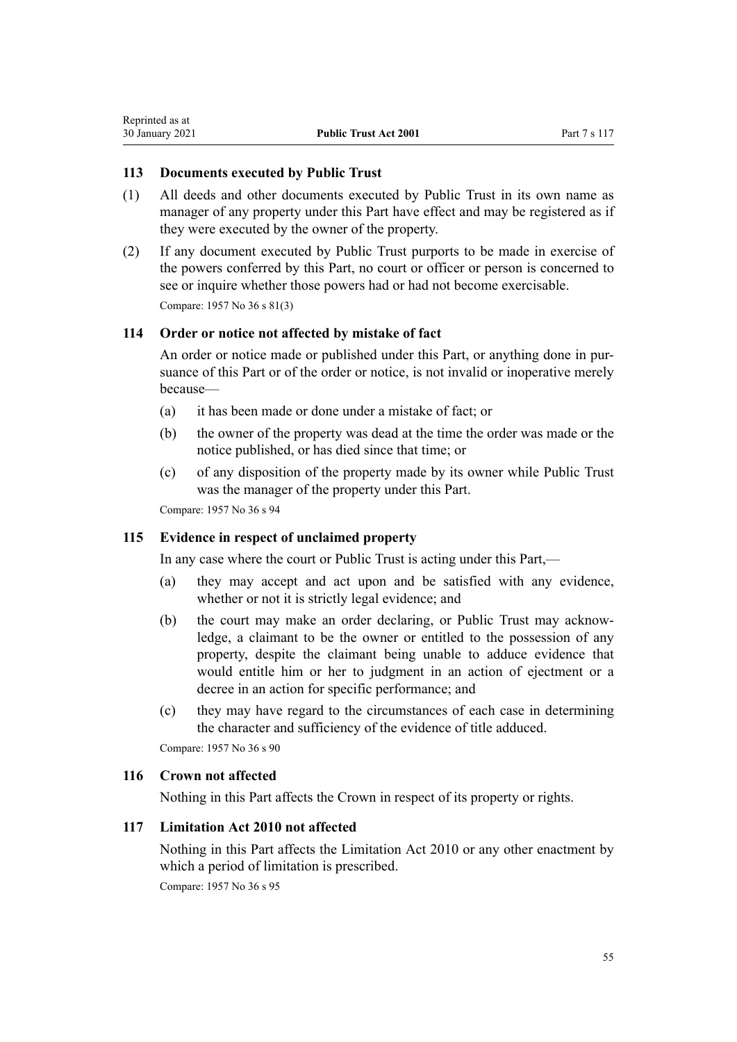## **113 Documents executed by Public Trust**

- (1) All deeds and other documents executed by Public Trust in its own name as manager of any property under this Part have effect and may be registered as if they were executed by the owner of the property.
- (2) If any document executed by Public Trust purports to be made in exercise of the powers conferred by this Part, no court or officer or person is concerned to see or inquire whether those powers had or had not become exercisable. Compare: 1957 No 36 s 81(3)

## **114 Order or notice not affected by mistake of fact**

An order or notice made or published under this Part, or anything done in pursuance of this Part or of the order or notice, is not invalid or inoperative merely because—

- (a) it has been made or done under a mistake of fact; or
- (b) the owner of the property was dead at the time the order was made or the notice published, or has died since that time; or
- (c) of any disposition of the property made by its owner while Public Trust was the manager of the property under this Part.

Compare: 1957 No 36 s 94

## **115 Evidence in respect of unclaimed property**

In any case where the court or Public Trust is acting under this Part,—

- (a) they may accept and act upon and be satisfied with any evidence, whether or not it is strictly legal evidence; and
- (b) the court may make an order declaring, or Public Trust may acknowledge, a claimant to be the owner or entitled to the possession of any property, despite the claimant being unable to adduce evidence that would entitle him or her to judgment in an action of ejectment or a decree in an action for specific performance; and
- (c) they may have regard to the circumstances of each case in determining the character and sufficiency of the evidence of title adduced.

Compare: 1957 No 36 s 90

## **116 Crown not affected**

Nothing in this Part affects the Crown in respect of its property or rights.

## **117 Limitation Act 2010 not affected**

Nothing in this Part affects the [Limitation Act 2010](http://legislation.govt.nz/pdflink.aspx?id=DLM2033100) or any other enactment by which a period of limitation is prescribed.

Compare: 1957 No 36 s 95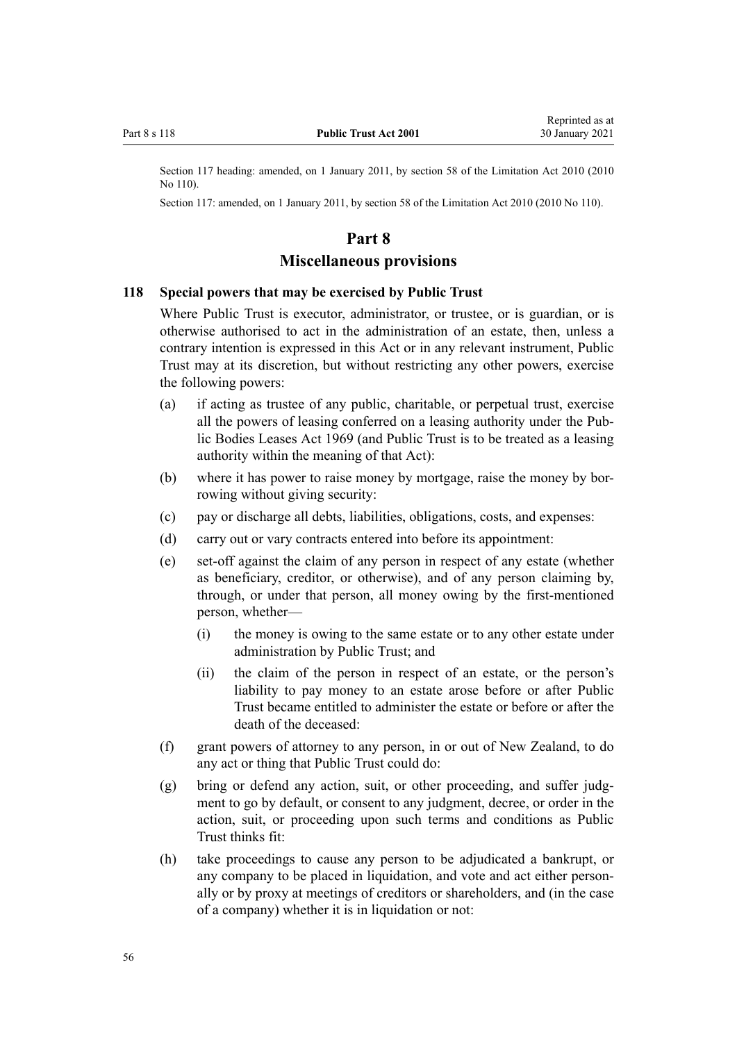Section 117 heading: amended, on 1 January 2011, by [section 58](http://legislation.govt.nz/pdflink.aspx?id=DLM2033287) of the Limitation Act 2010 (2010) No 110).

Section 117: amended, on 1 January 2011, by [section 58](http://legislation.govt.nz/pdflink.aspx?id=DLM2033287) of the Limitation Act 2010 (2010 No 110).

## **Part 8**

#### **Miscellaneous provisions**

#### **118 Special powers that may be exercised by Public Trust**

Where Public Trust is executor, administrator, or trustee, or is guardian, or is otherwise authorised to act in the administration of an estate, then, unless a contrary intention is expressed in this Act or in any relevant instrument, Public Trust may at its discretion, but without restricting any other powers, exercise the following powers:

- (a) if acting as trustee of any public, charitable, or perpetual trust, exercise all the powers of leasing conferred on a leasing authority under the [Pub](http://legislation.govt.nz/pdflink.aspx?id=DLM394841)[lic Bodies Leases Act 1969](http://legislation.govt.nz/pdflink.aspx?id=DLM394841) (and Public Trust is to be treated as a leasing authority within the meaning of that Act):
- (b) where it has power to raise money by mortgage, raise the money by borrowing without giving security:
- (c) pay or discharge all debts, liabilities, obligations, costs, and expenses:
- (d) carry out or vary contracts entered into before its appointment:
- (e) set-off against the claim of any person in respect of any estate (whether as beneficiary, creditor, or otherwise), and of any person claiming by, through, or under that person, all money owing by the first-mentioned person, whether—
	- (i) the money is owing to the same estate or to any other estate under administration by Public Trust; and
	- (ii) the claim of the person in respect of an estate, or the person's liability to pay money to an estate arose before or after Public Trust became entitled to administer the estate or before or after the death of the deceased:
- (f) grant powers of attorney to any person, in or out of New Zealand, to do any act or thing that Public Trust could do:
- (g) bring or defend any action, suit, or other proceeding, and suffer judgment to go by default, or consent to any judgment, decree, or order in the action, suit, or proceeding upon such terms and conditions as Public Trust thinks fit:
- (h) take proceedings to cause any person to be adjudicated a bankrupt, or any company to be placed in liquidation, and vote and act either personally or by proxy at meetings of creditors or shareholders, and (in the case of a company) whether it is in liquidation or not: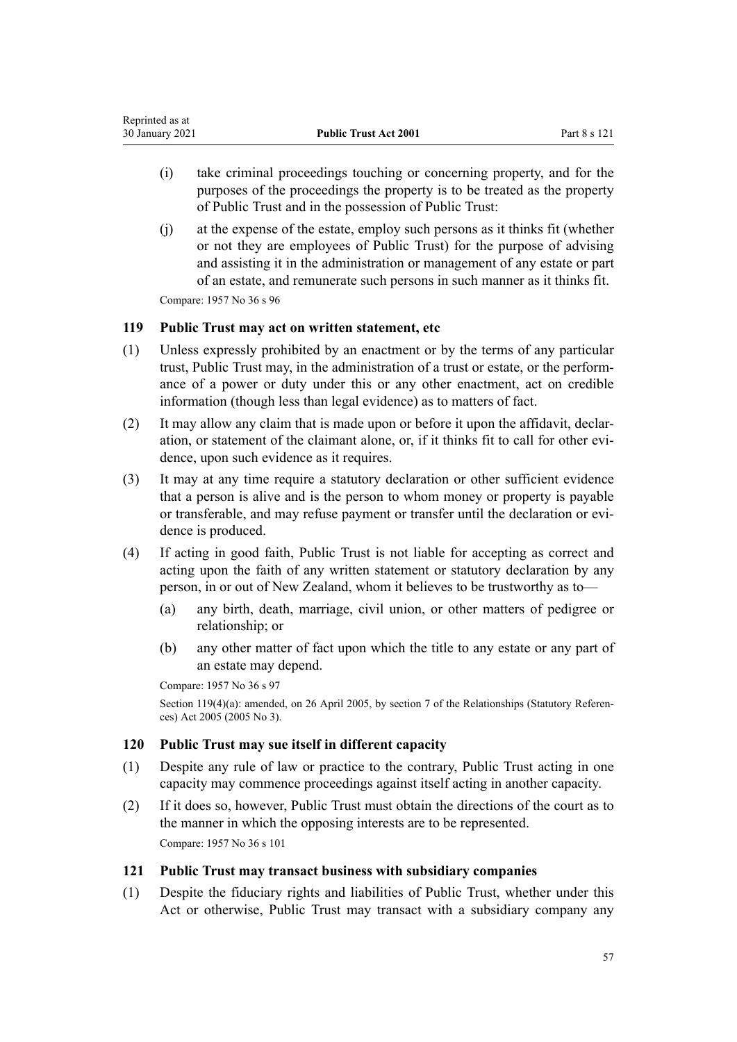| Reprinted as at |                              |              |
|-----------------|------------------------------|--------------|
| 30 January 2021 | <b>Public Trust Act 2001</b> | Part 8 s 121 |

- (i) take criminal proceedings touching or concerning property, and for the purposes of the proceedings the property is to be treated as the property of Public Trust and in the possession of Public Trust:
- (j) at the expense of the estate, employ such persons as it thinks fit (whether or not they are employees of Public Trust) for the purpose of advising and assisting it in the administration or management of any estate or part of an estate, and remunerate such persons in such manner as it thinks fit.

## **119 Public Trust may act on written statement, etc**

- (1) Unless expressly prohibited by an enactment or by the terms of any particular trust, Public Trust may, in the administration of a trust or estate, or the performance of a power or duty under this or any other enactment, act on credible information (though less than legal evidence) as to matters of fact.
- (2) It may allow any claim that is made upon or before it upon the affidavit, declaration, or statement of the claimant alone, or, if it thinks fit to call for other evidence, upon such evidence as it requires.
- (3) It may at any time require a statutory declaration or other sufficient evidence that a person is alive and is the person to whom money or property is payable or transferable, and may refuse payment or transfer until the declaration or evidence is produced.
- (4) If acting in good faith, Public Trust is not liable for accepting as correct and acting upon the faith of any written statement or statutory declaration by any person, in or out of New Zealand, whom it believes to be trustworthy as to—
	- (a) any birth, death, marriage, civil union, or other matters of pedigree or relationship; or
	- (b) any other matter of fact upon which the title to any estate or any part of an estate may depend.

Compare: 1957 No 36 s 97

Section 119(4)(a): amended, on 26 April 2005, by [section 7](http://legislation.govt.nz/pdflink.aspx?id=DLM333795) of the Relationships (Statutory References) Act 2005 (2005 No 3).

## **120 Public Trust may sue itself in different capacity**

- (1) Despite any rule of law or practice to the contrary, Public Trust acting in one capacity may commence proceedings against itself acting in another capacity.
- (2) If it does so, however, Public Trust must obtain the directions of the court as to the manner in which the opposing interests are to be represented. Compare: 1957 No 36 s 101

## **121 Public Trust may transact business with subsidiary companies**

(1) Despite the fiduciary rights and liabilities of Public Trust, whether under this Act or otherwise, Public Trust may transact with a subsidiary company any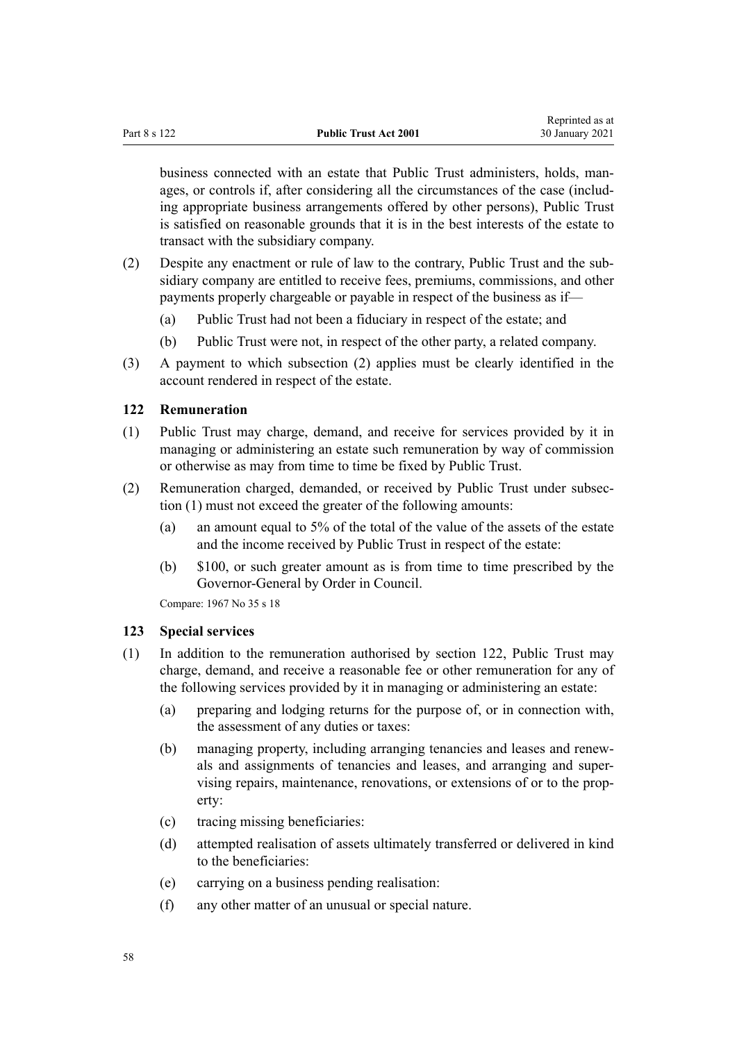<span id="page-57-0"></span>business connected with an estate that Public Trust administers, holds, manages, or controls if, after considering all the circumstances of the case (including appropriate business arrangements offered by other persons), Public Trust is satisfied on reasonable grounds that it is in the best interests of the estate to transact with the subsidiary company.

- (2) Despite any enactment or rule of law to the contrary, Public Trust and the subsidiary company are entitled to receive fees, premiums, commissions, and other payments properly chargeable or payable in respect of the business as if—
	- (a) Public Trust had not been a fiduciary in respect of the estate; and
	- (b) Public Trust were not, in respect of the other party, a related company.
- (3) A payment to which subsection (2) applies must be clearly identified in the account rendered in respect of the estate.

#### **122 Remuneration**

- (1) Public Trust may charge, demand, and receive for services provided by it in managing or administering an estate such remuneration by way of commission or otherwise as may from time to time be fixed by Public Trust.
- (2) Remuneration charged, demanded, or received by Public Trust under subsection (1) must not exceed the greater of the following amounts:
	- (a) an amount equal to 5% of the total of the value of the assets of the estate and the income received by Public Trust in respect of the estate:
	- (b) \$100, or such greater amount as is from time to time prescribed by the Governor-General by Order in Council.

Compare: 1967 No 35 [s 18](http://legislation.govt.nz/pdflink.aspx?id=DLM381473)

#### **123 Special services**

- (1) In addition to the remuneration authorised by section 122, Public Trust may charge, demand, and receive a reasonable fee or other remuneration for any of the following services provided by it in managing or administering an estate:
	- (a) preparing and lodging returns for the purpose of, or in connection with, the assessment of any duties or taxes:
	- (b) managing property, including arranging tenancies and leases and renewals and assignments of tenancies and leases, and arranging and supervising repairs, maintenance, renovations, or extensions of or to the property:
	- (c) tracing missing beneficiaries:
	- (d) attempted realisation of assets ultimately transferred or delivered in kind to the beneficiaries:
	- (e) carrying on a business pending realisation:
	- (f) any other matter of an unusual or special nature.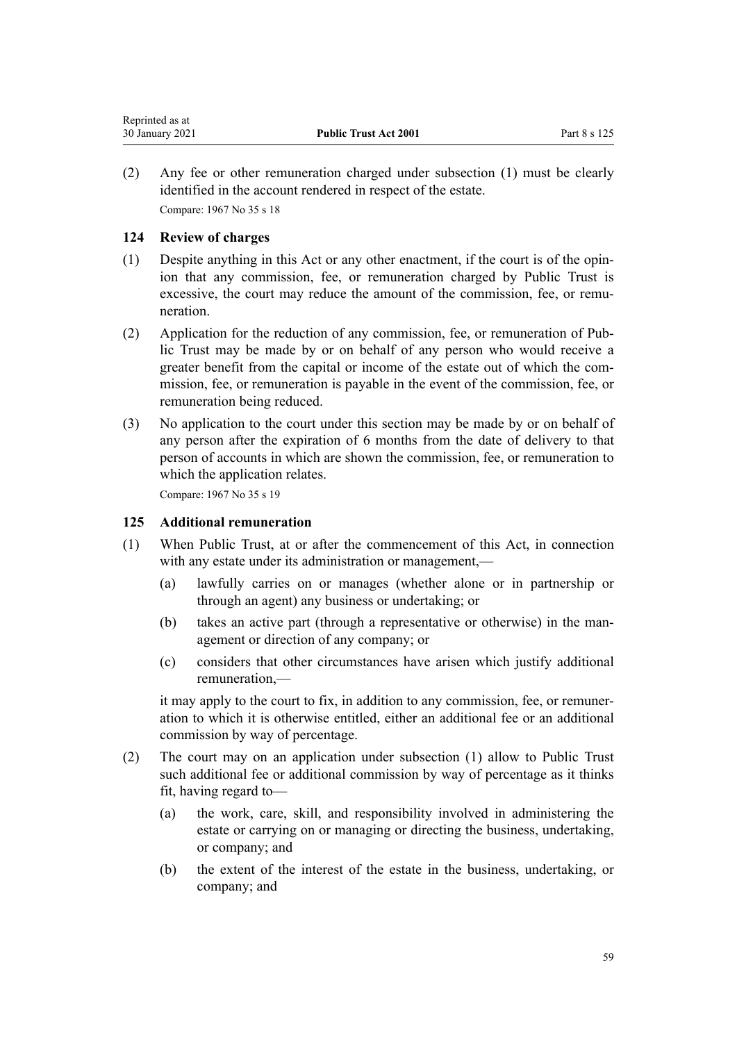| Reprinted as at |                              |              |
|-----------------|------------------------------|--------------|
| 30 January 2021 | <b>Public Trust Act 2001</b> | Part 8 s 125 |

(2) Any fee or other remuneration charged under subsection (1) must be clearly identified in the account rendered in respect of the estate. Compare: 1967 No 35 [s 18](http://legislation.govt.nz/pdflink.aspx?id=DLM381473)

## **124 Review of charges**

- (1) Despite anything in this Act or any other enactment, if the court is of the opinion that any commission, fee, or remuneration charged by Public Trust is excessive, the court may reduce the amount of the commission, fee, or remuneration.
- (2) Application for the reduction of any commission, fee, or remuneration of Public Trust may be made by or on behalf of any person who would receive a greater benefit from the capital or income of the estate out of which the commission, fee, or remuneration is payable in the event of the commission, fee, or remuneration being reduced.
- (3) No application to the court under this section may be made by or on behalf of any person after the expiration of 6 months from the date of delivery to that person of accounts in which are shown the commission, fee, or remuneration to which the application relates.

Compare: 1967 No 35 [s 19](http://legislation.govt.nz/pdflink.aspx?id=DLM381476)

## **125 Additional remuneration**

- (1) When Public Trust, at or after the commencement of this Act, in connection with any estate under its administration or management,—
	- (a) lawfully carries on or manages (whether alone or in partnership or through an agent) any business or undertaking; or
	- (b) takes an active part (through a representative or otherwise) in the management or direction of any company; or
	- (c) considers that other circumstances have arisen which justify additional remuneration,—

it may apply to the court to fix, in addition to any commission, fee, or remuneration to which it is otherwise entitled, either an additional fee or an additional commission by way of percentage.

- (2) The court may on an application under subsection (1) allow to Public Trust such additional fee or additional commission by way of percentage as it thinks fit, having regard to—
	- (a) the work, care, skill, and responsibility involved in administering the estate or carrying on or managing or directing the business, undertaking, or company; and
	- (b) the extent of the interest of the estate in the business, undertaking, or company; and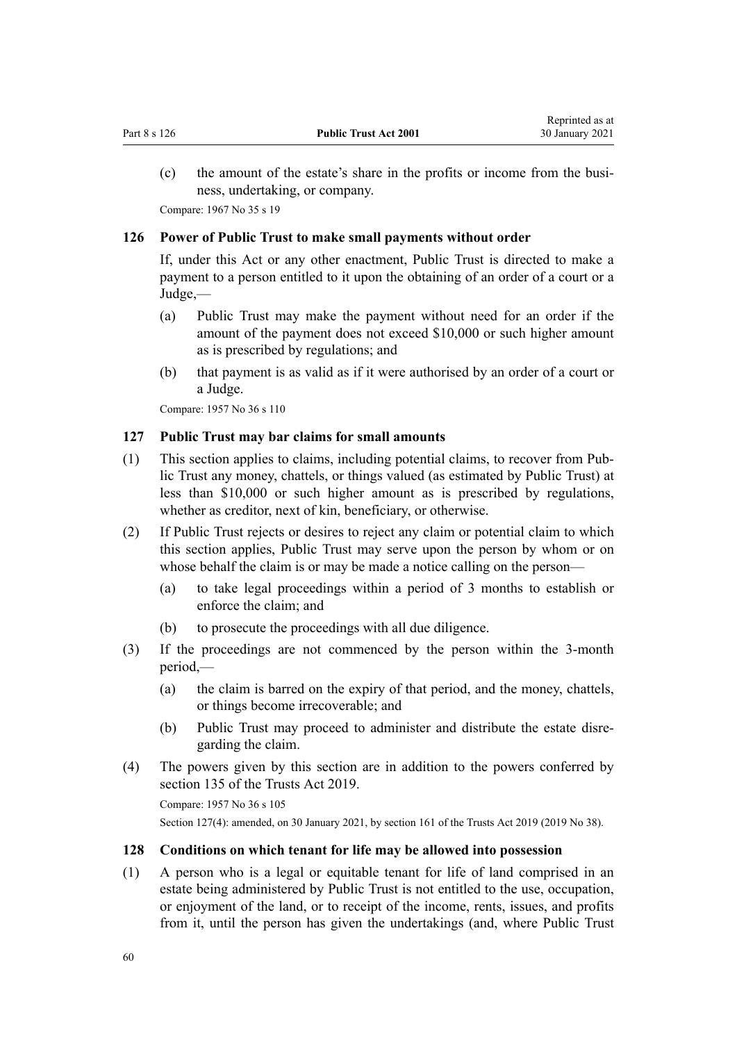<span id="page-59-0"></span>(c) the amount of the estate's share in the profits or income from the business, undertaking, or company.

Compare: 1967 No 35 [s 19](http://legislation.govt.nz/pdflink.aspx?id=DLM381476)

#### **126 Power of Public Trust to make small payments without order**

If, under this Act or any other enactment, Public Trust is directed to make a payment to a person entitled to it upon the obtaining of an order of a court or a Judge,—

- (a) Public Trust may make the payment without need for an order if the amount of the payment does not exceed \$10,000 or such higher amount as is prescribed by regulations; and
- (b) that payment is as valid as if it were authorised by an order of a court or a Judge.

Compare: 1957 No 36 s 110

## **127 Public Trust may bar claims for small amounts**

- (1) This section applies to claims, including potential claims, to recover from Public Trust any money, chattels, or things valued (as estimated by Public Trust) at less than \$10,000 or such higher amount as is prescribed by regulations, whether as creditor, next of kin, beneficiary, or otherwise.
- (2) If Public Trust rejects or desires to reject any claim or potential claim to which this section applies, Public Trust may serve upon the person by whom or on whose behalf the claim is or may be made a notice calling on the person—
	- (a) to take legal proceedings within a period of 3 months to establish or enforce the claim; and
	- (b) to prosecute the proceedings with all due diligence.
- (3) If the proceedings are not commenced by the person within the 3-month period,—
	- (a) the claim is barred on the expiry of that period, and the money, chattels, or things become irrecoverable; and
	- (b) Public Trust may proceed to administer and distribute the estate disregarding the claim.
- (4) The powers given by this section are in addition to the powers conferred by [section 135](http://legislation.govt.nz/pdflink.aspx?id=DLM7383062) of the Trusts Act 2019.

Compare: 1957 No 36 s 105 Section 127(4): amended, on 30 January 2021, by [section 161](http://legislation.govt.nz/pdflink.aspx?id=DLM7383110) of the Trusts Act 2019 (2019 No 38).

#### **128 Conditions on which tenant for life may be allowed into possession**

(1) A person who is a legal or equitable tenant for life of land comprised in an estate being administered by Public Trust is not entitled to the use, occupation, or enjoyment of the land, or to receipt of the income, rents, issues, and profits from it, until the person has given the undertakings (and, where Public Trust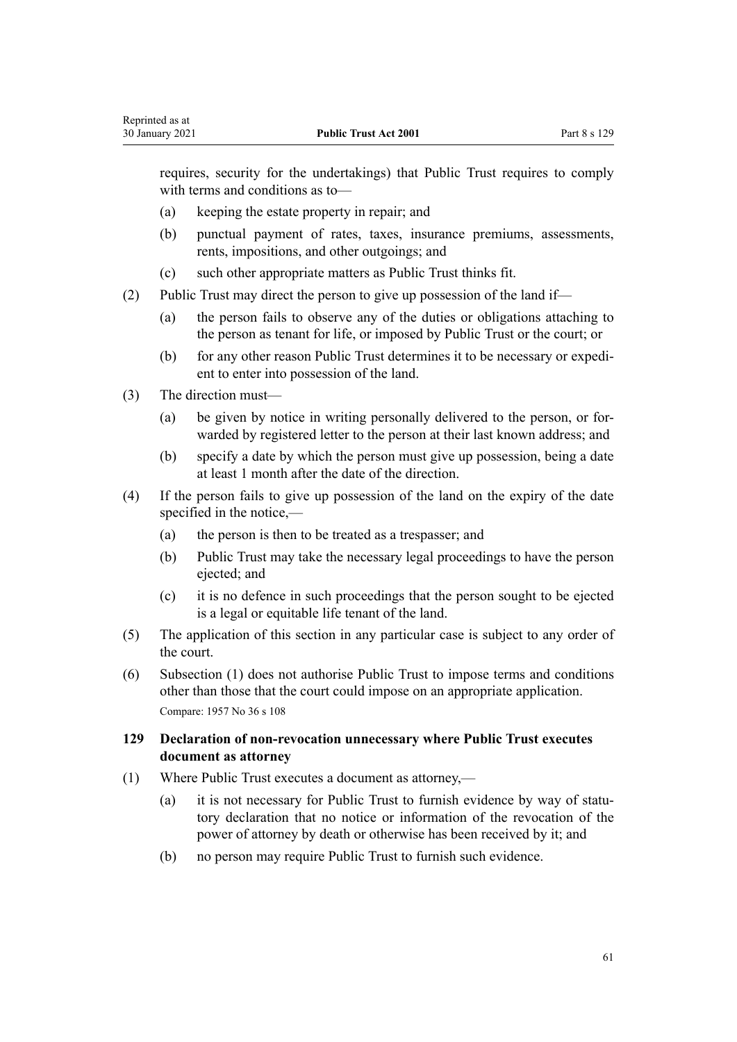requires, security for the undertakings) that Public Trust requires to comply with terms and conditions as to—

- (a) keeping the estate property in repair; and
- (b) punctual payment of rates, taxes, insurance premiums, assessments, rents, impositions, and other outgoings; and
- (c) such other appropriate matters as Public Trust thinks fit.
- (2) Public Trust may direct the person to give up possession of the land if—
	- (a) the person fails to observe any of the duties or obligations attaching to the person as tenant for life, or imposed by Public Trust or the court; or
	- (b) for any other reason Public Trust determines it to be necessary or expedient to enter into possession of the land.
- (3) The direction must—

Reprinted as at

- (a) be given by notice in writing personally delivered to the person, or forwarded by registered letter to the person at their last known address; and
- (b) specify a date by which the person must give up possession, being a date at least 1 month after the date of the direction.
- (4) If the person fails to give up possession of the land on the expiry of the date specified in the notice,—
	- (a) the person is then to be treated as a trespasser; and
	- (b) Public Trust may take the necessary legal proceedings to have the person ejected; and
	- (c) it is no defence in such proceedings that the person sought to be ejected is a legal or equitable life tenant of the land.
- (5) The application of this section in any particular case is subject to any order of the court.
- (6) Subsection (1) does not authorise Public Trust to impose terms and conditions other than those that the court could impose on an appropriate application. Compare: 1957 No 36 s 108

# **129 Declaration of non-revocation unnecessary where Public Trust executes document as attorney**

- (1) Where Public Trust executes a document as attorney,—
	- (a) it is not necessary for Public Trust to furnish evidence by way of statutory declaration that no notice or information of the revocation of the power of attorney by death or otherwise has been received by it; and
	- (b) no person may require Public Trust to furnish such evidence.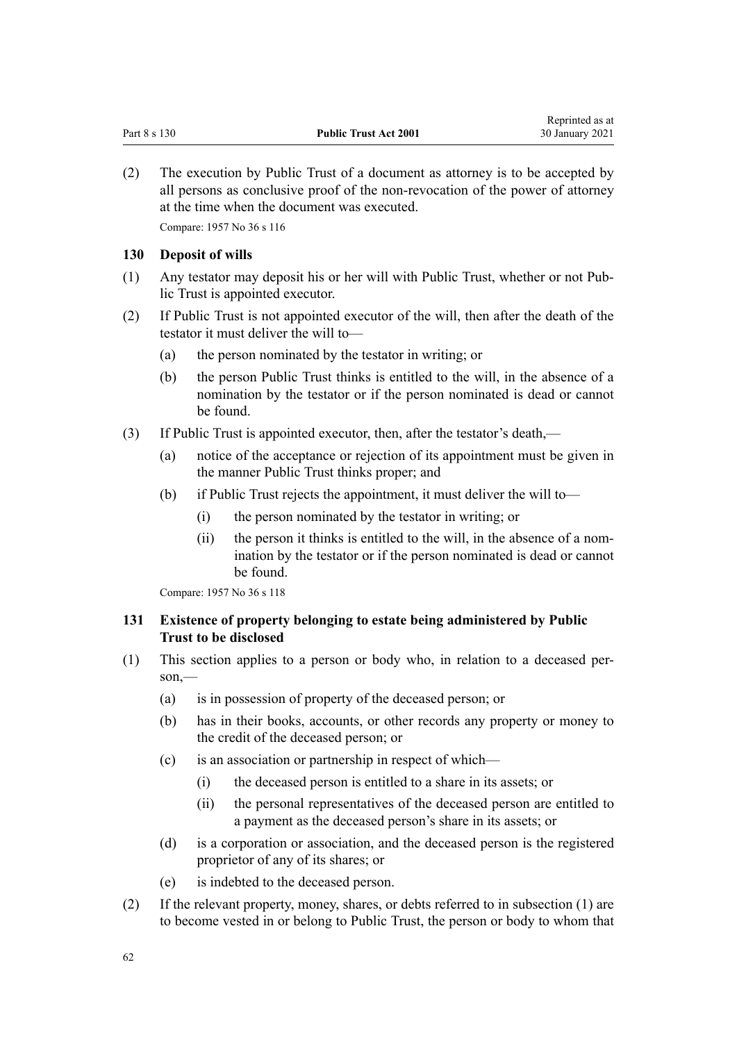(2) The execution by Public Trust of a document as attorney is to be accepted by all persons as conclusive proof of the non-revocation of the power of attorney at the time when the document was executed.

Compare: 1957 No 36 s 116

#### **130 Deposit of wills**

- (1) Any testator may deposit his or her will with Public Trust, whether or not Public Trust is appointed executor.
- (2) If Public Trust is not appointed executor of the will, then after the death of the testator it must deliver the will to—
	- (a) the person nominated by the testator in writing; or
	- (b) the person Public Trust thinks is entitled to the will, in the absence of a nomination by the testator or if the person nominated is dead or cannot be found.
- (3) If Public Trust is appointed executor, then, after the testator's death,—
	- (a) notice of the acceptance or rejection of its appointment must be given in the manner Public Trust thinks proper; and
	- (b) if Public Trust rejects the appointment, it must deliver the will to—
		- (i) the person nominated by the testator in writing; or
		- (ii) the person it thinks is entitled to the will, in the absence of a nomination by the testator or if the person nominated is dead or cannot be found.

Compare: 1957 No 36 s 118

# **131 Existence of property belonging to estate being administered by Public Trust to be disclosed**

- (1) This section applies to a person or body who, in relation to a deceased person,—
	- (a) is in possession of property of the deceased person; or
	- (b) has in their books, accounts, or other records any property or money to the credit of the deceased person; or
	- (c) is an association or partnership in respect of which—
		- (i) the deceased person is entitled to a share in its assets; or
		- (ii) the personal representatives of the deceased person are entitled to a payment as the deceased person's share in its assets; or
	- (d) is a corporation or association, and the deceased person is the registered proprietor of any of its shares; or
	- (e) is indebted to the deceased person.
- (2) If the relevant property, money, shares, or debts referred to in subsection (1) are to become vested in or belong to Public Trust, the person or body to whom that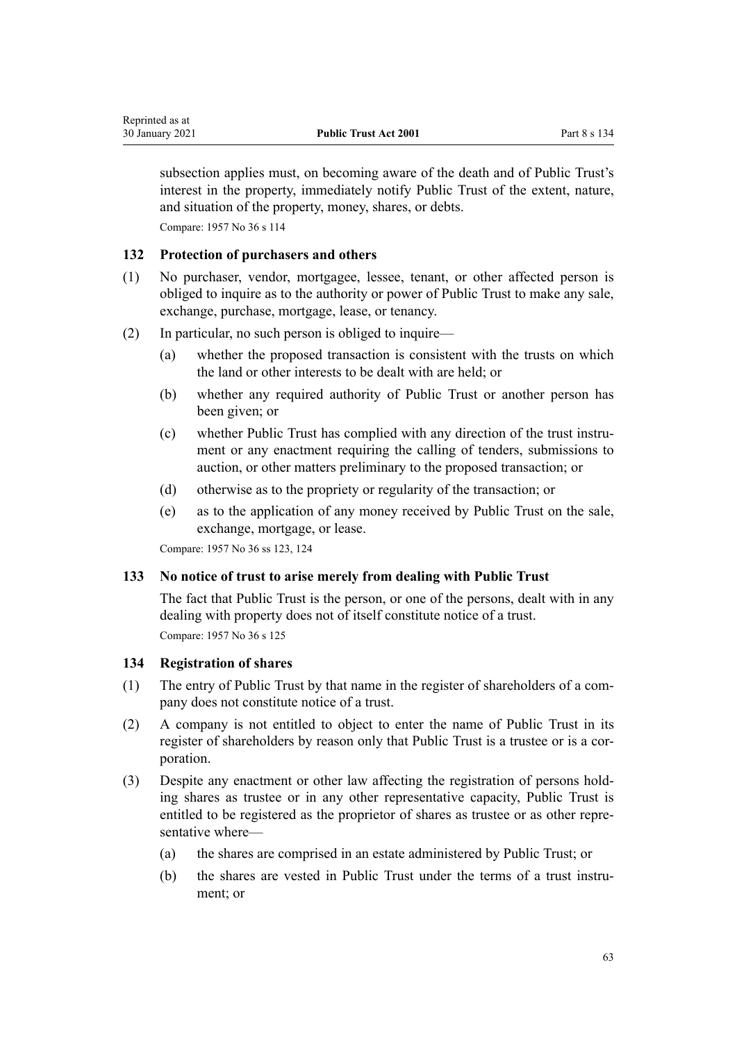subsection applies must, on becoming aware of the death and of Public Trust's interest in the property, immediately notify Public Trust of the extent, nature, and situation of the property, money, shares, or debts.

Compare: 1957 No 36 s 114

## **132 Protection of purchasers and others**

- (1) No purchaser, vendor, mortgagee, lessee, tenant, or other affected person is obliged to inquire as to the authority or power of Public Trust to make any sale, exchange, purchase, mortgage, lease, or tenancy.
- (2) In particular, no such person is obliged to inquire—
	- (a) whether the proposed transaction is consistent with the trusts on which the land or other interests to be dealt with are held; or
	- (b) whether any required authority of Public Trust or another person has been given; or
	- (c) whether Public Trust has complied with any direction of the trust instrument or any enactment requiring the calling of tenders, submissions to auction, or other matters preliminary to the proposed transaction; or
	- (d) otherwise as to the propriety or regularity of the transaction; or
	- (e) as to the application of any money received by Public Trust on the sale, exchange, mortgage, or lease.

Compare: 1957 No 36 ss 123, 124

#### **133 No notice of trust to arise merely from dealing with Public Trust**

The fact that Public Trust is the person, or one of the persons, dealt with in any dealing with property does not of itself constitute notice of a trust. Compare: 1957 No 36 s 125

#### **134 Registration of shares**

- (1) The entry of Public Trust by that name in the register of shareholders of a company does not constitute notice of a trust.
- (2) A company is not entitled to object to enter the name of Public Trust in its register of shareholders by reason only that Public Trust is a trustee or is a corporation.
- (3) Despite any enactment or other law affecting the registration of persons holding shares as trustee or in any other representative capacity, Public Trust is entitled to be registered as the proprietor of shares as trustee or as other representative where—
	- (a) the shares are comprised in an estate administered by Public Trust; or
	- (b) the shares are vested in Public Trust under the terms of a trust instrument; or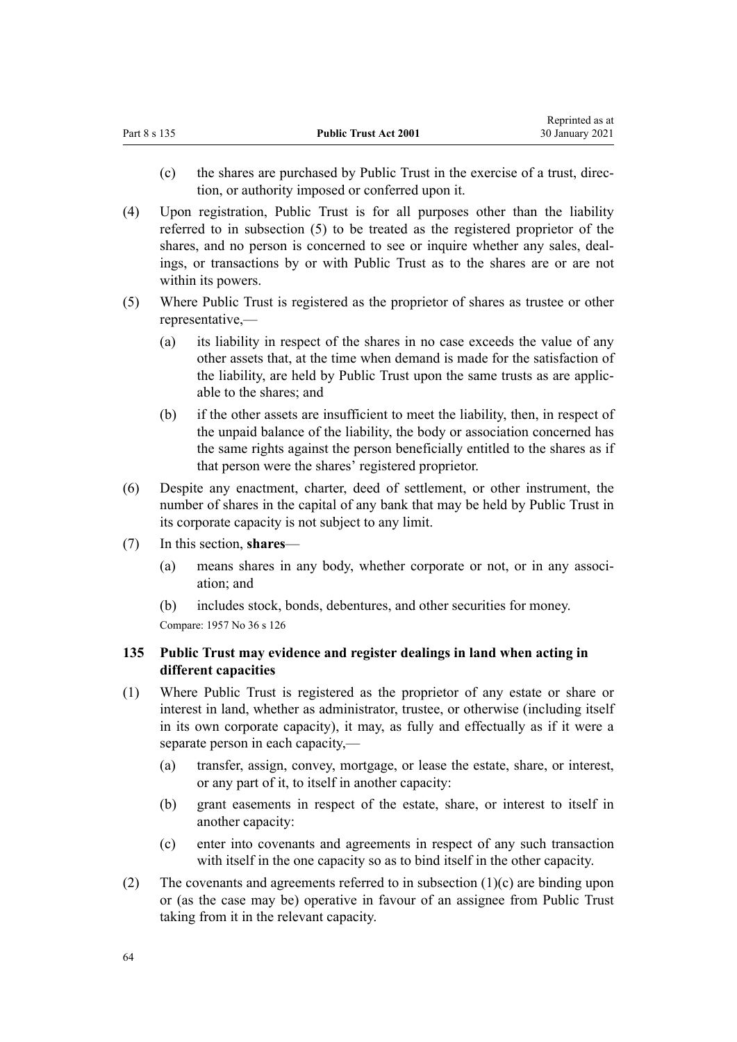- (c) the shares are purchased by Public Trust in the exercise of a trust, direction, or authority imposed or conferred upon it.
- (4) Upon registration, Public Trust is for all purposes other than the liability referred to in subsection (5) to be treated as the registered proprietor of the shares, and no person is concerned to see or inquire whether any sales, dealings, or transactions by or with Public Trust as to the shares are or are not within its powers.
- (5) Where Public Trust is registered as the proprietor of shares as trustee or other representative,—
	- (a) its liability in respect of the shares in no case exceeds the value of any other assets that, at the time when demand is made for the satisfaction of the liability, are held by Public Trust upon the same trusts as are applicable to the shares; and
	- (b) if the other assets are insufficient to meet the liability, then, in respect of the unpaid balance of the liability, the body or association concerned has the same rights against the person beneficially entitled to the shares as if that person were the shares' registered proprietor.
- (6) Despite any enactment, charter, deed of settlement, or other instrument, the number of shares in the capital of any bank that may be held by Public Trust in its corporate capacity is not subject to any limit.
- (7) In this section, **shares**
	- (a) means shares in any body, whether corporate or not, or in any association; and
	- (b) includes stock, bonds, debentures, and other securities for money.

# **135 Public Trust may evidence and register dealings in land when acting in different capacities**

- (1) Where Public Trust is registered as the proprietor of any estate or share or interest in land, whether as administrator, trustee, or otherwise (including itself in its own corporate capacity), it may, as fully and effectually as if it were a separate person in each capacity,—
	- (a) transfer, assign, convey, mortgage, or lease the estate, share, or interest, or any part of it, to itself in another capacity:
	- (b) grant easements in respect of the estate, share, or interest to itself in another capacity:
	- (c) enter into covenants and agreements in respect of any such transaction with itself in the one capacity so as to bind itself in the other capacity.
- (2) The covenants and agreements referred to in subsection (1)(c) are binding upon or (as the case may be) operative in favour of an assignee from Public Trust taking from it in the relevant capacity.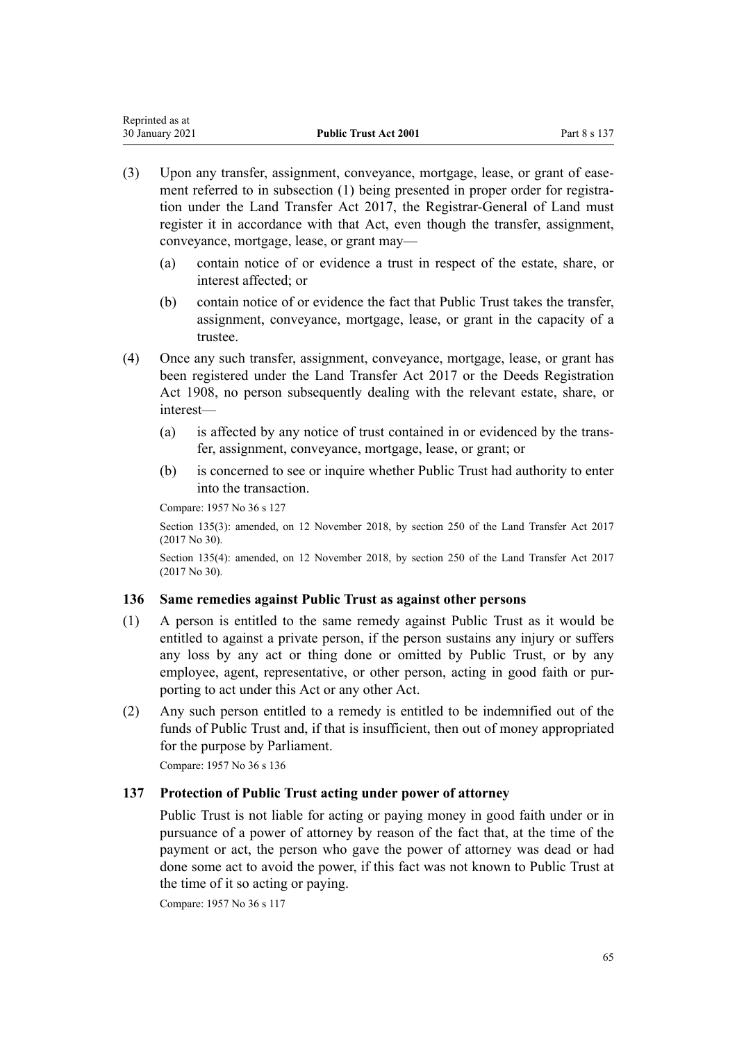| Reprinted as at |                              |              |
|-----------------|------------------------------|--------------|
| 30 January 2021 | <b>Public Trust Act 2001</b> | Part 8 s 137 |

- (3) Upon any transfer, assignment, conveyance, mortgage, lease, or grant of easement referred to in subsection (1) being presented in proper order for registration under the [Land Transfer Act 2017,](http://legislation.govt.nz/pdflink.aspx?id=DLM6731002) the Registrar-General of Land must register it in accordance with that Act, even though the transfer, assignment, conveyance, mortgage, lease, or grant may—
	- (a) contain notice of or evidence a trust in respect of the estate, share, or interest affected; or
	- (b) contain notice of or evidence the fact that Public Trust takes the transfer, assignment, conveyance, mortgage, lease, or grant in the capacity of a trustee.
- (4) Once any such transfer, assignment, conveyance, mortgage, lease, or grant has been registered under the [Land Transfer Act 2017](http://legislation.govt.nz/pdflink.aspx?id=DLM6731002) or the [Deeds Registration](http://legislation.govt.nz/pdflink.aspx?id=DLM141134) [Act 1908](http://legislation.govt.nz/pdflink.aspx?id=DLM141134), no person subsequently dealing with the relevant estate, share, or interest—
	- (a) is affected by any notice of trust contained in or evidenced by the transfer, assignment, conveyance, mortgage, lease, or grant; or
	- (b) is concerned to see or inquire whether Public Trust had authority to enter into the transaction.

Section 135(3): amended, on 12 November 2018, by [section 250](http://legislation.govt.nz/pdflink.aspx?id=DLM6731493) of the Land Transfer Act 2017 (2017 No 30).

Section 135(4): amended, on 12 November 2018, by [section 250](http://legislation.govt.nz/pdflink.aspx?id=DLM6731493) of the Land Transfer Act 2017 (2017 No 30).

## **136 Same remedies against Public Trust as against other persons**

- (1) A person is entitled to the same remedy against Public Trust as it would be entitled to against a private person, if the person sustains any injury or suffers any loss by any act or thing done or omitted by Public Trust, or by any employee, agent, representative, or other person, acting in good faith or purporting to act under this Act or any other Act.
- (2) Any such person entitled to a remedy is entitled to be indemnified out of the funds of Public Trust and, if that is insufficient, then out of money appropriated for the purpose by Parliament.

Compare: 1957 No 36 s 136

## **137 Protection of Public Trust acting under power of attorney**

Public Trust is not liable for acting or paying money in good faith under or in pursuance of a power of attorney by reason of the fact that, at the time of the payment or act, the person who gave the power of attorney was dead or had done some act to avoid the power, if this fact was not known to Public Trust at the time of it so acting or paying.

Compare: 1957 No 36 s 117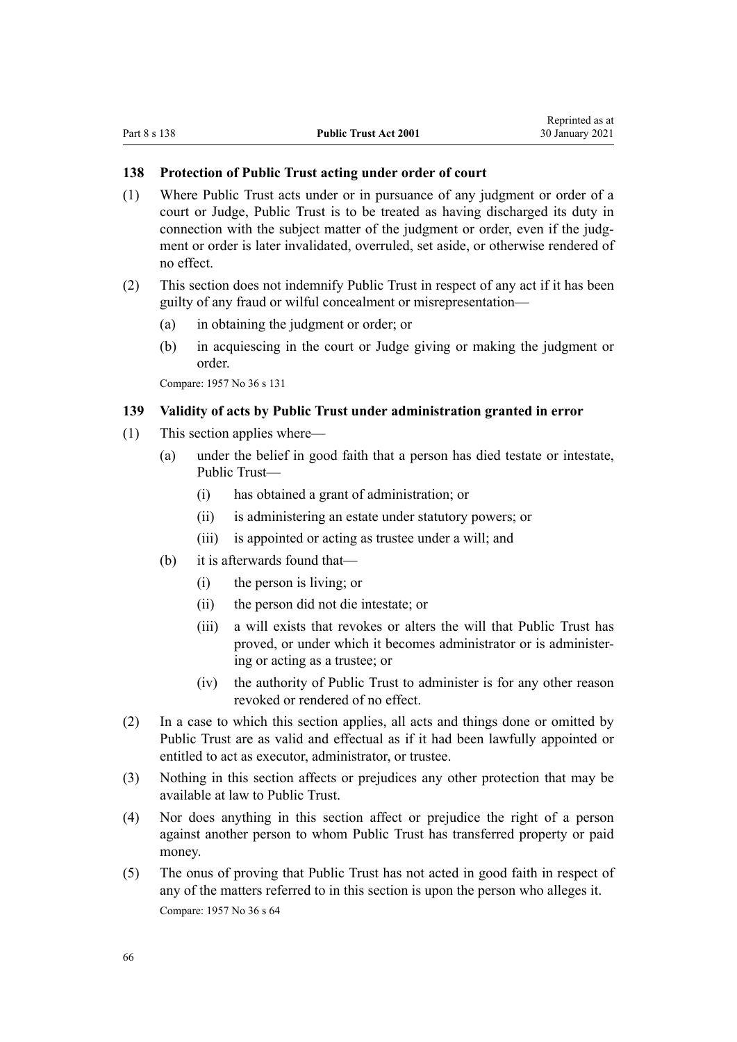#### **138 Protection of Public Trust acting under order of court**

- (1) Where Public Trust acts under or in pursuance of any judgment or order of a court or Judge, Public Trust is to be treated as having discharged its duty in connection with the subject matter of the judgment or order, even if the judgment or order is later invalidated, overruled, set aside, or otherwise rendered of no effect.
- (2) This section does not indemnify Public Trust in respect of any act if it has been guilty of any fraud or wilful concealment or misrepresentation—
	- (a) in obtaining the judgment or order; or
	- (b) in acquiescing in the court or Judge giving or making the judgment or order.

Compare: 1957 No 36 s 131

## **139 Validity of acts by Public Trust under administration granted in error**

- (1) This section applies where—
	- (a) under the belief in good faith that a person has died testate or intestate, Public Trust—
		- (i) has obtained a grant of administration; or
		- (ii) is administering an estate under statutory powers; or
		- (iii) is appointed or acting as trustee under a will; and
	- (b) it is afterwards found that—
		- (i) the person is living; or
		- (ii) the person did not die intestate; or
		- (iii) a will exists that revokes or alters the will that Public Trust has proved, or under which it becomes administrator or is administering or acting as a trustee; or
		- (iv) the authority of Public Trust to administer is for any other reason revoked or rendered of no effect.
- (2) In a case to which this section applies, all acts and things done or omitted by Public Trust are as valid and effectual as if it had been lawfully appointed or entitled to act as executor, administrator, or trustee.
- (3) Nothing in this section affects or prejudices any other protection that may be available at law to Public Trust.
- (4) Nor does anything in this section affect or prejudice the right of a person against another person to whom Public Trust has transferred property or paid money.
- (5) The onus of proving that Public Trust has not acted in good faith in respect of any of the matters referred to in this section is upon the person who alleges it. Compare: 1957 No 36 s 64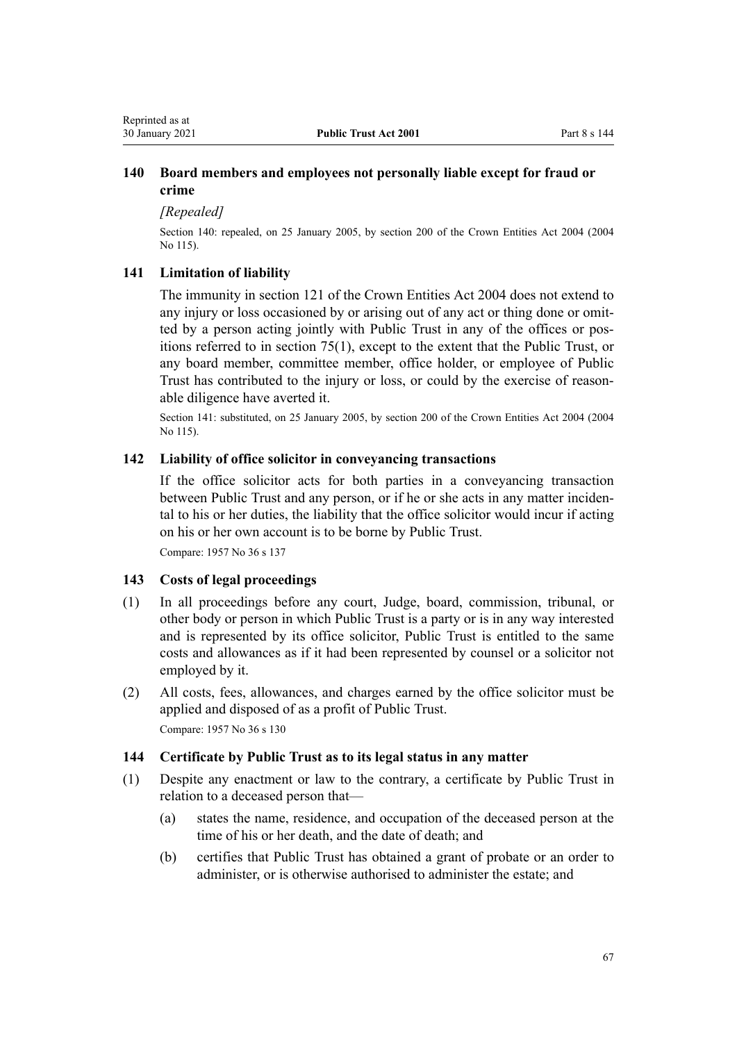## <span id="page-66-0"></span>**140 Board members and employees not personally liable except for fraud or crime**

*[Repealed]*

Section 140: repealed, on 25 January 2005, by [section 200](http://legislation.govt.nz/pdflink.aspx?id=DLM331111) of the Crown Entities Act 2004 (2004 No 115).

## **141 Limitation of liability**

The immunity in [section 121](http://legislation.govt.nz/pdflink.aspx?id=DLM330373) of the Crown Entities Act 2004 does not extend to any injury or loss occasioned by or arising out of any act or thing done or omitted by a person acting jointly with Public Trust in any of the offices or positions referred to in [section 75\(1\),](#page-32-0) except to the extent that the Public Trust, or any board member, committee member, office holder, or employee of Public Trust has contributed to the injury or loss, or could by the exercise of reasonable diligence have averted it.

Section 141: substituted, on 25 January 2005, by [section 200](http://legislation.govt.nz/pdflink.aspx?id=DLM331111) of the Crown Entities Act 2004 (2004 No 115).

#### **142 Liability of office solicitor in conveyancing transactions**

If the office solicitor acts for both parties in a conveyancing transaction between Public Trust and any person, or if he or she acts in any matter incidental to his or her duties, the liability that the office solicitor would incur if acting on his or her own account is to be borne by Public Trust.

Compare: 1957 No 36 s 137

#### **143 Costs of legal proceedings**

- (1) In all proceedings before any court, Judge, board, commission, tribunal, or other body or person in which Public Trust is a party or is in any way interested and is represented by its office solicitor, Public Trust is entitled to the same costs and allowances as if it had been represented by counsel or a solicitor not employed by it.
- (2) All costs, fees, allowances, and charges earned by the office solicitor must be applied and disposed of as a profit of Public Trust. Compare: 1957 No 36 s 130

#### **144 Certificate by Public Trust as to its legal status in any matter**

- (1) Despite any enactment or law to the contrary, a certificate by Public Trust in relation to a deceased person that—
	- (a) states the name, residence, and occupation of the deceased person at the time of his or her death, and the date of death; and
	- (b) certifies that Public Trust has obtained a grant of probate or an order to administer, or is otherwise authorised to administer the estate; and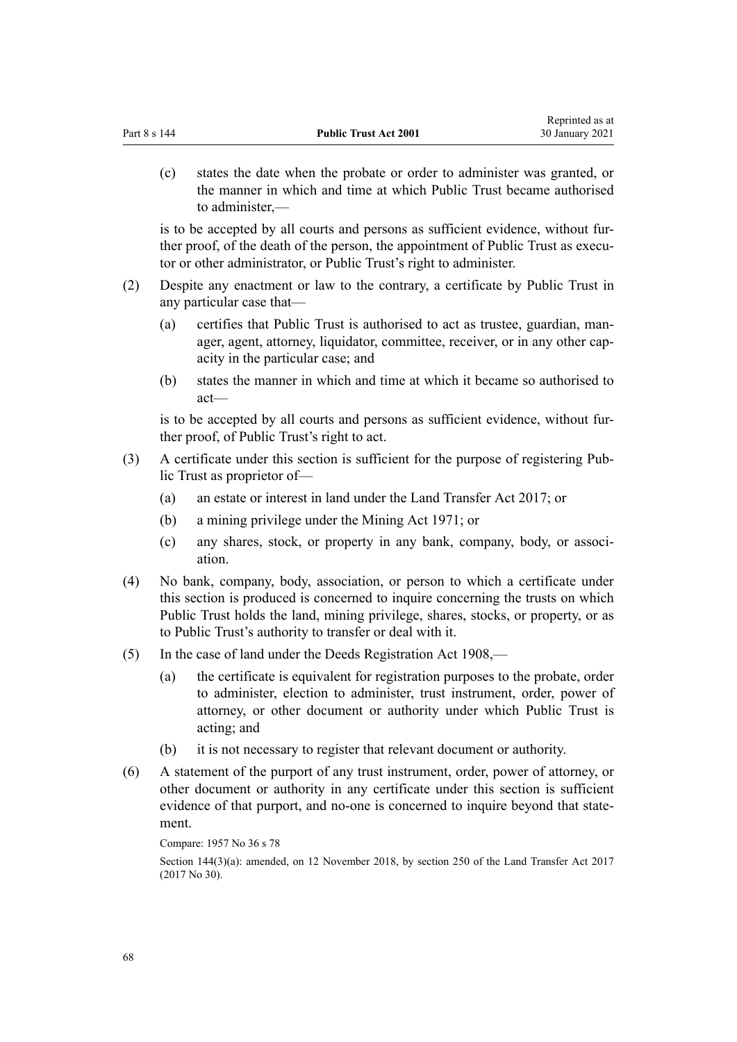|     | (c)                                                                                                                                                                                                                                         | states the date when the probate or order to administer was granted, or<br>the manner in which and time at which Public Trust became authorised<br>to administer,— |
|-----|---------------------------------------------------------------------------------------------------------------------------------------------------------------------------------------------------------------------------------------------|--------------------------------------------------------------------------------------------------------------------------------------------------------------------|
|     | is to be accepted by all courts and persons as sufficient evidence, without fur-<br>ther proof, of the death of the person, the appointment of Public Trust as execu-<br>tor or other administrator, or Public Trust's right to administer. |                                                                                                                                                                    |
| (2) |                                                                                                                                                                                                                                             | Despite any enactment or law to the contrary, a certificate by Public Trust in<br>any particular case that—                                                        |

- (a) certifies that Public Trust is authorised to act as trustee, guardian, manager, agent, attorney, liquidator, committee, receiver, or in any other capacity in the particular case; and
- (b) states the manner in which and time at which it became so authorised to act—

is to be accepted by all courts and persons as sufficient evidence, without further proof, of Public Trust's right to act.

- (3) A certificate under this section is sufficient for the purpose of registering Public Trust as proprietor of—
	- (a) an estate or interest in land under the [Land Transfer Act 2017](http://legislation.govt.nz/pdflink.aspx?id=DLM6731002); or
	- (b) a mining privilege under the Mining Act 1971; or
	- (c) any shares, stock, or property in any bank, company, body, or association.
- (4) No bank, company, body, association, or person to which a certificate under this section is produced is concerned to inquire concerning the trusts on which Public Trust holds the land, mining privilege, shares, stocks, or property, or as to Public Trust's authority to transfer or deal with it.
- (5) In the case of land under the [Deeds Registration Act 1908,](http://legislation.govt.nz/pdflink.aspx?id=DLM141134)
	- (a) the certificate is equivalent for registration purposes to the probate, order to administer, election to administer, trust instrument, order, power of attorney, or other document or authority under which Public Trust is acting; and
	- (b) it is not necessary to register that relevant document or authority.
- (6) A statement of the purport of any trust instrument, order, power of attorney, or other document or authority in any certificate under this section is sufficient evidence of that purport, and no-one is concerned to inquire beyond that statement.

```
Compare: 1957 No 36 s 78
```
Section 144(3)(a): amended, on 12 November 2018, by [section 250](http://legislation.govt.nz/pdflink.aspx?id=DLM6731493) of the Land Transfer Act 2017 (2017 No 30).

Reprinted as at 30 January 2021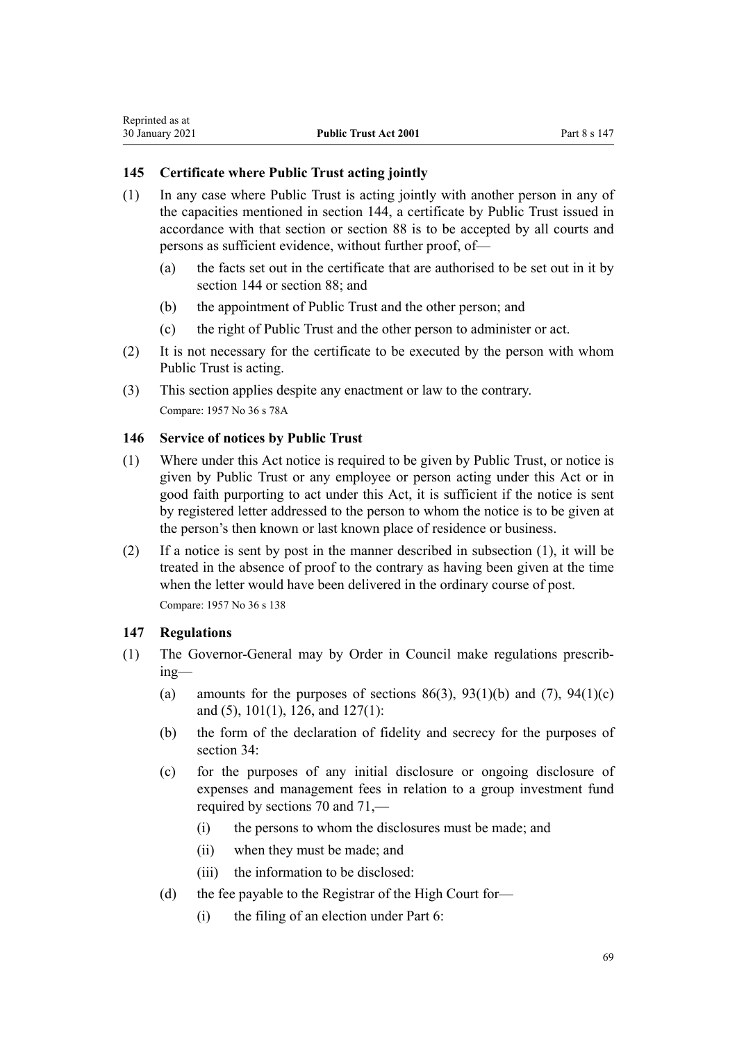# <span id="page-68-0"></span>**145 Certificate where Public Trust acting jointly**

- (1) In any case where Public Trust is acting jointly with another person in any of the capacities mentioned in [section 144](#page-66-0), a certificate by Public Trust issued in accordance with that section or [section 88](#page-41-0) is to be accepted by all courts and persons as sufficient evidence, without further proof, of—
	- (a) the facts set out in the certificate that are authorised to be set out in it by [section 144](#page-66-0) or [section 88](#page-41-0); and
	- (b) the appointment of Public Trust and the other person; and
	- (c) the right of Public Trust and the other person to administer or act.
- (2) It is not necessary for the certificate to be executed by the person with whom Public Trust is acting.
- (3) This section applies despite any enactment or law to the contrary. Compare: 1957 No 36 s 78A

## **146 Service of notices by Public Trust**

- (1) Where under this Act notice is required to be given by Public Trust, or notice is given by Public Trust or any employee or person acting under this Act or in good faith purporting to act under this Act, it is sufficient if the notice is sent by registered letter addressed to the person to whom the notice is to be given at the person's then known or last known place of residence or business.
- (2) If a notice is sent by post in the manner described in subsection (1), it will be treated in the absence of proof to the contrary as having been given at the time when the letter would have been delivered in the ordinary course of post. Compare: 1957 No 36 s 138

## **147 Regulations**

- (1) The Governor-General may by Order in Council make regulations prescribing—
	- (a) amounts for the purposes of sections  $86(3)$ ,  $93(1)(b)$  and  $(7)$ ,  $94(1)(c)$ [and \(5\)](#page-44-0), [101\(1\),](#page-47-0) [126,](#page-59-0) and [127\(1\)](#page-59-0):
	- (b) the form of the declaration of fidelity and secrecy for the purposes of [section 34](#page-17-0):
	- (c) for the purposes of any initial disclosure or ongoing disclosure of expenses and management fees in relation to a group investment fund required by [sections 70](#page-30-0) and [71](#page-30-0),—
		- (i) the persons to whom the disclosures must be made; and
		- (ii) when they must be made; and
		- (iii) the information to be disclosed:
	- (d) the fee payable to the Registrar of the High Court for—
		- (i) the filing of an election under [Part 6:](#page-43-0)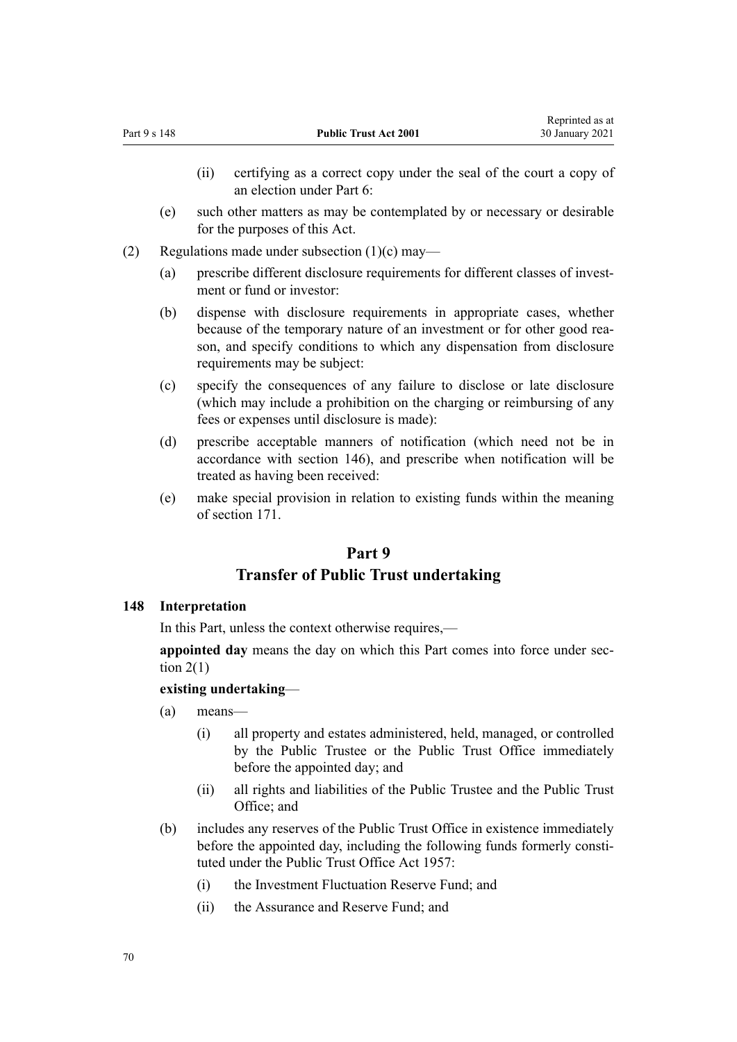- (ii) certifying as a correct copy under the seal of the court a copy of an election under [Part 6](#page-43-0):
- (e) such other matters as may be contemplated by or necessary or desirable for the purposes of this Act.
- (2) Regulations made under subsection  $(1)(c)$  may—
	- (a) prescribe different disclosure requirements for different classes of investment or fund or investor:
	- (b) dispense with disclosure requirements in appropriate cases, whether because of the temporary nature of an investment or for other good reason, and specify conditions to which any dispensation from disclosure requirements may be subject:
	- (c) specify the consequences of any failure to disclose or late disclosure (which may include a prohibition on the charging or reimbursing of any fees or expenses until disclosure is made):
	- (d) prescribe acceptable manners of notification (which need not be in accordance with [section 146](#page-68-0)), and prescribe when notification will be treated as having been received:
	- (e) make special provision in relation to existing funds within the meaning of [section 171](#page-76-0).

## **Part 9**

## **Transfer of Public Trust undertaking**

## **148 Interpretation**

In this Part, unless the context otherwise requires,—

**appointed day** means the day on which this Part comes into force under [sec](#page-6-0)tion  $2(1)$ 

## **existing undertaking**—

- (a) means—
	- (i) all property and estates administered, held, managed, or controlled by the Public Trustee or the Public Trust Office immediately before the appointed day; and
	- (ii) all rights and liabilities of the Public Trustee and the Public Trust Office; and
- (b) includes any reserves of the Public Trust Office in existence immediately before the appointed day, including the following funds formerly constituted under the Public Trust Office Act 1957:
	- (i) the Investment Fluctuation Reserve Fund; and
	- (ii) the Assurance and Reserve Fund; and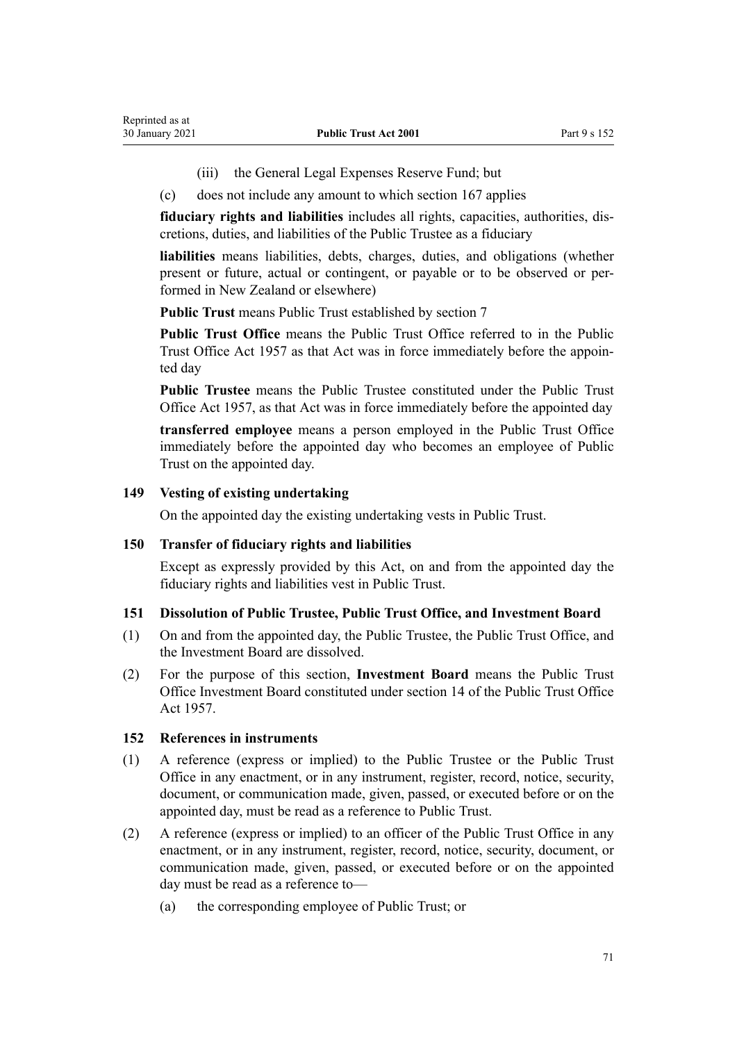- (iii) the General Legal Expenses Reserve Fund; but
- (c) does not include any amount to which [section 167](#page-75-0) applies

**fiduciary rights and liabilities** includes all rights, capacities, authorities, discretions, duties, and liabilities of the Public Trustee as a fiduciary

**liabilities** means liabilities, debts, charges, duties, and obligations (whether present or future, actual or contingent, or payable or to be observed or performed in New Zealand or elsewhere)

**Public Trust** means Public Trust established by [section 7](#page-11-0)

**Public Trust Office** means the Public Trust Office referred to in the Public Trust Office Act 1957 as that Act was in force immediately before the appointed day

**Public Trustee** means the Public Trustee constituted under the Public Trust Office Act 1957, as that Act was in force immediately before the appointed day

**transferred employee** means a person employed in the Public Trust Office immediately before the appointed day who becomes an employee of Public Trust on the appointed day.

#### **149 Vesting of existing undertaking**

On the appointed day the existing undertaking vests in Public Trust.

#### **150 Transfer of fiduciary rights and liabilities**

Except as expressly provided by this Act, on and from the appointed day the fiduciary rights and liabilities vest in Public Trust.

## **151 Dissolution of Public Trustee, Public Trust Office, and Investment Board**

- (1) On and from the appointed day, the Public Trustee, the Public Trust Office, and the Investment Board are dissolved.
- (2) For the purpose of this section, **Investment Board** means the Public Trust Office Investment Board constituted under section 14 of the Public Trust Office Act 1957.

#### **152 References in instruments**

- (1) A reference (express or implied) to the Public Trustee or the Public Trust Office in any enactment, or in any instrument, register, record, notice, security, document, or communication made, given, passed, or executed before or on the appointed day, must be read as a reference to Public Trust.
- (2) A reference (express or implied) to an officer of the Public Trust Office in any enactment, or in any instrument, register, record, notice, security, document, or communication made, given, passed, or executed before or on the appointed day must be read as a reference to—
	- (a) the corresponding employee of Public Trust; or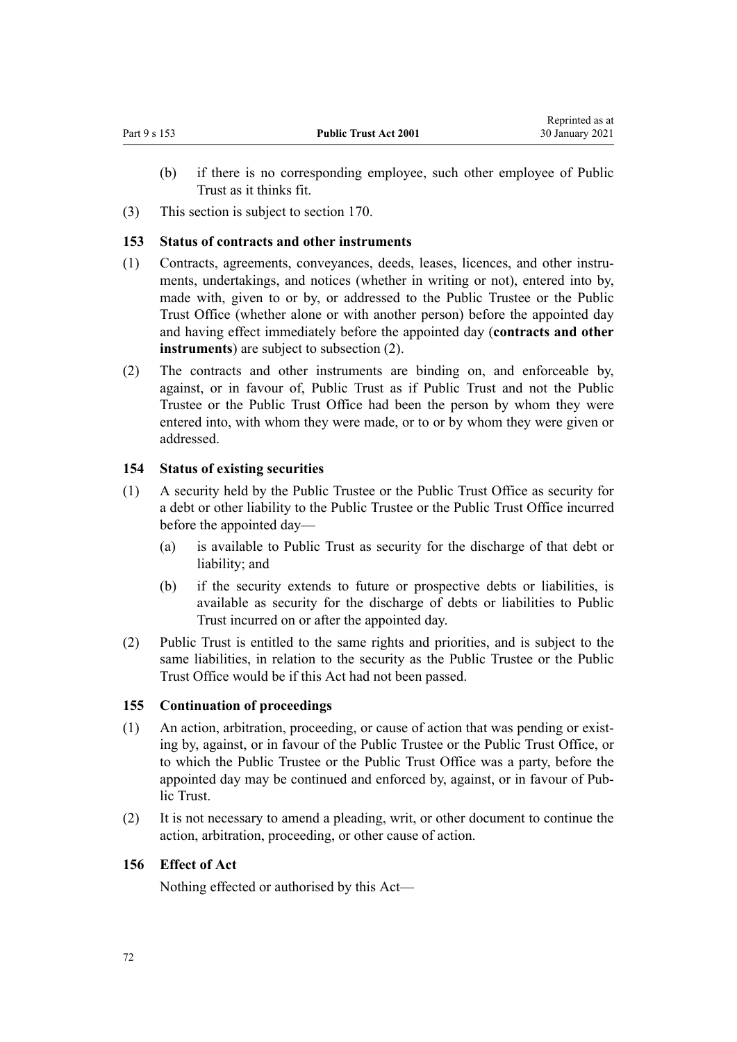- (b) if there is no corresponding employee, such other employee of Public Trust as it thinks fit.
- (3) This section is subject to [section 170](#page-75-0).

# **153 Status of contracts and other instruments**

- (1) Contracts, agreements, conveyances, deeds, leases, licences, and other instruments, undertakings, and notices (whether in writing or not), entered into by, made with, given to or by, or addressed to the Public Trustee or the Public Trust Office (whether alone or with another person) before the appointed day and having effect immediately before the appointed day (**contracts and other instruments**) are subject to subsection (2).
- (2) The contracts and other instruments are binding on, and enforceable by, against, or in favour of, Public Trust as if Public Trust and not the Public Trustee or the Public Trust Office had been the person by whom they were entered into, with whom they were made, or to or by whom they were given or addressed.

# **154 Status of existing securities**

- (1) A security held by the Public Trustee or the Public Trust Office as security for a debt or other liability to the Public Trustee or the Public Trust Office incurred before the appointed day—
	- (a) is available to Public Trust as security for the discharge of that debt or liability; and
	- (b) if the security extends to future or prospective debts or liabilities, is available as security for the discharge of debts or liabilities to Public Trust incurred on or after the appointed day.
- (2) Public Trust is entitled to the same rights and priorities, and is subject to the same liabilities, in relation to the security as the Public Trustee or the Public Trust Office would be if this Act had not been passed.

# **155 Continuation of proceedings**

- (1) An action, arbitration, proceeding, or cause of action that was pending or existing by, against, or in favour of the Public Trustee or the Public Trust Office, or to which the Public Trustee or the Public Trust Office was a party, before the appointed day may be continued and enforced by, against, or in favour of Public Trust.
- (2) It is not necessary to amend a pleading, writ, or other document to continue the action, arbitration, proceeding, or other cause of action.

# **156 Effect of Act**

Nothing effected or authorised by this Act—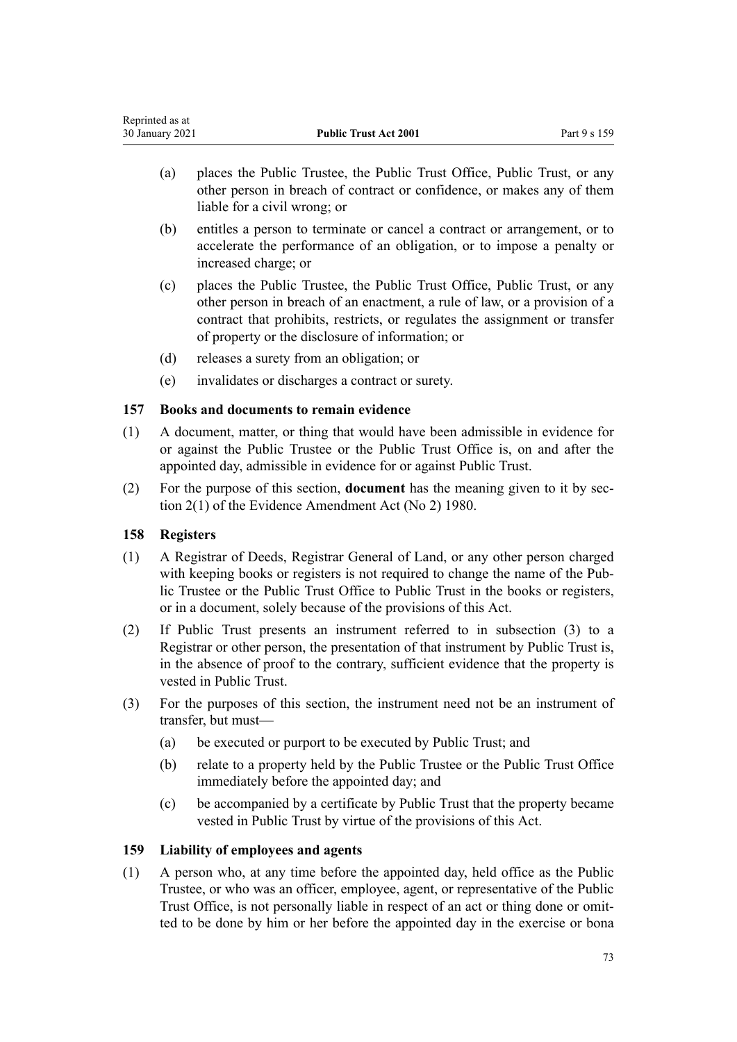| Reprinted as at |                              |              |
|-----------------|------------------------------|--------------|
| 30 January 2021 | <b>Public Trust Act 2001</b> | Part 9 s 159 |

- (a) places the Public Trustee, the Public Trust Office, Public Trust, or any other person in breach of contract or confidence, or makes any of them liable for a civil wrong; or
- (b) entitles a person to terminate or cancel a contract or arrangement, or to accelerate the performance of an obligation, or to impose a penalty or increased charge; or
- (c) places the Public Trustee, the Public Trust Office, Public Trust, or any other person in breach of an enactment, a rule of law, or a provision of a contract that prohibits, restricts, or regulates the assignment or transfer of property or the disclosure of information; or
- (d) releases a surety from an obligation; or
- (e) invalidates or discharges a contract or surety.

### **157 Books and documents to remain evidence**

- (1) A document, matter, or thing that would have been admissible in evidence for or against the Public Trustee or the Public Trust Office is, on and after the appointed day, admissible in evidence for or against Public Trust.
- (2) For the purpose of this section, **document** has the meaning given to it by [sec](http://legislation.govt.nz/pdflink.aspx?id=DLM35698)[tion 2\(1\)](http://legislation.govt.nz/pdflink.aspx?id=DLM35698) of the Evidence Amendment Act (No 2) 1980.

### **158 Registers**

- (1) A Registrar of Deeds, Registrar General of Land, or any other person charged with keeping books or registers is not required to change the name of the Public Trustee or the Public Trust Office to Public Trust in the books or registers, or in a document, solely because of the provisions of this Act.
- (2) If Public Trust presents an instrument referred to in subsection (3) to a Registrar or other person, the presentation of that instrument by Public Trust is, in the absence of proof to the contrary, sufficient evidence that the property is vested in Public Trust.
- (3) For the purposes of this section, the instrument need not be an instrument of transfer, but must—
	- (a) be executed or purport to be executed by Public Trust; and
	- (b) relate to a property held by the Public Trustee or the Public Trust Office immediately before the appointed day; and
	- (c) be accompanied by a certificate by Public Trust that the property became vested in Public Trust by virtue of the provisions of this Act.

### **159 Liability of employees and agents**

(1) A person who, at any time before the appointed day, held office as the Public Trustee, or who was an officer, employee, agent, or representative of the Public Trust Office, is not personally liable in respect of an act or thing done or omitted to be done by him or her before the appointed day in the exercise or bona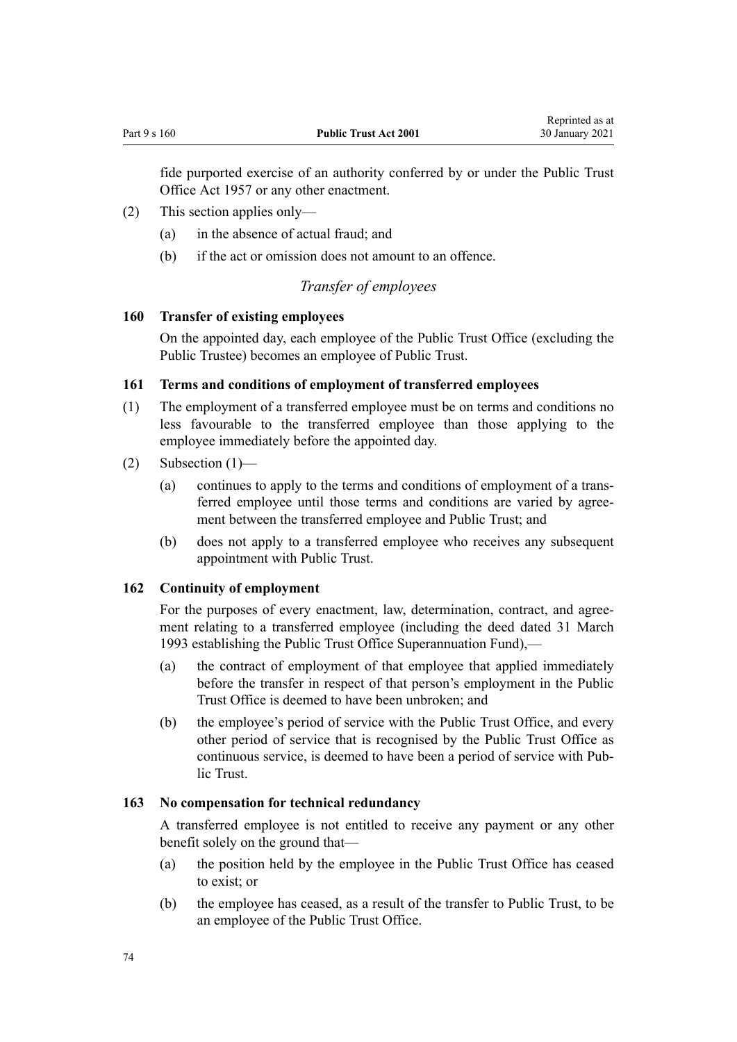fide purported exercise of an authority conferred by or under the Public Trust Office Act 1957 or any other enactment.

- (2) This section applies only—
	- (a) in the absence of actual fraud; and
	- (b) if the act or omission does not amount to an offence.

# *Transfer of employees*

### **160 Transfer of existing employees**

On the appointed day, each employee of the Public Trust Office (excluding the Public Trustee) becomes an employee of Public Trust.

### **161 Terms and conditions of employment of transferred employees**

- (1) The employment of a transferred employee must be on terms and conditions no less favourable to the transferred employee than those applying to the employee immediately before the appointed day.
- $(2)$  Subsection  $(1)$ 
	- (a) continues to apply to the terms and conditions of employment of a transferred employee until those terms and conditions are varied by agreement between the transferred employee and Public Trust; and
	- (b) does not apply to a transferred employee who receives any subsequent appointment with Public Trust.

### **162 Continuity of employment**

For the purposes of every enactment, law, determination, contract, and agreement relating to a transferred employee (including the deed dated 31 March 1993 establishing the Public Trust Office Superannuation Fund),—

- (a) the contract of employment of that employee that applied immediately before the transfer in respect of that person's employment in the Public Trust Office is deemed to have been unbroken; and
- (b) the employee's period of service with the Public Trust Office, and every other period of service that is recognised by the Public Trust Office as continuous service, is deemed to have been a period of service with Public Trust.

### **163 No compensation for technical redundancy**

A transferred employee is not entitled to receive any payment or any other benefit solely on the ground that—

- (a) the position held by the employee in the Public Trust Office has ceased to exist; or
- (b) the employee has ceased, as a result of the transfer to Public Trust, to be an employee of the Public Trust Office.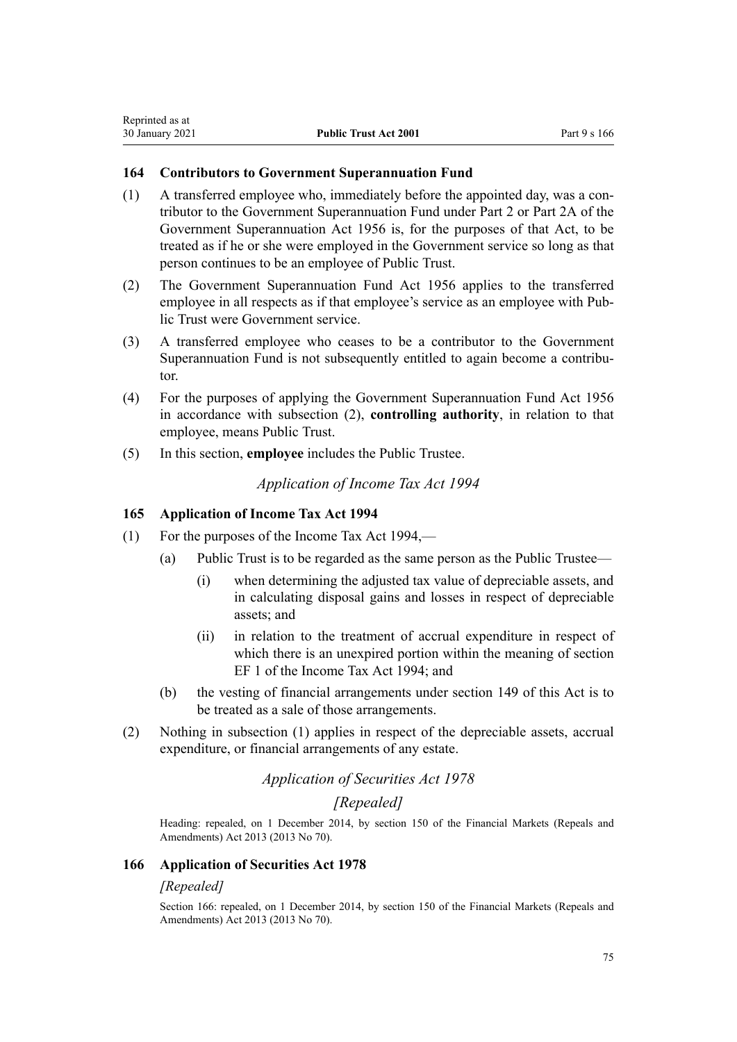### **164 Contributors to Government Superannuation Fund**

- (1) A transferred employee who, immediately before the appointed day, was a contributor to the Government Superannuation Fund under Part 2 or Part 2A of the Government Superannuation Act 1956 is, for the purposes of that Act, to be treated as if he or she were employed in the Government service so long as that person continues to be an employee of Public Trust.
- (2) The [Government Superannuation Fund Act 1956](http://legislation.govt.nz/pdflink.aspx?id=DLM446000) applies to the transferred employee in all respects as if that employee's service as an employee with Public Trust were Government service.
- (3) A transferred employee who ceases to be a contributor to the Government Superannuation Fund is not subsequently entitled to again become a contributor.
- (4) For the purposes of applying the [Government Superannuation Fund Act 1956](http://legislation.govt.nz/pdflink.aspx?id=DLM446000) in accordance with subsection (2), **controlling authority**, in relation to that employee, means Public Trust.
- (5) In this section, **employee** includes the Public Trustee.

*Application of Income Tax Act 1994*

### **165 Application of Income Tax Act 1994**

- (1) For the purposes of the Income Tax Act 1994,—
	- (a) Public Trust is to be regarded as the same person as the Public Trustee—
		- (i) when determining the adjusted tax value of depreciable assets, and in calculating disposal gains and losses in respect of depreciable assets; and
		- (ii) in relation to the treatment of accrual expenditure in respect of which there is an unexpired portion within the meaning of section EF 1 of the Income Tax Act 1994; and
	- (b) the vesting of financial arrangements under [section 149](#page-70-0) of this Act is to be treated as a sale of those arrangements.
- (2) Nothing in subsection (1) applies in respect of the depreciable assets, accrual expenditure, or financial arrangements of any estate.

# *Application of Securities Act 1978*

### *[Repealed]*

Heading: repealed, on 1 December 2014, by [section 150](http://legislation.govt.nz/pdflink.aspx?id=DLM5561603) of the Financial Markets (Repeals and Amendments) Act 2013 (2013 No 70).

### **166 Application of Securities Act 1978**

### *[Repealed]*

Section 166: repealed, on 1 December 2014, by [section 150](http://legislation.govt.nz/pdflink.aspx?id=DLM5561603) of the Financial Markets (Repeals and Amendments) Act 2013 (2013 No 70).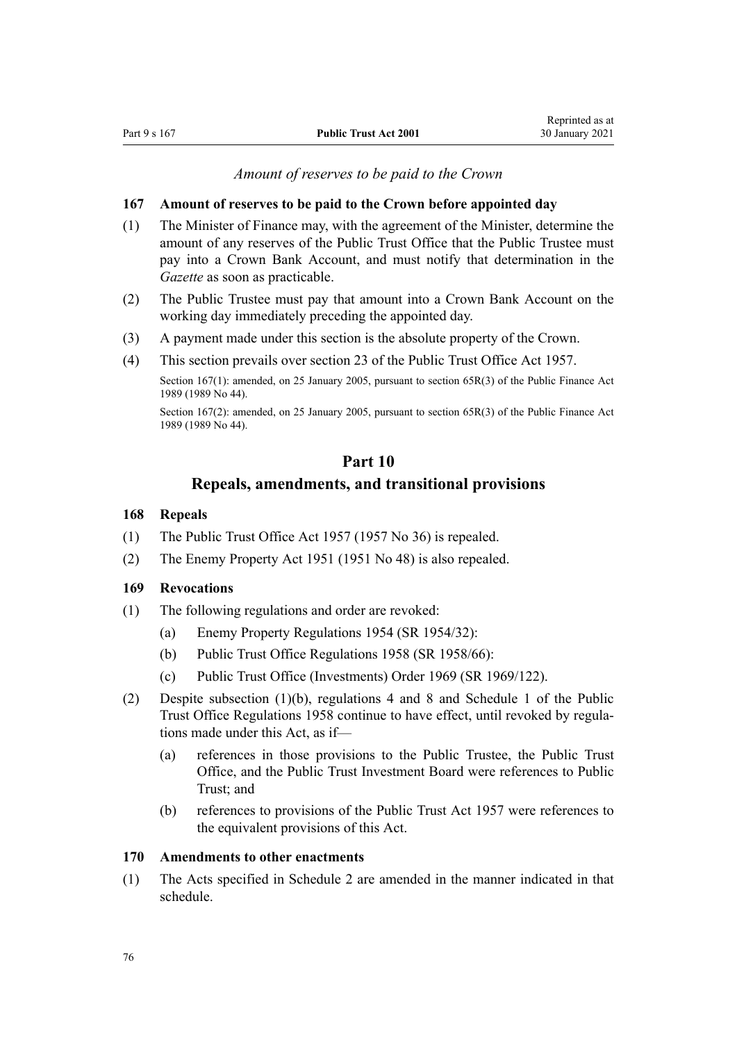### *Amount of reserves to be paid to the Crown*

#### <span id="page-75-0"></span>**167 Amount of reserves to be paid to the Crown before appointed day**

- (1) The Minister of Finance may, with the agreement of the Minister, determine the amount of any reserves of the Public Trust Office that the Public Trustee must pay into a Crown Bank Account, and must notify that determination in the *Gazette* as soon as practicable.
- (2) The Public Trustee must pay that amount into a Crown Bank Account on the working day immediately preceding the appointed day.
- (3) A payment made under this section is the absolute property of the Crown.
- (4) This section prevails over section 23 of the Public Trust Office Act 1957.

Section 167(1): amended, on 25 January 2005, pursuant to [section 65R\(3\)](http://legislation.govt.nz/pdflink.aspx?id=DLM162942) of the Public Finance Act 1989 (1989 No 44).

Section 167(2): amended, on 25 January 2005, pursuant to [section 65R\(3\)](http://legislation.govt.nz/pdflink.aspx?id=DLM162942) of the Public Finance Act 1989 (1989 No 44).

# **Part 10**

# **Repeals, amendments, and transitional provisions**

### **168 Repeals**

- (1) The Public Trust Office Act 1957 (1957 No 36) is repealed.
- (2) The Enemy Property Act 1951 (1951 No 48) is also repealed.

### **169 Revocations**

- (1) The following regulations and order are revoked:
	- (a) Enemy Property Regulations 1954 (SR 1954/32):
	- (b) Public Trust Office Regulations 1958 (SR 1958/66):
	- (c) Public Trust Office (Investments) Order 1969 (SR 1969/122).
- (2) Despite subsection (1)(b), regulations 4 and 8 and Schedule 1 of the Public Trust Office Regulations 1958 continue to have effect, until revoked by regulations made under this Act, as if—
	- (a) references in those provisions to the Public Trustee, the Public Trust Office, and the Public Trust Investment Board were references to Public Trust; and
	- (b) references to provisions of the Public Trust Act 1957 were references to the equivalent provisions of this Act.

#### **170 Amendments to other enactments**

(1) The Acts specified in [Schedule 2](#page-79-0) are amended in the manner indicated in that schedule.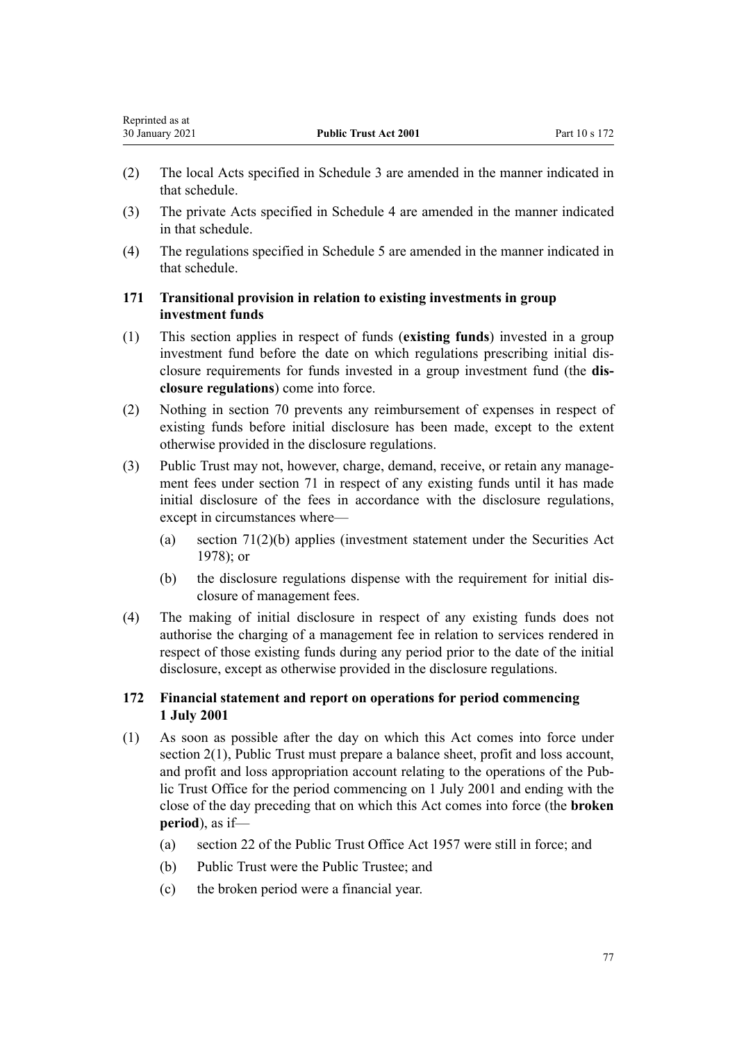- (2) The local Acts specified in [Schedule 3](#page-84-0) are amended in the manner indicated in that schedule.
- (3) The private Acts specified in [Schedule 4](#page-85-0) are amended in the manner indicated in that schedule.
- (4) The regulations specified in [Schedule 5](#page-86-0) are amended in the manner indicated in that schedule.

# **171 Transitional provision in relation to existing investments in group investment funds**

- (1) This section applies in respect of funds (**existing funds**) invested in a group investment fund before the date on which regulations prescribing initial disclosure requirements for funds invested in a group investment fund (the **disclosure regulations**) come into force.
- (2) Nothing in [section 70](#page-30-0) prevents any reimbursement of expenses in respect of existing funds before initial disclosure has been made, except to the extent otherwise provided in the disclosure regulations.
- (3) Public Trust may not, however, charge, demand, receive, or retain any management fees under [section 71](#page-30-0) in respect of any existing funds until it has made initial disclosure of the fees in accordance with the disclosure regulations, except in circumstances where—
	- (a) [section 71\(2\)\(b\)](#page-30-0) applies (investment statement under the [Securities Act](http://legislation.govt.nz/pdflink.aspx?id=DLM25999) [1978](http://legislation.govt.nz/pdflink.aspx?id=DLM25999)); or
	- (b) the disclosure regulations dispense with the requirement for initial disclosure of management fees.
- (4) The making of initial disclosure in respect of any existing funds does not authorise the charging of a management fee in relation to services rendered in respect of those existing funds during any period prior to the date of the initial disclosure, except as otherwise provided in the disclosure regulations.

# **172 Financial statement and report on operations for period commencing 1 July 2001**

- (1) As soon as possible after the day on which this Act comes into force under [section 2\(1\)](#page-6-0), Public Trust must prepare a balance sheet, profit and loss account, and profit and loss appropriation account relating to the operations of the Public Trust Office for the period commencing on 1 July 2001 and ending with the close of the day preceding that on which this Act comes into force (the **broken period**), as if—
	- (a) section 22 of the Public Trust Office Act 1957 were still in force; and
	- (b) Public Trust were the Public Trustee; and
	- (c) the broken period were a financial year.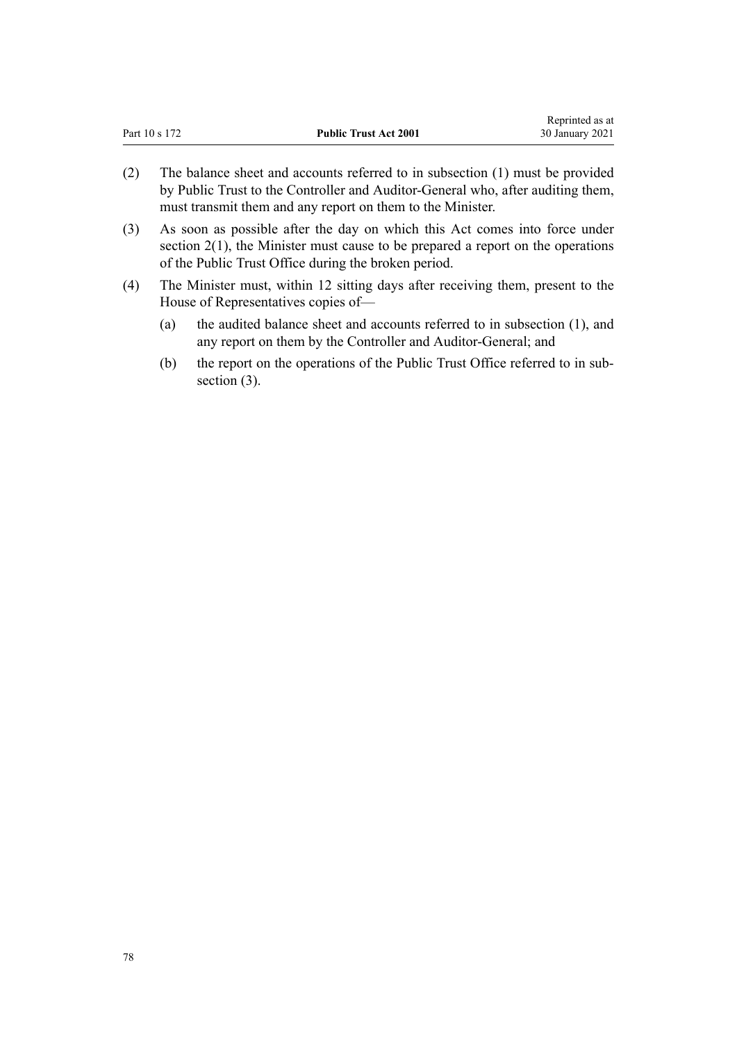| Part 10 s 172 |  | <b>Public Trust Act 2001</b>                                                                                                                                     | wephinted as at<br>30 January 2021 |
|---------------|--|------------------------------------------------------------------------------------------------------------------------------------------------------------------|------------------------------------|
| (2)           |  | The balance sheet and accounts referred to in subsection (1) must be provided<br>by Public Trust to the Controller and Auditor-General who, after auditing them, |                                    |

Reprinted as at

(3) As soon as possible after the day on which this Act comes into force under section  $2(1)$ , the Minister must cause to be prepared a report on the operations of the Public Trust Office during the broken period.

must transmit them and any report on them to the Minister.

(4) The Minister must, within 12 sitting days after receiving them, present to the House of Representatives copies of—

- (a) the audited balance sheet and accounts referred to in subsection (1), and any report on them by the Controller and Auditor-General; and
- (b) the report on the operations of the Public Trust Office referred to in subsection  $(3)$ .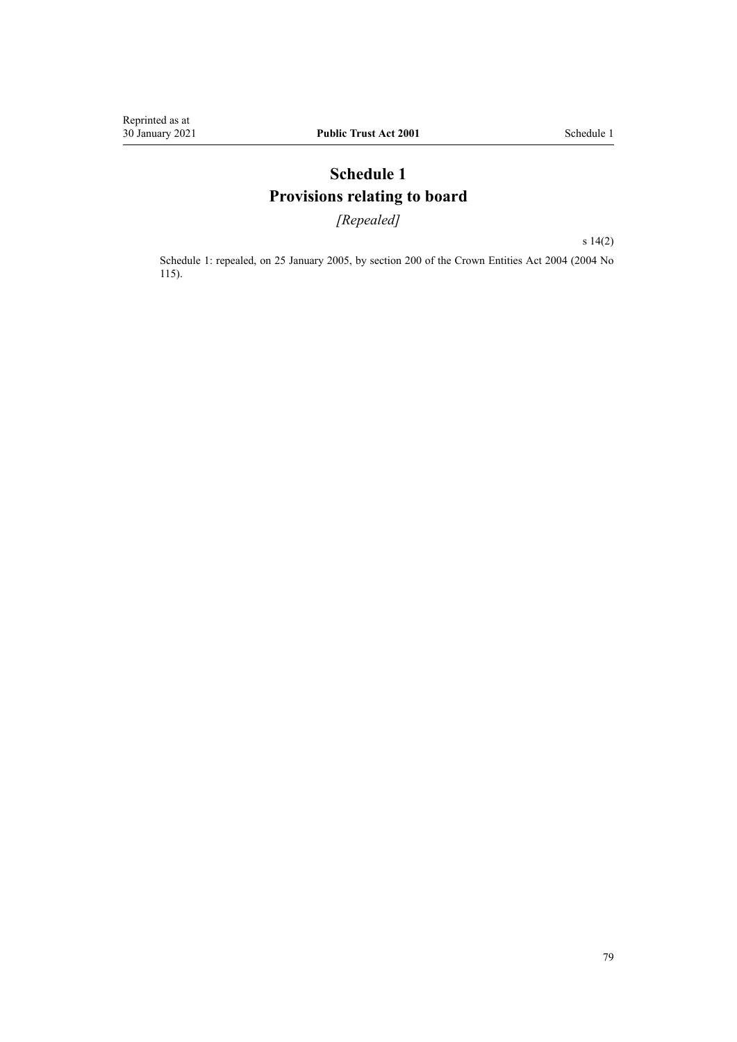# **Schedule 1 Provisions relating to board**

*[Repealed]*

[s 14\(2\)](#page-14-0)

Schedule 1: repealed, on 25 January 2005, by [section 200](http://legislation.govt.nz/pdflink.aspx?id=DLM331111) of the Crown Entities Act 2004 (2004 No 115).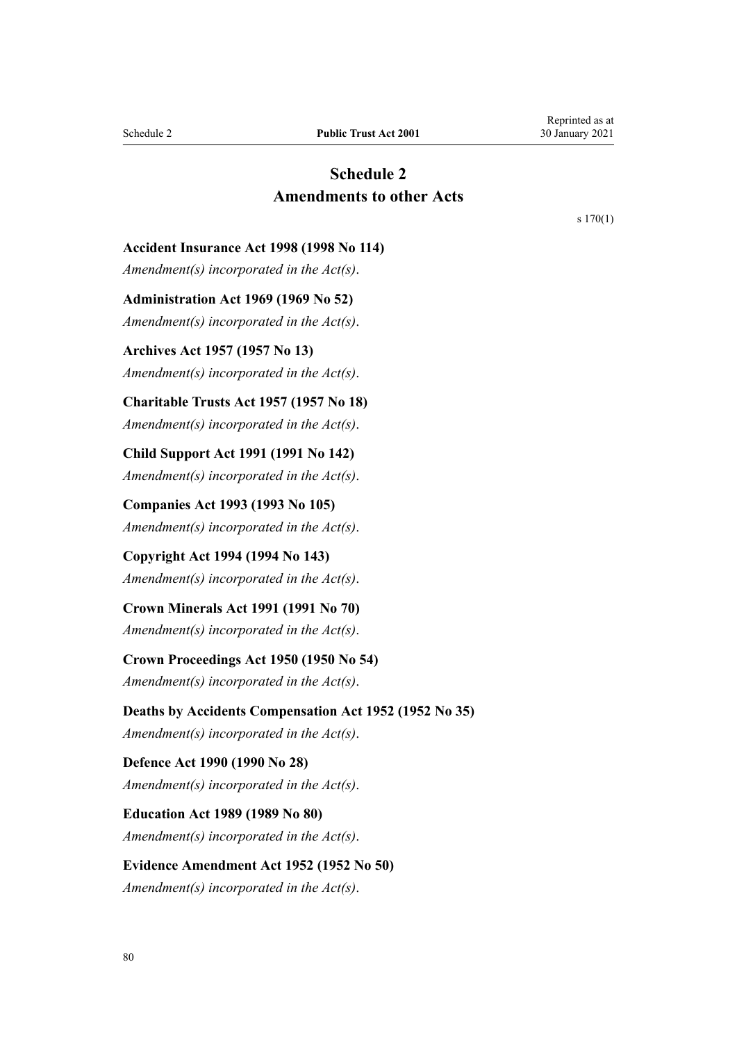# **Schedule 2 Amendments to other Acts**

[s 170\(1\)](#page-75-0)

<span id="page-79-0"></span>**Accident Insurance Act 1998 (1998 No 114)**

*Amendment(s) incorporated in the Act(s)*.

**Administration Act 1969 (1969 No 52)** *Amendment(s) incorporated in the [Act\(s\)](http://legislation.govt.nz/pdflink.aspx?id=DLM392629)*.

**Archives Act 1957 (1957 No 13)** *Amendment(s) incorporated in the Act(s)*.

**Charitable Trusts Act 1957 (1957 No 18)**

*Amendment(s) incorporated in the [Act\(s\)](http://legislation.govt.nz/pdflink.aspx?id=DLM308795)*.

**Child Support Act 1991 (1991 No 142)** *Amendment(s) incorporated in the [Act\(s\)](http://legislation.govt.nz/pdflink.aspx?id=DLM253150)*.

**Companies Act 1993 (1993 No 105)** *Amendment(s) incorporated in the [Act\(s\)](http://legislation.govt.nz/pdflink.aspx?id=DLM319569)*.

**Copyright Act 1994 (1994 No 143)** *Amendment(s) incorporated in the [Act\(s\)](http://legislation.govt.nz/pdflink.aspx?id=DLM345633)*.

**Crown Minerals Act 1991 (1991 No 70)** *Amendment(s) incorporated in the [Act\(s\)](http://legislation.govt.nz/pdflink.aspx?id=DLM242535)*.

**Crown Proceedings Act 1950 (1950 No 54)** *Amendment(s) incorporated in the [Act\(s\)](http://legislation.govt.nz/pdflink.aspx?id=DLM261466)*.

**Deaths by Accidents Compensation Act 1952 (1952 No 35)** *Amendment(s) incorporated in the [Act\(s\)](http://legislation.govt.nz/pdflink.aspx?id=DLM265835)*.

**Defence Act 1990 (1990 No 28)** *Amendment(s) incorporated in the [Act\(s\)](http://legislation.govt.nz/pdflink.aspx?id=DLM204972)*.

**Education Act 1989 (1989 No 80)** *Amendment(s) incorporated in the [Act\(s\)](http://legislation.govt.nz/pdflink.aspx?id=DLM175958)*.

**Evidence Amendment Act 1952 (1952 No 50)** *Amendment(s) incorporated in the [Act\(s\)](http://legislation.govt.nz/pdflink.aspx?id=DLM267013)*.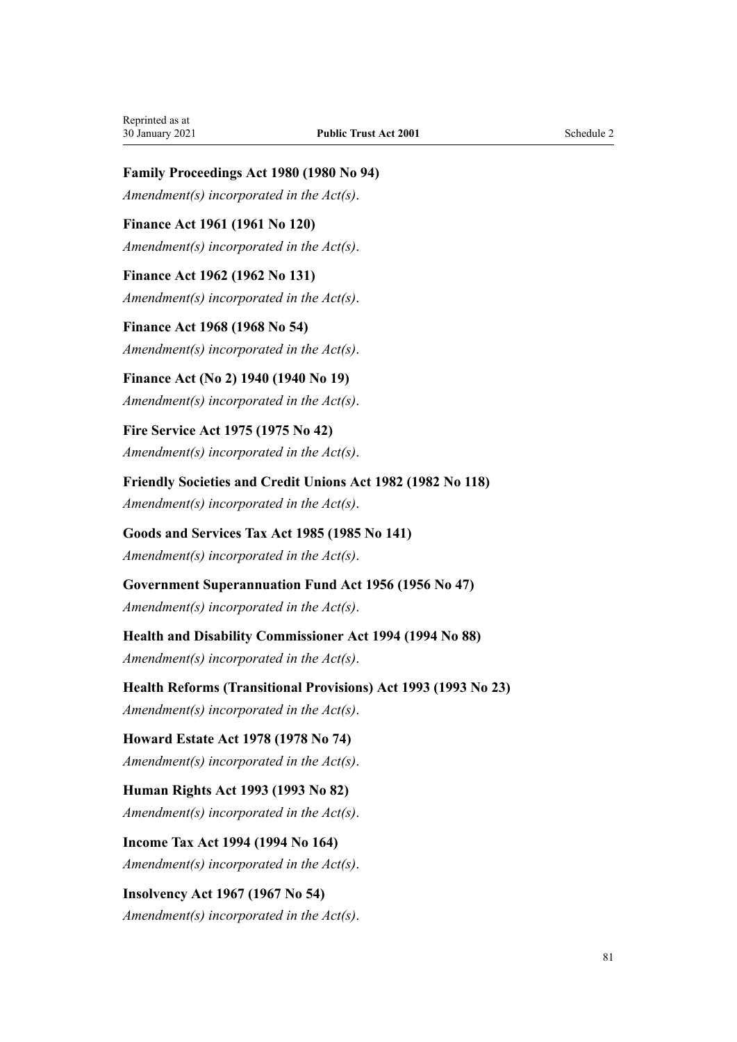**Family Proceedings Act 1980 (1980 No 94)**

*Amendment(s) incorporated in the [Act\(s\)](http://legislation.govt.nz/pdflink.aspx?id=DLM39722)*.

**Finance Act 1961 (1961 No 120)** *Amendment(s) incorporated in the [Act\(s\)](http://legislation.govt.nz/pdflink.aspx?id=DLM337555)*.

**Finance Act 1962 (1962 No 131)** *Amendment(s) incorporated in the [Act\(s\)](http://legislation.govt.nz/pdflink.aspx?id=DLM341025)*.

**Finance Act 1968 (1968 No 54)** *Amendment(s) incorporated in the [Act\(s\)](http://legislation.govt.nz/pdflink.aspx?id=DLM388264)*.

**Finance Act (No 2) 1940 (1940 No 19)** *Amendment(s) incorporated in the [Act\(s\)](http://legislation.govt.nz/pdflink.aspx?id=DLM230142)*.

**Fire Service Act 1975 (1975 No 42)** *Amendment(s) incorporated in the [Act\(s\)](http://legislation.govt.nz/pdflink.aspx?id=DLM432647)*.

**Friendly Societies and Credit Unions Act 1982 (1982 No 118)** *Amendment(s) incorporated in the [Act\(s\)](http://legislation.govt.nz/pdflink.aspx?id=DLM59731)*.

**Goods and Services Tax Act 1985 (1985 No 141)** *Amendment(s) incorporated in the [Act\(s\)](http://legislation.govt.nz/pdflink.aspx?id=DLM81034)*.

**Government Superannuation Fund Act 1956 (1956 No 47)** *Amendment(s) incorporated in the [Act\(s\)](http://legislation.govt.nz/pdflink.aspx?id=DLM446000)*.

**Health and Disability Commissioner Act 1994 (1994 No 88)** *Amendment(s) incorporated in the [Act\(s\)](http://legislation.govt.nz/pdflink.aspx?id=DLM333583)*.

**Health Reforms (Transitional Provisions) Act 1993 (1993 No 23)** *Amendment(s) incorporated in the Act(s)*.

**Howard Estate Act 1978 (1978 No 74)** *Amendment(s) incorporated in the [Act\(s\)](http://legislation.govt.nz/pdflink.aspx?id=DLM24092)*.

**Human Rights Act 1993 (1993 No 82)** *Amendment(s) incorporated in the [Act\(s\)](http://legislation.govt.nz/pdflink.aspx?id=DLM304211)*.

**Income Tax Act 1994 (1994 No 164)** *Amendment(s) incorporated in the [Act\(s\)](http://legislation.govt.nz/pdflink.aspx?id=DLM1184504)*.

**Insolvency Act 1967 (1967 No 54)** *Amendment(s) incorporated in the [Act\(s\)](http://legislation.govt.nz/pdflink.aspx?id=DLM382333)*.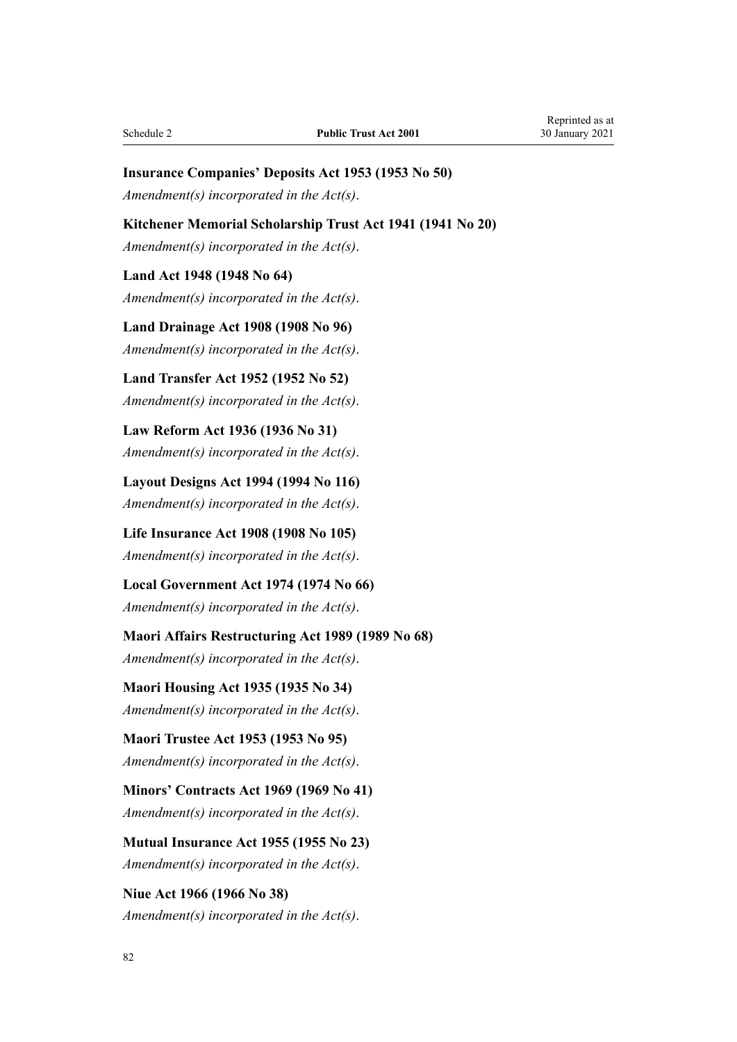## **Insurance Companies' Deposits Act 1953 (1953 No 50)**

*Amendment(s) incorporated in the [Act\(s\)](http://legislation.govt.nz/pdflink.aspx?id=DLM278720)*.

#### **Kitchener Memorial Scholarship Trust Act 1941 (1941 No 20)**

*Amendment(s) incorporated in the [Act\(s\)](http://legislation.govt.nz/pdflink.aspx?id=DLM232891)*.

#### **Land Act 1948 (1948 No 64)**

*Amendment(s) incorporated in the [Act\(s\)](http://legislation.govt.nz/pdflink.aspx?id=DLM250585)*.

**Land Drainage Act 1908 (1908 No 96)** *Amendment(s) incorporated in the [Act\(s\)](http://legislation.govt.nz/pdflink.aspx?id=DLM160976)*.

**Land Transfer Act 1952 (1952 No 52)** *Amendment(s) incorporated in the [Act\(s\)](http://legislation.govt.nz/pdflink.aspx?id=DLM269031)*.

**Law Reform Act 1936 (1936 No 31)** *Amendment(s) incorporated in the [Act\(s\)](http://legislation.govt.nz/pdflink.aspx?id=DLM219549)*.

**Layout Designs Act 1994 (1994 No 116)** *Amendment(s) incorporated in the [Act\(s\)](http://legislation.govt.nz/pdflink.aspx?id=DLM341480)*.

**Life Insurance Act 1908 (1908 No 105)** *Amendment(s) incorporated in the [Act\(s\)](http://legislation.govt.nz/pdflink.aspx?id=DLM169542)*.

**Local Government Act 1974 (1974 No 66)** *Amendment(s) incorporated in the [Act\(s\)](http://legislation.govt.nz/pdflink.aspx?id=DLM415531)*.

**Maori Affairs Restructuring Act 1989 (1989 No 68)** *Amendment(s) incorporated in the [Act\(s\)](http://legislation.govt.nz/pdflink.aspx?id=DLM169979)*.

**Maori Housing Act 1935 (1935 No 34)** *Amendment(s) incorporated in the [Act\(s\)](http://legislation.govt.nz/pdflink.aspx?id=DLM219026)*.

**Maori Trustee Act 1953 (1953 No 95)** *Amendment(s) incorporated in the [Act\(s\)](http://legislation.govt.nz/pdflink.aspx?id=DLM282037)*.

**Minors' Contracts Act 1969 (1969 No 41)** *Amendment(s) incorporated in the [Act\(s\)](http://legislation.govt.nz/pdflink.aspx?id=DLM392349)*.

**Mutual Insurance Act 1955 (1955 No 23)** *Amendment(s) incorporated in the [Act\(s\)](http://legislation.govt.nz/pdflink.aspx?id=DLM288723)*.

**Niue Act 1966 (1966 No 38)** *Amendment(s) incorporated in the [Act\(s\)](http://legislation.govt.nz/pdflink.aspx?id=DLM374780)*.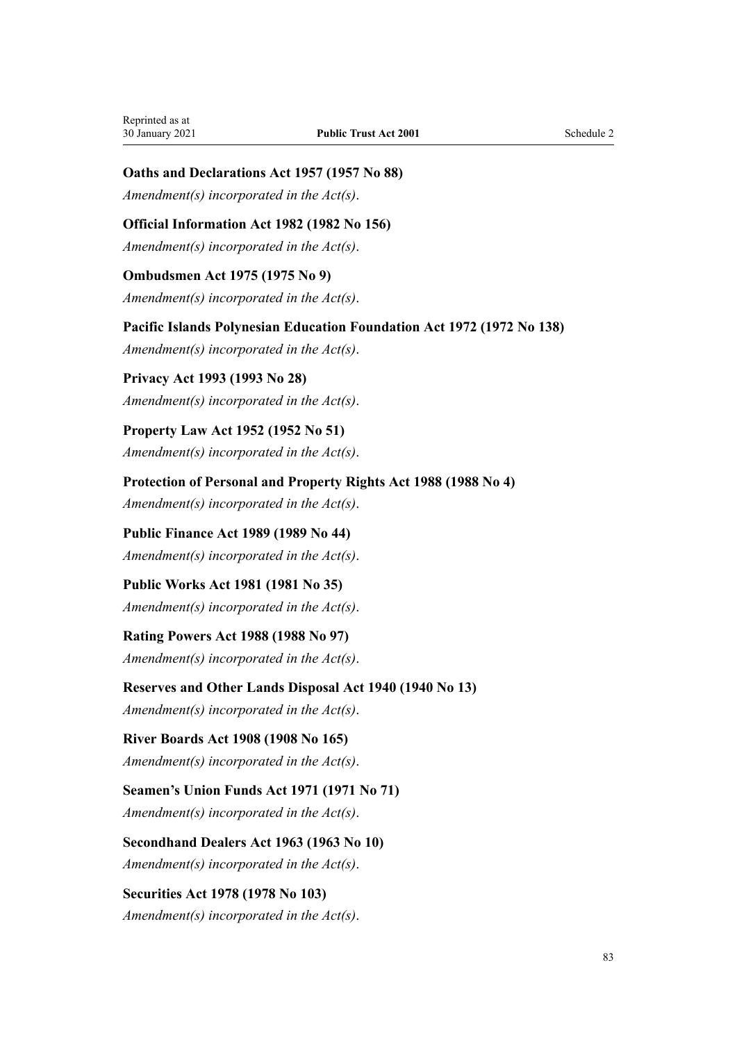# **Oaths and Declarations Act 1957 (1957 No 88)**

*Amendment(s) incorporated in the [Act\(s\)](http://legislation.govt.nz/pdflink.aspx?id=DLM314552)*.

# **Official Information Act 1982 (1982 No 156)**

*Amendment(s) incorporated in the [Act\(s\)](http://legislation.govt.nz/pdflink.aspx?id=DLM64784)*.

### **Ombudsmen Act 1975 (1975 No 9)**

*Amendment(s) incorporated in the [Act\(s\)](http://legislation.govt.nz/pdflink.aspx?id=DLM430983)*.

**Pacific Islands Polynesian Education Foundation Act 1972 (1972 No 138)**

*Amendment(s) incorporated in the [Act\(s\)](http://legislation.govt.nz/pdflink.aspx?id=DLM409224)*.

**Privacy Act 1993 (1993 No 28)** *Amendment(s) incorporated in the [Act\(s\)](http://legislation.govt.nz/pdflink.aspx?id=DLM296638)*.

**Property Law Act 1952 (1952 No 51)** *Amendment(s) incorporated in the [Act\(s\)](http://legislation.govt.nz/pdflink.aspx?id=DLM267064)*.

**Protection of Personal and Property Rights Act 1988 (1988 No 4)** *Amendment(s) incorporated in the [Act\(s\)](http://legislation.govt.nz/pdflink.aspx?id=DLM126527)*.

**Public Finance Act 1989 (1989 No 44)** *Amendment(s) incorporated in the [Act\(s\)](http://legislation.govt.nz/pdflink.aspx?id=DLM160808)*.

**Public Works Act 1981 (1981 No 35)** *Amendment(s) incorporated in the [Act\(s\)](http://legislation.govt.nz/pdflink.aspx?id=DLM45426)*.

**Rating Powers Act 1988 (1988 No 97)** *Amendment(s) incorporated in the Act(s)*.

**Reserves and Other Lands Disposal Act 1940 (1940 No 13)**

*Amendment(s) incorporated in the [Act\(s\)](http://legislation.govt.nz/pdflink.aspx?id=DLM228846)*.

## **River Boards Act 1908 (1908 No 165)**

*Amendment(s) incorporated in the [Act\(s\)](http://legislation.govt.nz/pdflink.aspx?id=DLM172771)*.

**Seamen's Union Funds Act 1971 (1971 No 71)** *Amendment(s) incorporated in the [Act\(s\)](http://legislation.govt.nz/pdflink.aspx?id=DLM405044)*.

**Secondhand Dealers Act 1963 (1963 No 10)** *Amendment(s) incorporated in the [Act\(s\)](http://legislation.govt.nz/pdflink.aspx?id=DLM405044)*.

**Securities Act 1978 (1978 No 103)** *Amendment(s) incorporated in the [Act\(s\)](http://legislation.govt.nz/pdflink.aspx?id=DLM25999)*.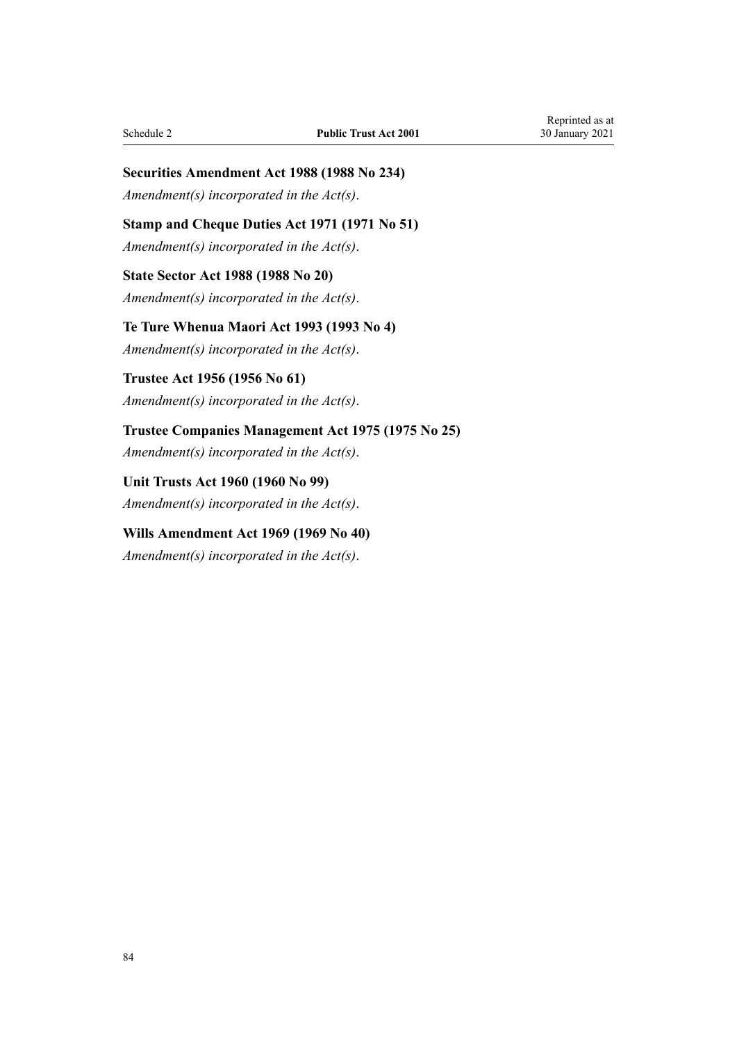# **Securities Amendment Act 1988 (1988 No 234)**

*Amendment(s) incorporated in the Act(s)*.

# **Stamp and Cheque Duties Act 1971 (1971 No 51)**

*Amendment(s) incorporated in the [Act\(s\)](http://legislation.govt.nz/pdflink.aspx?id=DLM399728)*.

# **State Sector Act 1988 (1988 No 20)** *Amendment(s) incorporated in the [Act\(s\)](http://legislation.govt.nz/pdflink.aspx?id=DLM129109)*.

**Te Ture Whenua Maori Act 1993 (1993 No 4)** *Amendment(s) incorporated in the [Act\(s\)](http://legislation.govt.nz/pdflink.aspx?id=DLM289897)*.

# **Trustee Act 1956 (1956 No 61)** *Amendment(s) incorporated in the [Act\(s\)](http://legislation.govt.nz/pdflink.aspx?id=DLM304703)*.

# **Trustee Companies Management Act 1975 (1975 No 25)**

*Amendment(s) incorporated in the [Act\(s\)](http://legislation.govt.nz/pdflink.aspx?id=DLM431745)*.

**Unit Trusts Act 1960 (1960 No 99)** *Amendment(s) incorporated in the [Act\(s\)](http://legislation.govt.nz/pdflink.aspx?id=DLM325263)*.

# **Wills Amendment Act 1969 (1969 No 40)**

*Amendment(s) incorporated in the [Act\(s\)](http://legislation.govt.nz/pdflink.aspx?id=DLM392336)*.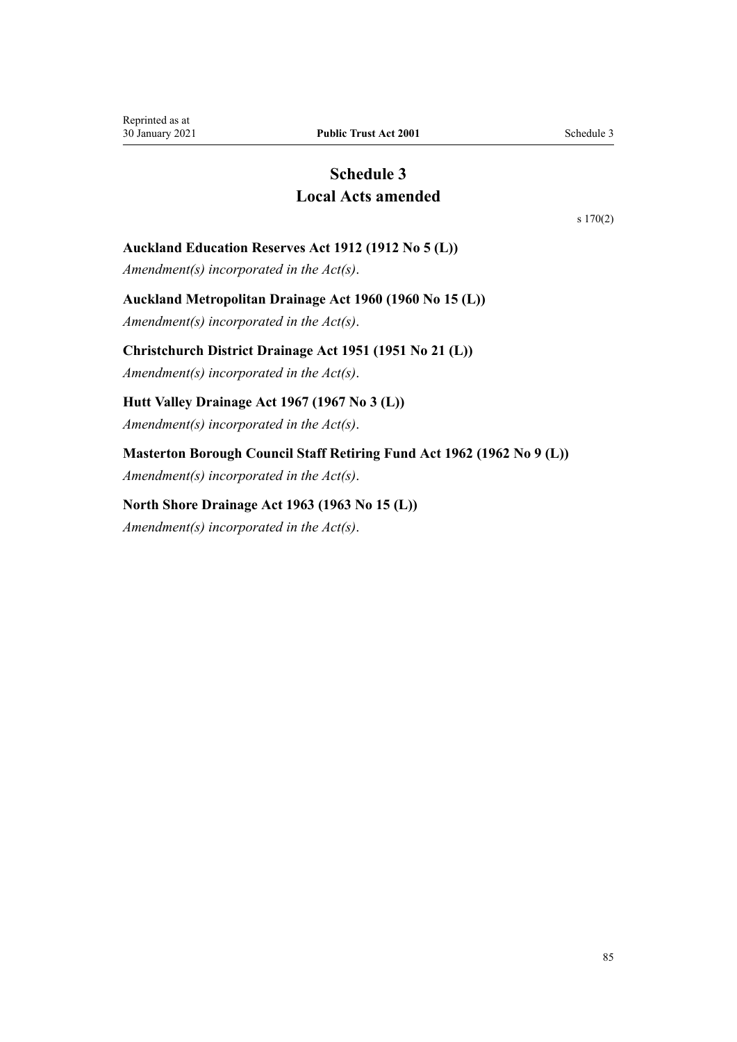# **Schedule 3 Local Acts amended**

[s 170\(2\)](#page-75-0)

# <span id="page-84-0"></span>**Auckland Education Reserves Act 1912 (1912 No 5 (L))**

*Amendment(s) incorporated in the [Act\(s\)](http://legislation.govt.nz/pdflink.aspx?id=DLM37696)*.

### **Auckland Metropolitan Drainage Act 1960 (1960 No 15 (L))**

*Amendment(s) incorporated in the [Act\(s\)](http://legislation.govt.nz/pdflink.aspx?id=DLM58546)*.

### **Christchurch District Drainage Act 1951 (1951 No 21 (L))**

*Amendment(s) incorporated in the [Act\(s\)](http://legislation.govt.nz/pdflink.aspx?id=DLM54088)*.

# **Hutt Valley Drainage Act 1967 (1967 No 3 (L))**

*Amendment(s) incorporated in the [Act\(s\)](http://legislation.govt.nz/pdflink.aspx?id=DLM64669)*.

# **Masterton Borough Council Staff Retiring Fund Act 1962 (1962 No 9 (L))**

*Amendment(s) incorporated in the [Act\(s\)](http://legislation.govt.nz/pdflink.aspx?id=DLM59474)*.

## **North Shore Drainage Act 1963 (1963 No 15 (L))**

*Amendment(s) incorporated in the [Act\(s\)](http://legislation.govt.nz/pdflink.aspx?id=DLM60624)*.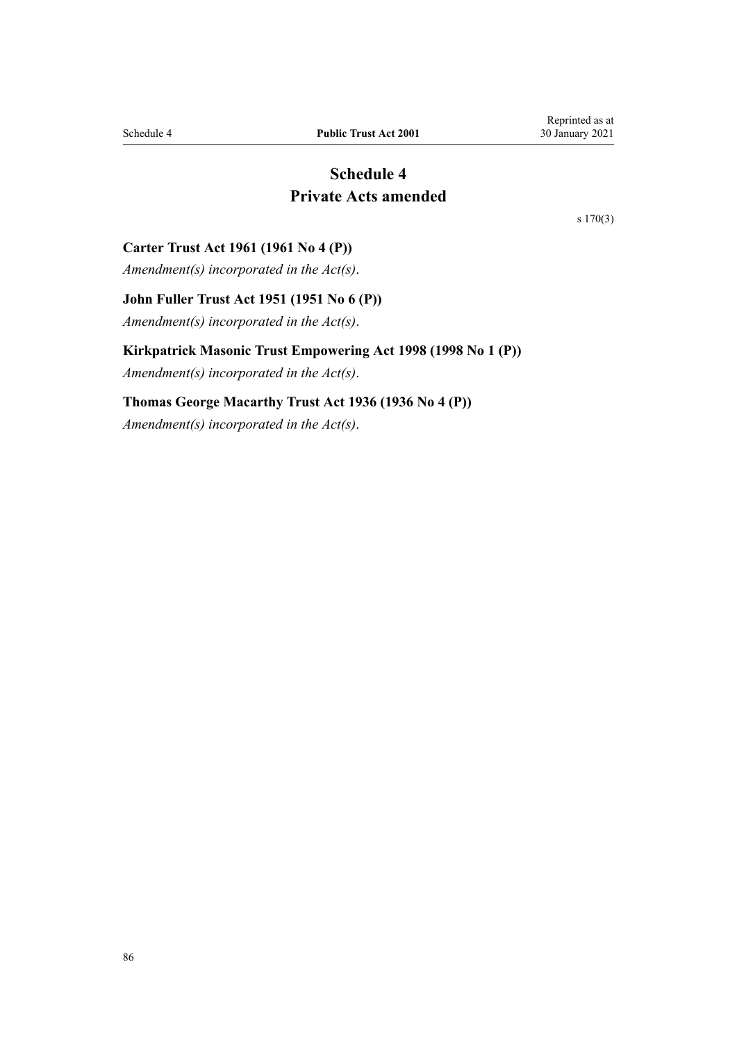# **Schedule 4 Private Acts amended**

[s 170\(3\)](#page-75-0)

### <span id="page-85-0"></span>**Carter Trust Act 1961 (1961 No 4 (P))**

*Amendment(s) incorporated in the [Act\(s\)](http://legislation.govt.nz/pdflink.aspx?id=DLM103568)*.

# **John Fuller Trust Act 1951 (1951 No 6 (P))**

*Amendment(s) incorporated in the [Act\(s\)](http://legislation.govt.nz/pdflink.aspx?id=DLM100861)*.

### **Kirkpatrick Masonic Trust Empowering Act 1998 (1998 No 1 (P))**

*Amendment(s) incorporated in the [Act\(s\)](http://legislation.govt.nz/pdflink.aspx?id=DLM118547)*.

### **Thomas George Macarthy Trust Act 1936 (1936 No 4 (P))**

*Amendment(s) incorporated in the [Act\(s\)](http://legislation.govt.nz/pdflink.aspx?id=DLM96659)*.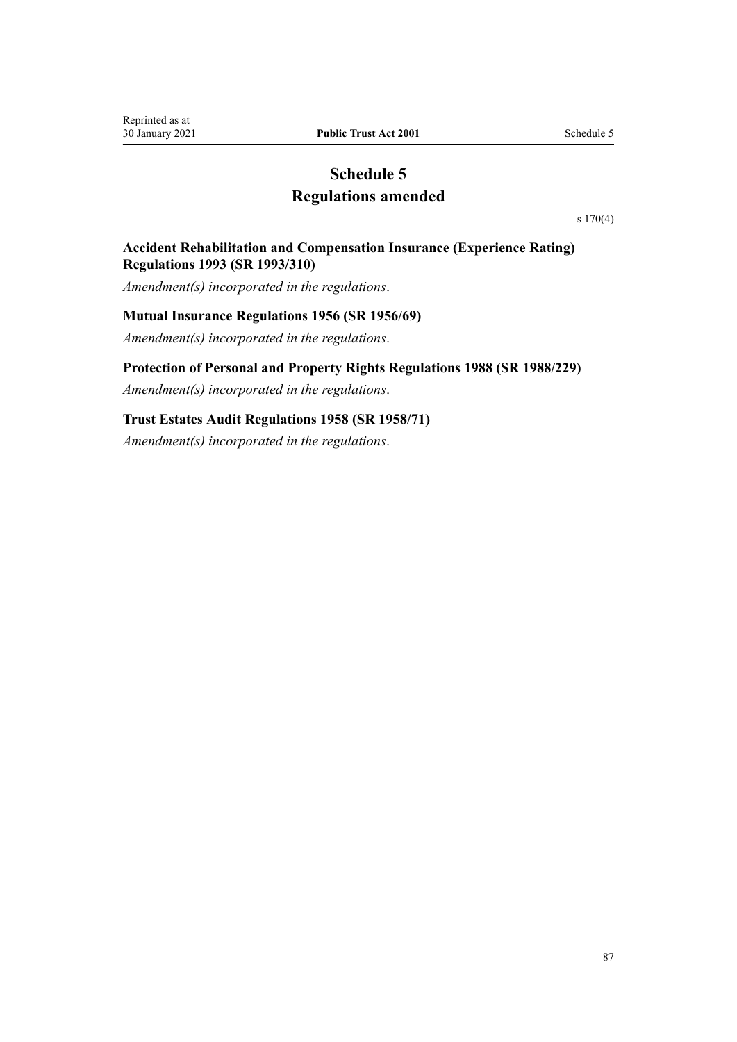# **Schedule 5 Regulations amended**

[s 170\(4\)](#page-75-0)

# <span id="page-86-0"></span>**Accident Rehabilitation and Compensation Insurance (Experience Rating) Regulations 1993 (SR 1993/310)**

*Amendment(s) incorporated in the regulations*.

### **Mutual Insurance Regulations 1956 (SR 1956/69)**

*Amendment(s) incorporated in the [regulations](http://legislation.govt.nz/pdflink.aspx?id=DLM9986)*.

### **Protection of Personal and Property Rights Regulations 1988 (SR 1988/229)**

*Amendment(s) incorporated in the [regulations](http://legislation.govt.nz/pdflink.aspx?id=DLM126901)*.

# **Trust Estates Audit Regulations 1958 (SR 1958/71)**

*Amendment(s) incorporated in the [regulations](http://legislation.govt.nz/pdflink.aspx?id=DLM12501)*.